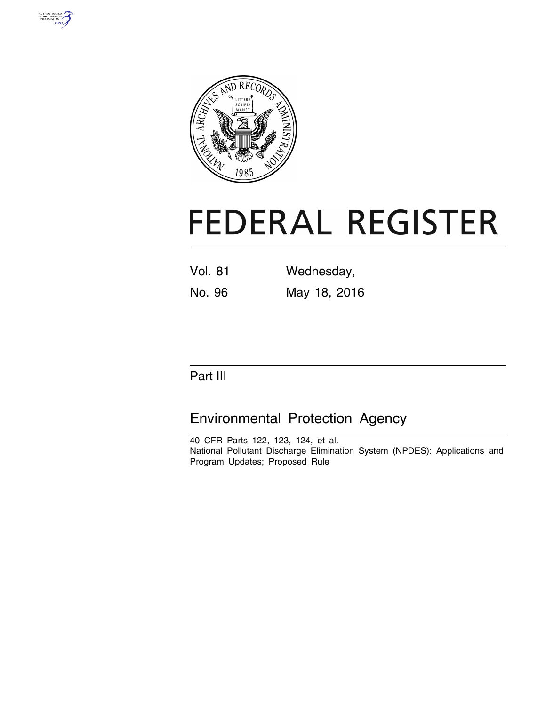



# **FEDERAL REGISTER**

| <b>Vol. 81</b> | Wednesday,   |
|----------------|--------------|
| No. 96         | May 18, 2016 |

# Part III

# Environmental Protection Agency

40 CFR Parts 122, 123, 124, et al. National Pollutant Discharge Elimination System (NPDES): Applications and Program Updates; Proposed Rule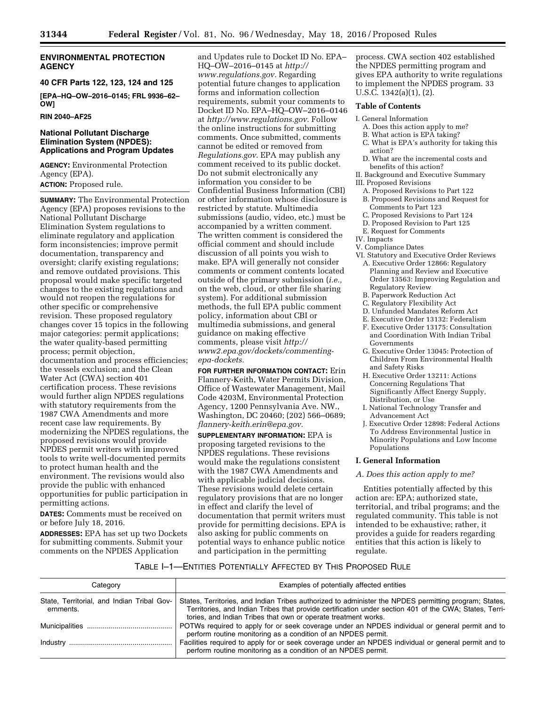# **ENVIRONMENTAL PROTECTION AGENCY**

# **40 CFR Parts 122, 123, 124 and 125**

**[EPA–HQ–OW–2016–0145; FRL 9936–62– OW]** 

#### **RIN 2040–AF25**

# **National Pollutant Discharge Elimination System (NPDES): Applications and Program Updates**

**AGENCY:** Environmental Protection Agency (EPA).

**ACTION:** Proposed rule.

**SUMMARY:** The Environmental Protection Agency (EPA) proposes revisions to the National Pollutant Discharge Elimination System regulations to eliminate regulatory and application form inconsistencies; improve permit documentation, transparency and oversight; clarify existing regulations; and remove outdated provisions. This proposal would make specific targeted changes to the existing regulations and would not reopen the regulations for other specific or comprehensive revision. These proposed regulatory changes cover 15 topics in the following major categories: permit applications; the water quality-based permitting process; permit objection, documentation and process efficiencies; the vessels exclusion; and the Clean Water Act (CWA) section 401 certification process. These revisions would further align NPDES regulations with statutory requirements from the 1987 CWA Amendments and more recent case law requirements. By modernizing the NPDES regulations, the proposed revisions would provide NPDES permit writers with improved tools to write well-documented permits to protect human health and the environment. The revisions would also provide the public with enhanced opportunities for public participation in permitting actions.

**DATES:** Comments must be received on or before July 18, 2016.

**ADDRESSES:** EPA has set up two Dockets for submitting comments. Submit your comments on the NPDES Application

and Updates rule to Docket ID No. EPA– HQ–OW–2016–0145 at *[http://](http://www.regulations.gov) [www.regulations.gov.](http://www.regulations.gov)* Regarding potential future changes to application forms and information collection requirements, submit your comments to Docket ID No. EPA–HQ–OW–2016–0146 at *[http://www.regulations.gov.](http://www.regulations.gov)* Follow the online instructions for submitting comments. Once submitted, comments cannot be edited or removed from *Regulations.gov*. EPA may publish any comment received to its public docket. Do not submit electronically any information you consider to be Confidential Business Information (CBI) or other information whose disclosure is restricted by statute. Multimedia submissions (audio, video, etc.) must be accompanied by a written comment. The written comment is considered the official comment and should include discussion of all points you wish to make. EPA will generally not consider comments or comment contents located outside of the primary submission (*i.e.,*  on the web, cloud, or other file sharing system). For additional submission methods, the full EPA public comment policy, information about CBI or multimedia submissions, and general guidance on making effective comments, please visit *[http://](http://www2.epa.gov/dockets/commenting-epa-dockets) [www2.epa.gov/dockets/commenting](http://www2.epa.gov/dockets/commenting-epa-dockets)[epa-dockets.](http://www2.epa.gov/dockets/commenting-epa-dockets)* 

**FOR FURTHER INFORMATION CONTACT:** Erin Flannery-Keith, Water Permits Division, Office of Wastewater Management, Mail Code 4203M, Environmental Protection Agency, 1200 Pennsylvania Ave. NW., Washington, DC 20460; (202) 566–0689; *[flannery-keith.erin@epa.gov.](mailto:flannery-keith.erin@epa.gov)* 

**SUPPLEMENTARY INFORMATION:** EPA is proposing targeted revisions to the NPDES regulations. These revisions would make the regulations consistent with the 1987 CWA Amendments and with applicable judicial decisions. These revisions would delete certain regulatory provisions that are no longer in effect and clarify the level of documentation that permit writers must provide for permitting decisions. EPA is also asking for public comments on potential ways to enhance public notice and participation in the permitting

process. CWA section 402 established the NPDES permitting program and gives EPA authority to write regulations to implement the NPDES program. 33 U.S.C. 1342(a)(1), (2).

#### **Table of Contents**

- I. General Information
	- A. Does this action apply to me?
	- B. What action is EPA taking?
	- C. What is EPA's authority for taking this action?
	- D. What are the incremental costs and benefits of this action?
- II. Background and Executive Summary
- III. Proposed Revisions
	- A. Proposed Revisions to Part 122
	- B. Proposed Revisions and Request for Comments to Part 123
	- C. Proposed Revisions to Part 124
	- D. Proposed Revision to Part 125
	- E. Request for Comments
- IV. Impacts
- V. Compliance Dates
- VI. Statutory and Executive Order Reviews A. Executive Order 12866: Regulatory
	- Planning and Review and Executive Order 13563: Improving Regulation and Regulatory Review
	- B. Paperwork Reduction Act
	- C. Regulatory Flexibility Act
	- D. Unfunded Mandates Reform Act
	- E. Executive Order 13132: Federalism F. Executive Order 13175: Consultation and Coordination With Indian Tribal Governments
	- G. Executive Order 13045: Protection of Children From Environmental Health and Safety Risks
	- H. Executive Order 13211: Actions Concerning Regulations That Significantly Affect Energy Supply, Distribution, or Use
	- I. National Technology Transfer and Advancement Act
	- J. Executive Order 12898: Federal Actions To Address Environmental Justice in Minority Populations and Low Income Populations

# **I. General Information**

# *A. Does this action apply to me?*

Entities potentially affected by this action are: EPA; authorized state, territorial, and tribal programs; and the regulated community. This table is not intended to be exhaustive; rather, it provides a guide for readers regarding entities that this action is likely to regulate.

#### TABLE I–1—ENTITIES POTENTIALLY AFFECTED BY THIS PROPOSED RULE

| Category                                                | Examples of potentially affected entities                                                                                                                                                                                                                                         |
|---------------------------------------------------------|-----------------------------------------------------------------------------------------------------------------------------------------------------------------------------------------------------------------------------------------------------------------------------------|
| State, Territorial, and Indian Tribal Gov-<br>ernments. | States, Territories, and Indian Tribes authorized to administer the NPDES permitting program; States,<br>Territories, and Indian Tribes that provide certification under section 401 of the CWA; States, Terri-<br>tories, and Indian Tribes that own or operate treatment works. |
|                                                         | POTWs required to apply for or seek coverage under an NPDES individual or general permit and to<br>perform routine monitoring as a condition of an NPDES permit.                                                                                                                  |
|                                                         | Facilities required to apply for or seek coverage under an NPDES individual or general permit and to<br>perform routine monitoring as a condition of an NPDES permit.                                                                                                             |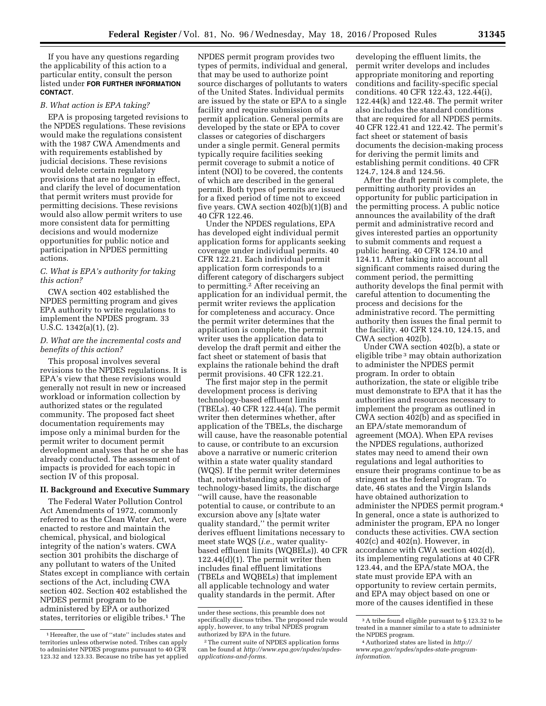If you have any questions regarding the applicability of this action to a particular entity, consult the person listed under **FOR FURTHER INFORMATION CONTACT**.

# *B. What action is EPA taking?*

EPA is proposing targeted revisions to the NPDES regulations. These revisions would make the regulations consistent with the 1987 CWA Amendments and with requirements established by judicial decisions. These revisions would delete certain regulatory provisions that are no longer in effect, and clarify the level of documentation that permit writers must provide for permitting decisions. These revisions would also allow permit writers to use more consistent data for permitting decisions and would modernize opportunities for public notice and participation in NPDES permitting actions.

# *C. What is EPA's authority for taking this action?*

CWA section 402 established the NPDES permitting program and gives EPA authority to write regulations to implement the NPDES program. 33 U.S.C. 1342(a)(1), (2).

# *D. What are the incremental costs and benefits of this action?*

This proposal involves several revisions to the NPDES regulations. It is EPA's view that these revisions would generally not result in new or increased workload or information collection by authorized states or the regulated community. The proposed fact sheet documentation requirements may impose only a minimal burden for the permit writer to document permit development analyses that he or she has already conducted. The assessment of impacts is provided for each topic in section IV of this proposal.

# **II. Background and Executive Summary**

The Federal Water Pollution Control Act Amendments of 1972, commonly referred to as the Clean Water Act, were enacted to restore and maintain the chemical, physical, and biological integrity of the nation's waters. CWA section 301 prohibits the discharge of any pollutant to waters of the United States except in compliance with certain sections of the Act, including CWA section 402. Section 402 established the NPDES permit program to be administered by EPA or authorized states, territories or eligible tribes.<sup>1</sup> The

NPDES permit program provides two types of permits, individual and general, that may be used to authorize point source discharges of pollutants to waters of the United States. Individual permits are issued by the state or EPA to a single facility and require submission of a permit application. General permits are developed by the state or EPA to cover classes or categories of dischargers under a single permit. General permits typically require facilities seeking permit coverage to submit a notice of intent (NOI) to be covered, the contents of which are described in the general permit. Both types of permits are issued for a fixed period of time not to exceed five years. CWA section 402(b)(1)(B) and 40 CFR 122.46.

Under the NPDES regulations, EPA has developed eight individual permit application forms for applicants seeking coverage under individual permits. 40 CFR 122.21. Each individual permit application form corresponds to a different category of dischargers subject to permitting.2 After receiving an application for an individual permit, the permit writer reviews the application for completeness and accuracy. Once the permit writer determines that the application is complete, the permit writer uses the application data to develop the draft permit and either the fact sheet or statement of basis that explains the rationale behind the draft permit provisions. 40 CFR 122.21.

The first major step in the permit development process is deriving technology-based effluent limits (TBELs). 40 CFR 122.44(a). The permit writer then determines whether, after application of the TBELs, the discharge will cause, have the reasonable potential to cause, or contribute to an excursion above a narrative or numeric criterion within a state water quality standard (WQS). If the permit writer determines that, notwithstanding application of technology-based limits, the discharge ''will cause, have the reasonable potential to cause, or contribute to an excursion above any [s]tate water quality standard,'' the permit writer derives effluent limitations necessary to meet state WQS (*i.e.,* water qualitybased effluent limits (WQBELs)). 40 CFR 122.44(d)(1). The permit writer then includes final effluent limitations (TBELs and WQBELs) that implement all applicable technology and water quality standards in the permit. After

developing the effluent limits, the permit writer develops and includes appropriate monitoring and reporting conditions and facility-specific special conditions. 40 CFR 122.43, 122.44(i), 122.44(k) and 122.48. The permit writer also includes the standard conditions that are required for all NPDES permits. 40 CFR 122.41 and 122.42. The permit's fact sheet or statement of basis documents the decision-making process for deriving the permit limits and establishing permit conditions. 40 CFR 124.7, 124.8 and 124.56.

After the draft permit is complete, the permitting authority provides an opportunity for public participation in the permitting process. A public notice announces the availability of the draft permit and administrative record and gives interested parties an opportunity to submit comments and request a public hearing. 40 CFR 124.10 and 124.11. After taking into account all significant comments raised during the comment period, the permitting authority develops the final permit with careful attention to documenting the process and decisions for the administrative record. The permitting authority then issues the final permit to the facility. 40 CFR 124.10, 124.15, and CWA section 402(b).

Under CWA section 402(b), a state or eligible tribe 3 may obtain authorization to administer the NPDES permit program. In order to obtain authorization, the state or eligible tribe must demonstrate to EPA that it has the authorities and resources necessary to implement the program as outlined in CWA section 402(b) and as specified in an EPA/state memorandum of agreement (MOA). When EPA revises the NPDES regulations, authorized states may need to amend their own regulations and legal authorities to ensure their programs continue to be as stringent as the federal program. To date, 46 states and the Virgin Islands have obtained authorization to administer the NPDES permit program.4 In general, once a state is authorized to administer the program, EPA no longer conducts these activities. CWA section 402(c) and 402(n). However, in accordance with CWA section 402(d), its implementing regulations at 40 CFR 123.44, and the EPA/state MOA, the state must provide EPA with an opportunity to review certain permits, and EPA may object based on one or more of the causes identified in these

<sup>1</sup>Hereafter, the use of ''state'' includes states and territories unless otherwise noted. Tribes can apply to administer NPDES programs pursuant to 40 CFR 123.32 and 123.33. Because no tribe has yet applied

under these sections, this preamble does not specifically discuss tribes. The proposed rule would apply, however, to any tribal NPDES program authorized by EPA in the future.

<sup>2</sup>The current suite of NPDES application forms can be found at *[http://www.epa.gov/npdes/npdes](http://www.epa.gov/npdes/npdes-applications-and-forms)[applications-and-forms.](http://www.epa.gov/npdes/npdes-applications-and-forms)* 

<sup>3</sup>A tribe found eligible pursuant to § 123.32 to be treated in a manner similar to a state to administer

<sup>&</sup>lt;sup>4</sup> Authorized states are listed in *[http://](http://www.epa.gov/npdes) [www.epa.gov/npdes/](http://www.epa.gov/npdes)npdes-state-programinformation.*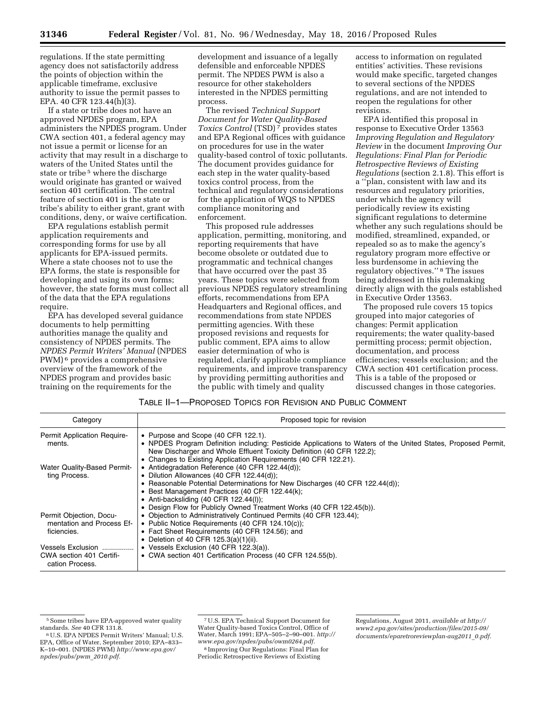regulations. If the state permitting agency does not satisfactorily address the points of objection within the applicable timeframe, exclusive authority to issue the permit passes to EPA. 40 CFR 123.44(h)(3).

If a state or tribe does not have an approved NPDES program, EPA administers the NPDES program. Under CWA section 401, a federal agency may not issue a permit or license for an activity that may result in a discharge to waters of the United States until the state or tribe<sup>5</sup> where the discharge would originate has granted or waived section 401 certification. The central feature of section 401 is the state or tribe's ability to either grant, grant with conditions, deny, or waive certification.

EPA regulations establish permit application requirements and corresponding forms for use by all applicants for EPA-issued permits. Where a state chooses not to use the EPA forms, the state is responsible for developing and using its own forms; however, the state forms must collect all of the data that the EPA regulations require.

EPA has developed several guidance documents to help permitting authorities manage the quality and consistency of NPDES permits. The *NPDES Permit Writers' Manual* (NPDES PWM) 6 provides a comprehensive overview of the framework of the NPDES program and provides basic training on the requirements for the

development and issuance of a legally defensible and enforceable NPDES permit. The NPDES PWM is also a resource for other stakeholders interested in the NPDES permitting process.

The revised *Technical Support Document for Water Quality-Based Toxics Control* (TSD) 7 provides states and EPA Regional offices with guidance on procedures for use in the water quality-based control of toxic pollutants. The document provides guidance for each step in the water quality-based toxics control process, from the technical and regulatory considerations for the application of WQS to NPDES compliance monitoring and enforcement.

This proposed rule addresses application, permitting, monitoring, and reporting requirements that have become obsolete or outdated due to programmatic and technical changes that have occurred over the past 35 years. These topics were selected from previous NPDES regulatory streamlining efforts, recommendations from EPA Headquarters and Regional offices, and recommendations from state NPDES permitting agencies. With these proposed revisions and requests for public comment, EPA aims to allow easier determination of who is regulated, clarify applicable compliance requirements, and improve transparency by providing permitting authorities and the public with timely and quality

access to information on regulated entities' activities. These revisions would make specific, targeted changes to several sections of the NPDES regulations, and are not intended to reopen the regulations for other revisions.

EPA identified this proposal in response to Executive Order 13563 *Improving Regulation and Regulatory Review* in the document *Improving Our Regulations: Final Plan for Periodic Retrospective Reviews of Existing Regulations* (section 2.1.8). This effort is a ''plan, consistent with law and its resources and regulatory priorities, under which the agency will periodically review its existing significant regulations to determine whether any such regulations should be modified, streamlined, expanded, or repealed so as to make the agency's regulatory program more effective or less burdensome in achieving the regulatory objectives.'' 8 The issues being addressed in this rulemaking directly align with the goals established in Executive Order 13563.

The proposed rule covers 15 topics grouped into major categories of changes: Permit application requirements; the water quality-based permitting process; permit objection, documentation, and process efficiencies; vessels exclusion; and the CWA section 401 certification process. This is a table of the proposed or discussed changes in those categories.

| Table II—1—Proposed Topics for Revision and Public Comment |  |
|------------------------------------------------------------|--|
|------------------------------------------------------------|--|

| Category                                            | Proposed topic for revision                                                                                        |
|-----------------------------------------------------|--------------------------------------------------------------------------------------------------------------------|
| Permit Application Require-                         | • Purpose and Scope (40 CFR 122.1).                                                                                |
| ments.                                              | • NPDES Program Definition including: Pesticide Applications to Waters of the United States, Proposed Permit,      |
|                                                     | New Discharger and Whole Effluent Toxicity Definition (40 CFR 122.2);                                              |
|                                                     | • Changes to Existing Application Requirements (40 CFR 122.21).<br>• Antidegradation Reference (40 CFR 122.44(d)); |
| <b>Water Quality-Based Permit-</b><br>ting Process. | • Dilution Allowances (40 CFR 122.44(d));                                                                          |
|                                                     | • Reasonable Potential Determinations for New Discharges (40 CFR 122.44(d));                                       |
|                                                     | • Best Management Practices (40 CFR 122.44(k);                                                                     |
|                                                     | • Anti-backsliding $(40$ CFR 122.44 $(l)$ );                                                                       |
|                                                     | • Design Flow for Publicly Owned Treatment Works (40 CFR 122.45(b)).                                               |
| Permit Objection, Docu-                             | • Objection to Administratively Continued Permits (40 CFR 123.44);                                                 |
| mentation and Process Ef-<br>ficiencies.            | • Public Notice Requirements (40 CFR 124.10(c));                                                                   |
|                                                     | • Fact Sheet Requirements (40 CFR 124.56); and                                                                     |
|                                                     | • Deletion of 40 CFR $125.3(a)(1)(ii)$ .                                                                           |
| Vessels Exclusion                                   | • Vessels Exclusion (40 CFR 122.3(a)).                                                                             |
| CWA section 401 Certifi-<br>cation Process.         | • CWA section 401 Certification Process (40 CFR 124.55(b).                                                         |

7U.S. EPA Technical Support Document for Water Quality-based Toxics Control, Office of Water, March 1991; EPA–505–2–90–001. *[http://](http://www.epa.gov/npdes/pubs/owm0264.pdf) [www.epa.gov/npdes/pubs/owm0264.pdf.](http://www.epa.gov/npdes/pubs/owm0264.pdf)* 

8 Improving Our Regulations: Final Plan for Periodic Retrospective Reviews of Existing

Regulations, August 2011, *available at [http://](http://www2.epa.gov/sites/production/files/2015-09/documents/eparetroreviewplan-aug2011_0.pdf) [www2.epa.gov/sites/production/files/2015-09/](http://www2.epa.gov/sites/production/files/2015-09/documents/eparetroreviewplan-aug2011_0.pdf) [documents/eparetroreviewplan-aug2011](http://www2.epa.gov/sites/production/files/2015-09/documents/eparetroreviewplan-aug2011_0.pdf)*\_*0.pdf.* 

 $^5$  Some tribes have EPA-approved water quality standards. See 40 CFR 131.8.

<sup>&</sup>lt;sup>6</sup> U.S. EPA NPDES Permit Writers' Manual; U.S. EPA, Office of Water, September 2010; EPA–833– K–10–001. (NPDES PWM) *[http://www.epa.gov/](http://www.epa.gov/npdes/pubs/pwm_2010.pdf) [npdes/pubs/pwm](http://www.epa.gov/npdes/pubs/pwm_2010.pdf)*\_*2010.pdf.*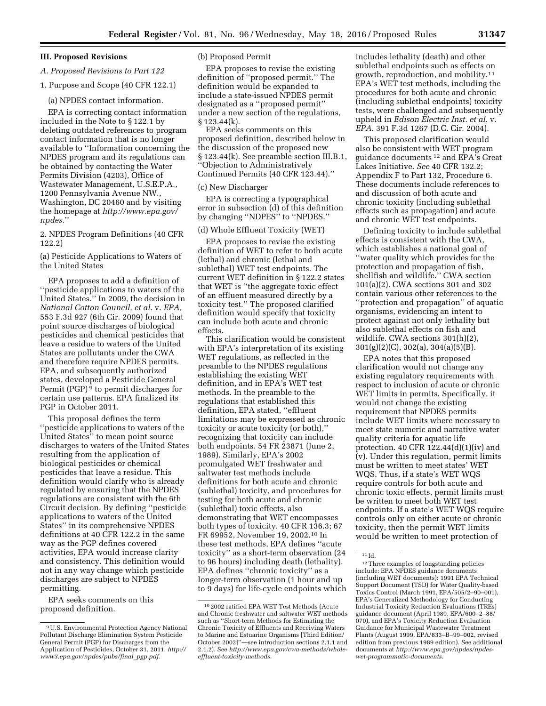# **III. Proposed Revisions**

*A. Proposed Revisions to Part 122* 

# 1. Purpose and Scope (40 CFR 122.1)

(a) NPDES contact information.

EPA is correcting contact information included in the Note to § 122.1 by deleting outdated references to program contact information that is no longer available to ''Information concerning the NPDES program and its regulations can be obtained by contacting the Water Permits Division (4203), Office of Wastewater Management, U.S.E.P.A., 1200 Pennsylvania Avenue NW., Washington, DC 20460 and by visiting the homepage at *[http://www.epa.gov/](http://www.epa.gov/npdes) [npdes.](http://www.epa.gov/npdes)*''

2. NPDES Program Definitions (40 CFR 122.2)

(a) Pesticide Applications to Waters of the United States

EPA proposes to add a definition of ''pesticide applications to waters of the United States.'' In 2009, the decision in *National Cotton Council, et al.* v. *EPA,*  553 F.3d 927 (6th Cir. 2009) found that point source discharges of biological pesticides and chemical pesticides that leave a residue to waters of the United States are pollutants under the CWA and therefore require NPDES permits. EPA, and subsequently authorized states, developed a Pesticide General Permit (PGP) 9 to permit discharges for certain use patterns. EPA finalized its PGP in October 2011.

This proposal defines the term ''pesticide applications to waters of the United States'' to mean point source discharges to waters of the United States resulting from the application of biological pesticides or chemical pesticides that leave a residue. This definition would clarify who is already regulated by ensuring that the NPDES regulations are consistent with the 6th Circuit decision. By defining ''pesticide applications to waters of the United States'' in its comprehensive NPDES definitions at 40 CFR 122.2 in the same way as the PGP defines covered activities, EPA would increase clarity and consistency. This definition would not in any way change which pesticide discharges are subject to NPDES permitting.

EPA seeks comments on this proposed definition.

(b) Proposed Permit

EPA proposes to revise the existing definition of ''proposed permit.'' The definition would be expanded to include a state-issued NPDES permit designated as a ''proposed permit'' under a new section of the regulations, § 123.44(k).

EPA seeks comments on this proposed definition, described below in the discussion of the proposed new § 123.44(k). See preamble section III.B.1, ''Objection to Administratively Continued Permits (40 CFR 123.44).''

#### (c) New Discharger

EPA is correcting a typographical error in subsection (d) of this definition by changing ''NDPES'' to ''NPDES.''

(d) Whole Effluent Toxicity (WET)

EPA proposes to revise the existing definition of WET to refer to both acute (lethal) and chronic (lethal and sublethal) WET test endpoints. The current WET definition in § 122.2 states that WET is ''the aggregate toxic effect of an effluent measured directly by a toxicity test.'' The proposed clarified definition would specify that toxicity can include both acute and chronic effects.

This clarification would be consistent with EPA's interpretation of its existing WET regulations, as reflected in the preamble to the NPDES regulations establishing the existing WET definition, and in EPA's WET test methods. In the preamble to the regulations that established this definition, EPA stated, ''effluent limitations may be expressed as chronic toxicity or acute toxicity (or both),'' recognizing that toxicity can include both endpoints. 54 FR 23871 (June 2, 1989). Similarly, EPA's 2002 promulgated WET freshwater and saltwater test methods include definitions for both acute and chronic (sublethal) toxicity, and procedures for testing for both acute and chronic (sublethal) toxic effects, also demonstrating that WET encompasses both types of toxicity. 40 CFR 136.3; 67 FR 69952, November 19, 2002.10 In these test methods, EPA defines ''acute toxicity'' as a short-term observation (24 to 96 hours) including death (lethality). EPA defines ''chronic toxicity'' as a longer-term observation (1 hour and up to 9 days) for life-cycle endpoints which

includes lethality (death) and other sublethal endpoints such as effects on growth, reproduction, and mobility.11 EPA's WET test methods, including the procedures for both acute and chronic (including sublethal endpoints) toxicity tests, were challenged and subsequently upheld in *Edison Electric Inst. et al.* v. *EPA.* 391 F.3d 1267 (D.C. Cir. 2004).

This proposed clarification would also be consistent with WET program guidance documents 12 and EPA's Great Lakes Initiative. *See* 40 CFR 132.2; Appendix F to Part 132, Procedure 6. These documents include references to and discussion of both acute and chronic toxicity (including sublethal effects such as propagation) and acute and chronic WET test endpoints.

Defining toxicity to include sublethal effects is consistent with the CWA, which establishes a national goal of ''water quality which provides for the protection and propagation of fish, shellfish and wildlife.'' CWA section 101(a)(2). CWA sections 301 and 302 contain various other references to the ''protection and propagation'' of aquatic organisms, evidencing an intent to protect against not only lethality but also sublethal effects on fish and wildlife. CWA sections 301(h)(2), 301(g)(2)(C), 302(a), 304(a)(5)(B).

EPA notes that this proposed clarification would not change any existing regulatory requirements with respect to inclusion of acute or chronic WET limits in permits. Specifically, it would not change the existing requirement that NPDES permits include WET limits where necessary to meet state numeric and narrative water quality criteria for aquatic life protection. 40 CFR 122.44(d)(1)(iv) and (v). Under this regulation, permit limits must be written to meet states' WET WQS. Thus, if a state's WET WQS require controls for both acute and chronic toxic effects, permit limits must be written to meet both WET test endpoints. If a state's WET WQS require controls only on either acute or chronic toxicity, then the permit WET limits would be written to meet protection of

<sup>9</sup>U.S. Environmental Protection Agency National Pollutant Discharge Elimination System Pesticide General Permit (PGP) for Discharges from the Application of Pesticides, October 31, 2011. *[http://](http://www3.epa.gov/npdes/pubs/final_pgp.pdf)  [www3.epa.gov/npdes/pubs/final](http://www3.epa.gov/npdes/pubs/final_pgp.pdf)*\_*pgp.pdf.* 

<sup>10</sup> 2002 ratified EPA WET Test Methods (Acute and Chronic freshwater and saltwater WET methods such as ''Short-term Methods for Estimating the Chronic Toxicity of Effluents and Receiving Waters to Marine and Estuarine Organisms [Third Edition/ October 2002]''—see introduction sections 2.1.1 and 2.1.2). See *[http://www.epa.gov/cwa-methods/whole](http://www.epa.gov/cwa-methods/whole-effluent-toxicity-methods)[effluent-toxicity-methods.](http://www.epa.gov/cwa-methods/whole-effluent-toxicity-methods)* 

<sup>11</sup> Id.

<sup>12</sup>Three examples of longstanding policies include: EPA NPDES guidance documents (including WET documents): 1991 EPA Technical Support Document (TSD) for Water Quality-based Toxics Control (March 1991, EPA/505/2–90–001), EPA's Generalized Methodology for Conducting Industrial Toxicity Reduction Evaluations (TREs) guidance document (April 1989, EPA/600–2–88/ 070), and EPA's Toxicity Reduction Evaluation Guidance for Municipal Wastewater Treatment Plants (August 1999, EPA/833–B–99–002, revised edition from previous 1989 edition). See additional documents at *[http://www.epa.gov/npdes/npdes](http://www.epa.gov/npdes/npdes-wet-programmatic-documents)[wet-programmatic-documents.](http://www.epa.gov/npdes/npdes-wet-programmatic-documents)*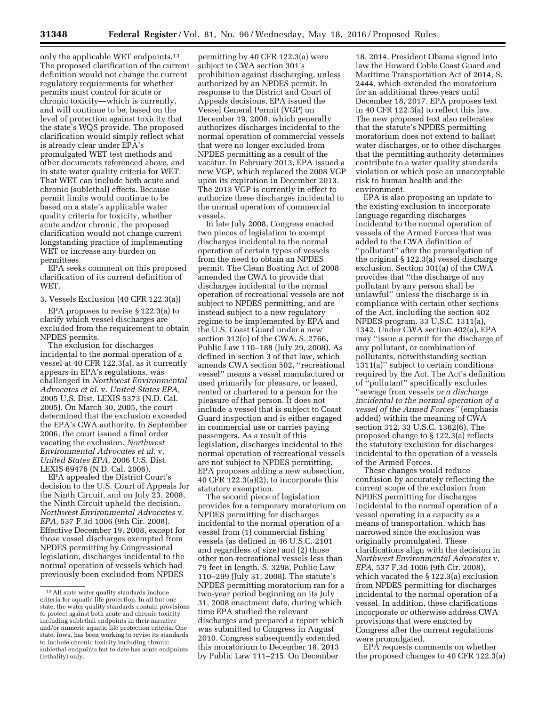only the applicable WET endpoints.13 The proposed clarification of the current definition would not change the current regulatory requirements for whether permits must control for acute or chronic toxicity—which is currently, and will continue to be, based on the level of protection against toxicity that the state's WQS provide. The proposed clarification would simply reflect what is already clear under EPA's promulgated WET test methods and other documents referenced above, and in state water quality criteria for WET: That WET can include both acute and chronic (sublethal) effects. Because permit limits would continue to be based on a state's applicable water quality criteria for toxicity, whether acute and/or chronic, the proposed clarification would not change current longstanding practice of implementing WET or increase any burden on permittees.

EPA seeks comment on this proposed clarification of its current definition of WET.

3. Vessels Exclusion (40 CFR 122.3(a))

EPA proposes to revise § 122.3(a) to clarify which vessel discharges are excluded from the requirement to obtain NPDES permits.

The exclusion for discharges incidental to the normal operation of a vessel at 40 CFR 122.3(a), as it currently appears in EPA's regulations, was challenged in *Northwest Environmental Advocates et al.* v. *United States EPA,*  2005 U.S. Dist. LEXIS 5373 (N.D. Cal. 2005). On March 30, 2005, the court determined that the exclusion exceeded the EPA's CWA authority. In September 2006, the court issued a final order vacating the exclusion. *Northwest Environmental Advocates et al.* v. *United States EPA,* 2006 U.S. Dist. LEXIS 69476 (N.D. Cal. 2006).

EPA appealed the District Court's decision to the U.S. Court of Appeals for the Ninth Circuit, and on July 23, 2008, the Ninth Circuit upheld the decision. *Northwest Environmental Advocates* v. *EPA,* 537 F.3d 1006 (9th Cir. 2008). Effective December 19, 2008, except for those vessel discharges exempted from NPDES permitting by Congressional legislation, discharges incidental to the normal operation of vessels which had previously been excluded from NPDES

permitting by 40 CFR 122.3(a) were subject to CWA section 301's prohibition against discharging, unless authorized by an NPDES permit. In response to the District and Court of Appeals decisions, EPA issued the Vessel General Permit (VGP) on December 19, 2008, which generally authorizes discharges incidental to the normal operation of commercial vessels that were no longer excluded from NPDES permitting as a result of the vacatur. In February 2013, EPA issued a new VGP, which replaced the 2008 VGP upon its expiration in December 2013. The 2013 VGP is currently in effect to authorize these discharges incidental to the normal operation of commercial vessels.

In late July 2008, Congress enacted two pieces of legislation to exempt discharges incidental to the normal operation of certain types of vessels from the need to obtain an NPDES permit. The Clean Boating Act of 2008 amended the CWA to provide that discharges incidental to the normal operation of recreational vessels are not subject to NPDES permitting, and are instead subject to a new regulatory regime to be implemented by EPA and the U.S. Coast Guard under a new section 312(o) of the CWA. S. 2766, Public Law 110–188 (July 29, 2008). As defined in section 3 of that law, which amends CWA section 502, ''recreational vessel'' means a vessel manufactured or used primarily for pleasure, or leased, rented or chartered to a person for the pleasure of that person. It does not include a vessel that is subject to Coast Guard inspection and is either engaged in commercial use or carries paying passengers. As a result of this legislation, discharges incidental to the normal operation of recreational vessels are not subject to NPDES permitting. EPA proposes adding a new subsection, 40 CFR 122.3(a)(2), to incorporate this statutory exemption.

The second piece of legislation provides for a temporary moratorium on NPDES permitting for discharges incidental to the normal operation of a vessel from (1) commercial fishing vessels (as defined in 46 U.S.C. 2101 and regardless of size) and (2) those other non-recreational vessels less than 79 feet in length. S. 3298, Public Law 110–299 (July 31, 2008). The statute's NPDES permitting moratorium ran for a two-year period beginning on its July 31, 2008 enactment date, during which time EPA studied the relevant discharges and prepared a report which was submitted to Congress in August 2010. Congress subsequently extended this moratorium to December 18, 2013 by Public Law 111–215. On December

18, 2014, President Obama signed into law the Howard Coble Coast Guard and Maritime Transportation Act of 2014, S. 2444, which extended the moratorium for an additional three years until December 18, 2017. EPA proposes text in 40 CFR 122.3(a) to reflect this law. The new proposed text also reiterates that the statute's NPDES permitting moratorium does not extend to ballast water discharges, or to other discharges that the permitting authority determines contribute to a water quality standards violation or which pose an unacceptable risk to human health and the environment.

EPA is also proposing an update to the existing exclusion to incorporate language regarding discharges incidental to the normal operation of vessels of the Armed Forces that was added to the CWA definition of ''pollutant'' after the promulgation of the original § 122.3(a) vessel discharge exclusion. Section 301(a) of the CWA provides that ''the discharge of any pollutant by any person shall be unlawful'' unless the discharge is in compliance with certain other sections of the Act, including the section 402 NPDES program. 33 U.S.C. 1311(a), 1342. Under CWA section 402(a), EPA may ''issue a permit for the discharge of any pollutant, or combination of pollutants, notwithstanding section 1311(a)'' subject to certain conditions required by the Act. The Act's definition of ''pollutant'' specifically excludes ''sewage from vessels *or a discharge incidental to the normal operation of a vessel of the Armed Forces''* (emphasis added) within the meaning of CWA section 312. 33 U.S.C. 1362(6). The proposed change to § 122.3(a) reflects the statutory exclusion for discharges incidental to the operation of a vessels of the Armed Forces.

These changes would reduce confusion by accurately reflecting the current scope of the exclusion from NPDES permitting for discharges incidental to the normal operation of a vessel operating in a capacity as a means of transportation, which has narrowed since the exclusion was originally promulgated. These clarifications align with the decision in *Northwest Environmental Advocates* v. *EPA,* 537 F.3d 1006 (9th Cir. 2008), which vacated the § 122.3(a) exclusion from NPDES permitting for discharges incidental to the normal operation of a vessel. In addition, these clarifications incorporate or otherwise address CWA provisions that were enacted by Congress after the current regulations were promulgated.

EPA requests comments on whether the proposed changes to 40 CFR 122.3(a)

<sup>13</sup>All state water quality standards include criteria for aquatic life protection. In all but one state, the water quality standards contain provisions to protect against both acute and chronic toxicity including sublethal endpoints in their narrative and/or numeric aquatic life protection criteria. One state, Iowa, has been working to revise its standards to include chronic toxicity including chronic sublethal endpoints but to date has acute endpoints (lethality) only.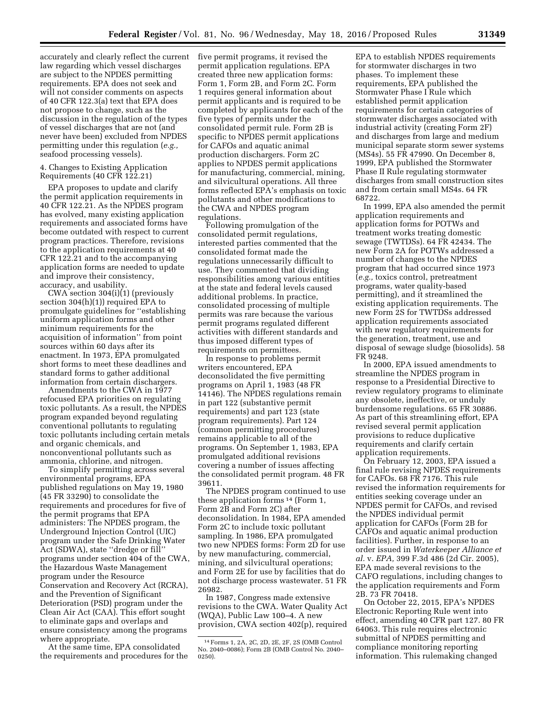accurately and clearly reflect the current five permit programs, it revised the law regarding which vessel discharges are subject to the NPDES permitting requirements. EPA does not seek and will not consider comments on aspects of 40 CFR 122.3(a) text that EPA does not propose to change, such as the discussion in the regulation of the types of vessel discharges that are not (and never have been) excluded from NPDES permitting under this regulation (*e.g.,*  seafood processing vessels).

#### 4. Changes to Existing Application Requirements (40 CFR 122.21)

EPA proposes to update and clarify the permit application requirements in 40 CFR 122.21. As the NPDES program has evolved, many existing application requirements and associated forms have become outdated with respect to current program practices. Therefore, revisions to the application requirements at 40 CFR 122.21 and to the accompanying application forms are needed to update and improve their consistency, accuracy, and usability.

CWA section 304(i)(1) (previously section 304(h)(1)) required EPA to promulgate guidelines for ''establishing uniform application forms and other minimum requirements for the acquisition of information'' from point sources within 60 days after its enactment. In 1973, EPA promulgated short forms to meet these deadlines and standard forms to gather additional information from certain dischargers.

Amendments to the CWA in 1977 refocused EPA priorities on regulating toxic pollutants. As a result, the NPDES program expanded beyond regulating conventional pollutants to regulating toxic pollutants including certain metals and organic chemicals, and nonconventional pollutants such as ammonia, chlorine, and nitrogen.

To simplify permitting across several environmental programs, EPA published regulations on May 19, 1980 (45 FR 33290) to consolidate the requirements and procedures for five of the permit programs that EPA administers: The NPDES program, the Underground Injection Control (UIC) program under the Safe Drinking Water Act (SDWA), state ''dredge or fill'' programs under section 404 of the CWA, the Hazardous Waste Management program under the Resource Conservation and Recovery Act (RCRA), and the Prevention of Significant Deterioration (PSD) program under the Clean Air Act (CAA). This effort sought to eliminate gaps and overlaps and ensure consistency among the programs where appropriate.

At the same time, EPA consolidated the requirements and procedures for the

permit application regulations. EPA created three new application forms: Form 1, Form 2B, and Form 2C. Form 1 requires general information about permit applicants and is required to be completed by applicants for each of the five types of permits under the consolidated permit rule. Form 2B is specific to NPDES permit applications for CAFOs and aquatic animal production dischargers. Form 2C applies to NPDES permit applications for manufacturing, commercial, mining, and silvicultural operations. All three forms reflected EPA's emphasis on toxic pollutants and other modifications to the CWA and NPDES program regulations.

Following promulgation of the consolidated permit regulations, interested parties commented that the consolidated format made the regulations unnecessarily difficult to use. They commented that dividing responsibilities among various entities at the state and federal levels caused additional problems. In practice, consolidated processing of multiple permits was rare because the various permit programs regulated different activities with different standards and thus imposed different types of requirements on permittees.

In response to problems permit writers encountered, EPA deconsolidated the five permitting programs on April 1, 1983 (48 FR 14146). The NPDES regulations remain in part 122 (substantive permit requirements) and part 123 (state program requirements). Part 124 (common permitting procedures) remains applicable to all of the programs. On September 1, 1983, EPA promulgated additional revisions covering a number of issues affecting the consolidated permit program. 48 FR 39611.

The NPDES program continued to use these application forms 14 (Form 1, Form 2B and Form 2C) after deconsolidation. In 1984, EPA amended Form 2C to include toxic pollutant sampling. In 1986, EPA promulgated two new NPDES forms: Form 2D for use by new manufacturing, commercial, mining, and silvicultural operations; and Form 2E for use by facilities that do not discharge process wastewater. 51 FR 26982.

In 1987, Congress made extensive revisions to the CWA. Water Quality Act (WQA), Public Law 100–4. A new provision, CWA section 402(p), required

EPA to establish NPDES requirements for stormwater discharges in two phases. To implement these requirements, EPA published the Stormwater Phase I Rule which established permit application requirements for certain categories of stormwater discharges associated with industrial activity (creating Form 2F) and discharges from large and medium municipal separate storm sewer systems (MS4s). 55 FR 47990. On December 8, 1999, EPA published the Stormwater Phase II Rule regulating stormwater discharges from small construction sites and from certain small MS4s. 64 FR 68722.

In 1999, EPA also amended the permit application requirements and application forms for POTWs and treatment works treating domestic sewage (TWTDSs). 64 FR 42434. The new Form 2A for POTWs addressed a number of changes to the NPDES program that had occurred since 1973 (*e.g.,* toxics control, pretreatment programs, water quality-based permitting), and it streamlined the existing application requirements. The new Form 2S for TWTDSs addressed application requirements associated with new regulatory requirements for the generation, treatment, use and disposal of sewage sludge (biosolids). 58 FR 9248.

In 2000, EPA issued amendments to streamline the NPDES program in response to a Presidential Directive to review regulatory programs to eliminate any obsolete, ineffective, or unduly burdensome regulations. 65 FR 30886. As part of this streamlining effort, EPA revised several permit application provisions to reduce duplicative requirements and clarify certain application requirements.

On February 12, 2003, EPA issued a final rule revising NPDES requirements for CAFOs. 68 FR 7176. This rule revised the information requirements for entities seeking coverage under an NPDES permit for CAFOs, and revised the NPDES individual permit application for CAFOs (Form 2B for CAFOs and aquatic animal production facilities). Further, in response to an order issued in *Waterkeeper Alliance et al.* v. *EPA,* 399 F.3d 486 (2d Cir. 2005), EPA made several revisions to the CAFO regulations, including changes to the application requirements and Form 2B. 73 FR 70418.

On October 22, 2015, EPA's NPDES Electronic Reporting Rule went into effect, amending 40 CFR part 127. 80 FR 64063. This rule requires electronic submittal of NPDES permitting and compliance monitoring reporting information. This rulemaking changed

<sup>14</sup>Forms 1, 2A, 2C, 2D, 2E, 2F, 2S (OMB Control No. 2040–0086); Form 2B (OMB Control No. 2040– 0250).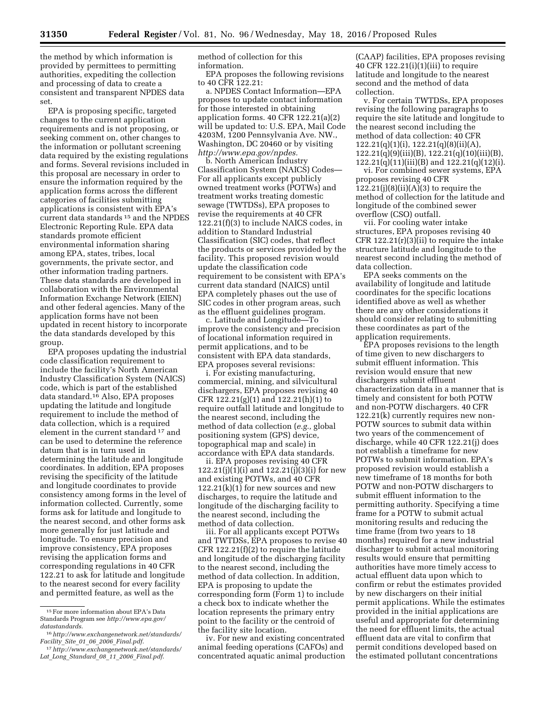the method by which information is provided by permittees to permitting authorities, expediting the collection and processing of data to create a consistent and transparent NPDES data set.

EPA is proposing specific, targeted changes to the current application requirements and is not proposing, or seeking comment on, other changes to the information or pollutant screening data required by the existing regulations and forms. Several revisions included in this proposal are necessary in order to ensure the information required by the application forms across the different categories of facilities submitting applications is consistent with EPA's current data standards 15 and the NPDES Electronic Reporting Rule. EPA data standards promote efficient environmental information sharing among EPA, states, tribes, local governments, the private sector, and other information trading partners. These data standards are developed in collaboration with the Environmental Information Exchange Network (EIEN) and other federal agencies. Many of the application forms have not been updated in recent history to incorporate the data standards developed by this group.

EPA proposes updating the industrial code classification requirement to include the facility's North American Industry Classification System (NAICS) code, which is part of the established data standard.16 Also, EPA proposes updating the latitude and longitude requirement to include the method of data collection, which is a required element in the current standard 17 and can be used to determine the reference datum that is in turn used in determining the latitude and longitude coordinates. In addition, EPA proposes revising the specificity of the latitude and longitude coordinates to provide consistency among forms in the level of information collected. Currently, some forms ask for latitude and longitude to the nearest second, and other forms ask more generally for just latitude and longitude. To ensure precision and improve consistency, EPA proposes revising the application forms and corresponding regulations in 40 CFR 122.21 to ask for latitude and longitude to the nearest second for every facility and permitted feature, as well as the

method of collection for this information.

EPA proposes the following revisions to 40 CFR 122.21:

a. NPDES Contact Information—EPA proposes to update contact information for those interested in obtaining application forms. 40 CFR 122.21(a)(2) will be updated to: U.S. EPA, Mail Code 4203M, 1200 Pennsylvania Ave. NW., Washington, DC 20460 or by visiting *[http://www.epa.gov/npdes.](http://www.epa.gov/npdes)* 

b. North American Industry Classification System (NAICS) Codes— For all applicants except publicly owned treatment works (POTWs) and treatment works treating domestic sewage (TWTDSs), EPA proposes to revise the requirements at 40 CFR 122.21(f)(3) to include NAICS codes, in addition to Standard Industrial Classification (SIC) codes, that reflect the products or services provided by the facility. This proposed revision would update the classification code requirement to be consistent with EPA's current data standard (NAICS) until EPA completely phases out the use of SIC codes in other program areas, such as the effluent guidelines program.

c. Latitude and Longitude—To improve the consistency and precision of locational information required in permit applications, and to be consistent with EPA data standards, EPA proposes several revisions:

i. For existing manufacturing, commercial, mining, and silvicultural dischargers, EPA proposes revising 40 CFR 122.21(g)(1) and 122.21(h)(1) to require outfall latitude and longitude to the nearest second, including the method of data collection (*e.g.,* global positioning system (GPS) device, topographical map and scale) in accordance with EPA data standards.

ii. EPA proposes revising 40 CFR 122.21(j)(1)(i) and 122.21(j)(3)(i) for new and existing POTWs, and 40 CFR  $122.21(k)(1)$  for new sources and new discharges, to require the latitude and longitude of the discharging facility to the nearest second, including the method of data collection.

iii. For all applicants except POTWs and TWTDSs, EPA proposes to revise 40 CFR 122.21(f)(2) to require the latitude and longitude of the discharging facility to the nearest second, including the method of data collection. In addition, EPA is proposing to update the corresponding form (Form 1) to include a check box to indicate whether the location represents the primary entry point to the facility or the centroid of the facility site location.

iv. For new and existing concentrated animal feeding operations (CAFOs) and concentrated aquatic animal production

(CAAP) facilities, EPA proposes revising 40 CFR 122.21(i)(1)(iii) to require latitude and longitude to the nearest second and the method of data collection.

v. For certain TWTDSs, EPA proposes revising the following paragraphs to require the site latitude and longitude to the nearest second including the method of data collection: 40 CFR  $122.21(q)(1)(i)$ ,  $122.21(q)(8)(ii)(A)$ ,  $122.21(q)(9)(iii)(B), 122.21(q)(10)(iii)(B),$ 122.21(q)(11)(iii)(B) and 122.21(q)(12)(i).

vi. For combined sewer systems, EPA proposes revising 40 CFR  $122.21(i)(8)(ii)(A)(3)$  to require the method of collection for the latitude and longitude of the combined sewer overflow (CSO) outfall.

vii. For cooling water intake structures, EPA proposes revising 40 CFR  $122.21(r)(3)(ii)$  to require the intake structure latitude and longitude to the nearest second including the method of data collection.

EPA seeks comments on the availability of longitude and latitude coordinates for the specific locations identified above as well as whether there are any other considerations it should consider relating to submitting these coordinates as part of the application requirements.

EPA proposes revisions to the length of time given to new dischargers to submit effluent information. This revision would ensure that new dischargers submit effluent characterization data in a manner that is timely and consistent for both POTW and non-POTW dischargers. 40 CFR 122.21(k) currently requires new non-POTW sources to submit data within two years of the commencement of discharge, while 40 CFR 122.21(j) does not establish a timeframe for new POTWs to submit information. EPA's proposed revision would establish a new timeframe of 18 months for both POTW and non-POTW dischargers to submit effluent information to the permitting authority. Specifying a time frame for a POTW to submit actual monitoring results and reducing the time frame (from two years to 18 months) required for a new industrial discharger to submit actual monitoring results would ensure that permitting authorities have more timely access to actual effluent data upon which to confirm or rebut the estimates provided by new dischargers on their initial permit applications. While the estimates provided in the initial applications are useful and appropriate for determining the need for effluent limits, the actual effluent data are vital to confirm that permit conditions developed based on the estimated pollutant concentrations

<sup>15</sup>For more information about EPA's Data Standards Program see *[http://www.epa.gov/](http://www.epa.gov/datastandards) [datastandards](http://www.epa.gov/datastandards)*.

<sup>16</sup>*[http://www.exchangenetwork.net/standards/](http://www.exchangenetwork.net/standards/Facility_Site_01_06_2006_Final.pdf) Facility*\_*Site*\_*01*\_*06*\_*2006*\_*[Final.pdf](http://www.exchangenetwork.net/standards/Facility_Site_01_06_2006_Final.pdf)*.

<sup>17</sup>*[http://www.exchangenetwork.net/standards/](http://www.exchangenetwork.net/standards/Lat_Long_Standard_08_11_2006_Final.pdf) Lat*\_*Long*\_*[Standard](http://www.exchangenetwork.net/standards/Lat_Long_Standard_08_11_2006_Final.pdf)*\_*08*\_*11*\_*2006*\_*Final.pdf*.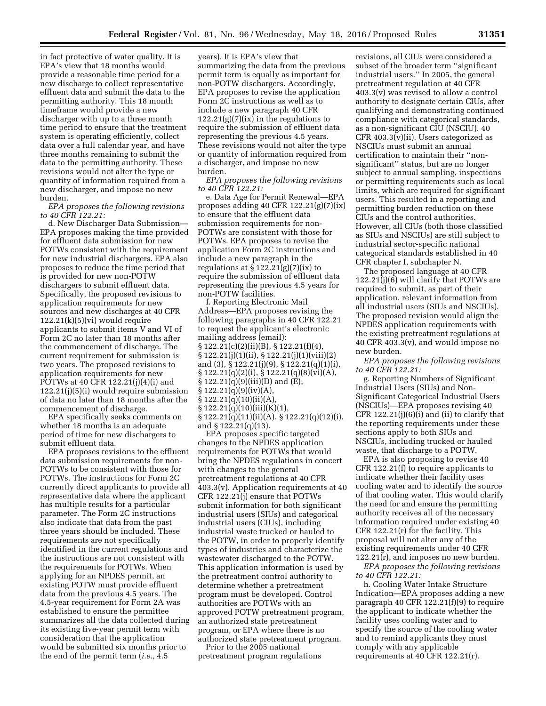in fact protective of water quality. It is EPA's view that 18 months would provide a reasonable time period for a new discharge to collect representative effluent data and submit the data to the permitting authority. This 18 month timeframe would provide a new discharger with up to a three month time period to ensure that the treatment system is operating efficiently, collect data over a full calendar year, and have three months remaining to submit the data to the permitting authority. These revisions would not alter the type or quantity of information required from a new discharger, and impose no new burden.

*EPA proposes the following revisions to 40 CFR 122.21:* 

d. New Discharger Data Submission— EPA proposes making the time provided for effluent data submission for new POTWs consistent with the requirement for new industrial dischargers. EPA also proposes to reduce the time period that is provided for new non-POTW dischargers to submit effluent data. Specifically, the proposed revisions to application requirements for new sources and new discharges at 40 CFR  $122.21(k)(5)(vi)$  would require applicants to submit items V and VI of Form 2C no later than 18 months after the commencement of discharge. The current requirement for submission is two years. The proposed revisions to application requirements for new POTWs at 40 CFR 122.21(j)(4)(i) and 122.21(j)(5)(i) would require submission of data no later than 18 months after the commencement of discharge.

EPA specifically seeks comments on whether 18 months is an adequate period of time for new dischargers to submit effluent data.

EPA proposes revisions to the effluent data submission requirements for non-POTWs to be consistent with those for POTWs. The instructions for Form 2C currently direct applicants to provide all representative data where the applicant has multiple results for a particular parameter. The Form 2C instructions also indicate that data from the past three years should be included. These requirements are not specifically identified in the current regulations and the instructions are not consistent with the requirements for POTWs. When applying for an NPDES permit, an existing POTW must provide effluent data from the previous 4.5 years. The 4.5-year requirement for Form 2A was established to ensure the permittee summarizes all the data collected during its existing five-year permit term with consideration that the application would be submitted six months prior to the end of the permit term (*i.e.,* 4.5

years). It is EPA's view that summarizing the data from the previous permit term is equally as important for non-POTW dischargers. Accordingly, EPA proposes to revise the application Form 2C instructions as well as to include a new paragraph 40 CFR 122.21(g)(7)(ix) in the regulations to require the submission of effluent data representing the previous 4.5 years. These revisions would not alter the type or quantity of information required from a discharger, and impose no new burden.

*EPA proposes the following revisions to 40 CFR 122.21:* 

e. Data Age for Permit Renewal—EPA proposes adding 40 CFR  $122.21(g)(7)(ix)$ to ensure that the effluent data submission requirements for non-POTWs are consistent with those for POTWs. EPA proposes to revise the application Form 2C instructions and include a new paragraph in the regulations at  $\S 122.21(g)(7)(ix)$  to require the submission of effluent data representing the previous 4.5 years for non-POTW facilities.

f. Reporting Electronic Mail Address—EPA proposes revising the following paragraphs in 40 CFR 122.21 to request the applicant's electronic mailing address (email): § 122.21(c)(2)(ii)(B), § 122.21(f)(4), § 122.21(j)(1)(ii), § 122.21(j)(1)(viii)(2) and (3), § 122.21(j)(9), § 122.21(q)(1)(i), § 122.21(q)(2)(i), § 122.21(q)(8)(vi)(A), § 122.21(q)(9)(iii)(D) and (E), § 122.21(q)(9)(iv)(A),  $§ 122.21(q)(10)(ii)(A)$  $\S 122.21(q)(10)(iii)(K)(1),$ § 122.21(q)(11)(ii)(A), § 122.21(q)(12)(i), and § 122.21(q)(13).

EPA proposes specific targeted changes to the NPDES application requirements for POTWs that would bring the NPDES regulations in concert with changes to the general pretreatment regulations at 40 CFR 403.3(v). Application requirements at 40 CFR 122.21(j) ensure that POTWs submit information for both significant industrial users (SIUs) and categorical industrial users (CIUs), including industrial waste trucked or hauled to the POTW, in order to properly identify types of industries and characterize the wastewater discharged to the POTW. This application information is used by the pretreatment control authority to determine whether a pretreatment program must be developed. Control authorities are POTWs with an approved POTW pretreatment program, an authorized state pretreatment program, or EPA where there is no authorized state pretreatment program.

Prior to the 2005 national pretreatment program regulations

revisions, all CIUs were considered a subset of the broader term ''significant industrial users.'' In 2005, the general pretreatment regulation at 40 CFR 403.3(v) was revised to allow a control authority to designate certain CIUs, after qualifying and demonstrating continued compliance with categorical standards, as a non-significant CIU (NSCIU). 40 CFR 403.3(v)(ii). Users categorized as NSCIUs must submit an annual certification to maintain their ''nonsignificant'' status, but are no longer subject to annual sampling, inspections or permitting requirements such as local limits, which are required for significant users. This resulted in a reporting and permitting burden reduction on these CIUs and the control authorities. However, all CIUs (both those classified as SIUs and NSCIUs) are still subject to industrial sector-specific national categorical standards established in 40 CFR chapter I, subchapter N.

The proposed language at 40 CFR 122.21(j)(6) will clarify that POTWs are required to submit, as part of their application, relevant information from all industrial users (SIUs and NSCIUs). The proposed revision would align the NPDES application requirements with the existing pretreatment regulations at 40 CFR 403.3(v), and would impose no new burden.

*EPA proposes the following revisions to 40 CFR 122.21:* 

g. Reporting Numbers of Significant Industrial Users (SIUs) and Non-Significant Categorical Industrial Users (NSCIUs)—EPA proposes revising 40 CFR  $122.21(j)(6)(i)$  and (ii) to clarify that the reporting requirements under these sections apply to both SIUs and NSCIUs, including trucked or hauled waste, that discharge to a POTW.

EPA is also proposing to revise 40 CFR 122.21(f) to require applicants to indicate whether their facility uses cooling water and to identify the source of that cooling water. This would clarify the need for and ensure the permitting authority receives all of the necessary information required under existing 40 CFR 122.21(r) for the facility. This proposal will not alter any of the existing requirements under 40 CFR 122.21(r), and imposes no new burden.

*EPA proposes the following revisions to 40 CFR 122.21:* 

h. Cooling Water Intake Structure Indication—EPA proposes adding a new paragraph 40 CFR 122.21(f)(9) to require the applicant to indicate whether the facility uses cooling water and to specify the source of the cooling water and to remind applicants they must comply with any applicable requirements at 40 CFR 122.21(r).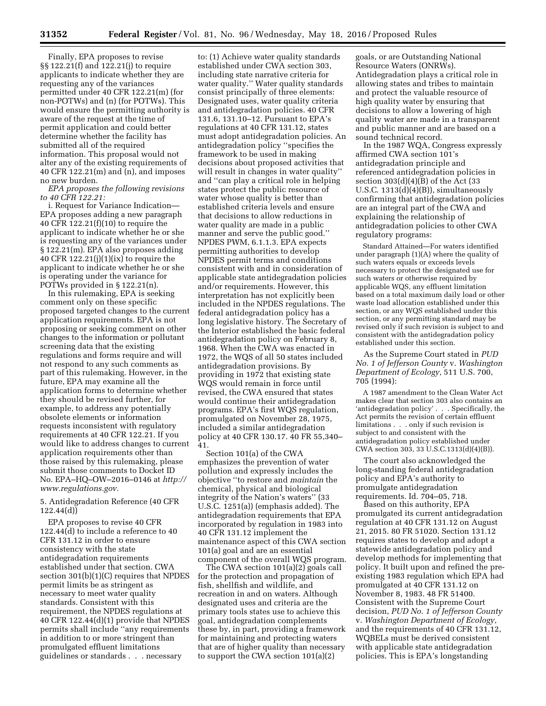Finally, EPA proposes to revise §§ 122.21(f) and 122.21(j) to require applicants to indicate whether they are requesting any of the variances permitted under 40 CFR 122.21(m) (for non-POTWs) and (n) (for POTWs). This would ensure the permitting authority is aware of the request at the time of permit application and could better determine whether the facility has submitted all of the required information. This proposal would not alter any of the existing requirements of 40 CFR 122.21(m) and (n), and imposes no new burden.

*EPA proposes the following revisions to 40 CFR 122.21:* 

i. Request for Variance Indication— EPA proposes adding a new paragraph 40 CFR 122.21(f)(10) to require the applicant to indicate whether he or she is requesting any of the variances under § 122.21(m). EPA also proposes adding 40 CFR 122.21(j)(1)(ix) to require the applicant to indicate whether he or she is operating under the variance for POTWs provided in § 122.21(n).

In this rulemaking, EPA is seeking comment only on these specific proposed targeted changes to the current application requirements. EPA is not proposing or seeking comment on other changes to the information or pollutant screening data that the existing regulations and forms require and will not respond to any such comments as part of this rulemaking. However, in the future, EPA may examine all the application forms to determine whether they should be revised further, for example, to address any potentially obsolete elements or information requests inconsistent with regulatory requirements at 40 CFR 122.21. If you would like to address changes to current application requirements other than those raised by this rulemaking, please submit those comments to Docket ID No. EPA–HQ–OW–2016–0146 at *[http://](http://www.regulations.gov)  [www.regulations.gov.](http://www.regulations.gov)* 

5. Antidegradation Reference (40 CFR 122.44(d))

EPA proposes to revise 40 CFR 122.44(d) to include a reference to 40 CFR 131.12 in order to ensure consistency with the state antidegradation requirements established under that section. CWA section 301(b)(1)(C) requires that NPDES permit limits be as stringent as necessary to meet water quality standards. Consistent with this requirement, the NPDES regulations at 40 CFR 122.44(d)(1) provide that NPDES permits shall include ''any requirements in addition to or more stringent than promulgated effluent limitations guidelines or standards . . . necessary

to: (1) Achieve water quality standards established under CWA section 303, including state narrative criteria for water quality.'' Water quality standards consist principally of three elements: Designated uses, water quality criteria and antidegradation policies. 40 CFR 131.6, 131.10–12. Pursuant to EPA's regulations at 40 CFR 131.12, states must adopt antidegradation policies. An antidegradation policy ''specifies the framework to be used in making decisions about proposed activities that will result in changes in water quality'' and ''can play a critical role in helping states protect the public resource of water whose quality is better than established criteria levels and ensure that decisions to allow reductions in water quality are made in a public manner and serve the public good.'' NPDES PWM, 6.1.1.3. EPA expects permitting authorities to develop NPDES permit terms and conditions consistent with and in consideration of applicable state antidegradation policies and/or requirements. However, this interpretation has not explicitly been included in the NPDES regulations. The federal antidegradation policy has a long legislative history. The Secretary of the Interior established the basic federal antidegradation policy on February 8, 1968. When the CWA was enacted in 1972, the WQS of all 50 states included antidegradation provisions. By providing in 1972 that existing state WQS would remain in force until revised, the CWA ensured that states would continue their antidegradation programs. EPA's first WQS regulation, promulgated on November 28, 1975, included a similar antidegradation policy at 40 CFR 130.17. 40 FR 55,340– 41.

Section 101(a) of the CWA emphasizes the prevention of water pollution and expressly includes the objective ''to restore and *maintain* the chemical, physical and biological integrity of the Nation's waters'' (33 U.S.C. 1251(a)) (emphasis added). The antidegradation requirements that EPA incorporated by regulation in 1983 into 40 CFR 131.12 implement the maintenance aspect of this CWA section 101(a) goal and are an essential component of the overall WQS program.

The CWA section 101(a)(2) goals call for the protection and propagation of fish, shellfish and wildlife, and recreation in and on waters. Although designated uses and criteria are the primary tools states use to achieve this goal, antidegradation complements these by, in part, providing a framework for maintaining and protecting waters that are of higher quality than necessary to support the CWA section 101(a)(2)

goals, or are Outstanding National Resource Waters (ONRWs). Antidegradation plays a critical role in allowing states and tribes to maintain and protect the valuable resource of high quality water by ensuring that decisions to allow a lowering of high quality water are made in a transparent and public manner and are based on a sound technical record.

In the 1987 WQA, Congress expressly affirmed CWA section 101's antidegradation principle and referenced antidegradation policies in section  $303(d)(4)(B)$  of the Act (33 U.S.C. 1313(d)(4)(B)), simultaneously confirming that antidegradation policies are an integral part of the CWA and explaining the relationship of antidegradation policies to other CWA regulatory programs:

Standard Attained—For waters identified under paragraph (1)(A) where the quality of such waters equals or exceeds levels necessary to protect the designated use for such waters or otherwise required by applicable WQS, any effluent limitation based on a total maximum daily load or other waste load allocation established under this section, or any WQS established under this section, or any permitting standard may be revised only if such revision is subject to and consistent with the antidegradation policy established under this section.

As the Supreme Court stated in *PUD No. 1 of Jefferson County* v. *Washington Department of Ecology,* 511 U.S. 700, 705 (1994):

A 1987 amendment to the Clean Water Act makes clear that section 303 also contains an 'antidegradation policy' . . . Specifically, the Act permits the revision of certain effluent limitations . . . only if such revision is subject to and consistent with the antidegradation policy established under CWA section 303, 33 U.S.C.1313(d)(4)(B)).

The court also acknowledged the long-standing federal antidegradation policy and EPA's authority to promulgate antidegradation requirements. Id. 704–05, 718.

Based on this authority, EPA promulgated its current antidegradation regulation at 40 CFR 131.12 on August 21, 2015. 80 FR 51020. Section 131.12 requires states to develop and adopt a statewide antidegradation policy and develop methods for implementing that policy. It built upon and refined the preexisting 1983 regulation which EPA had promulgated at 40 CFR 131.12 on November 8, 1983. 48 FR 51400. Consistent with the Supreme Court decision, *PUD No. 1 of Jefferson County*  v. *Washington Department of Ecology,*  and the requirements of 40 CFR 131.12, WQBELs must be derived consistent with applicable state antidegradation policies. This is EPA's longstanding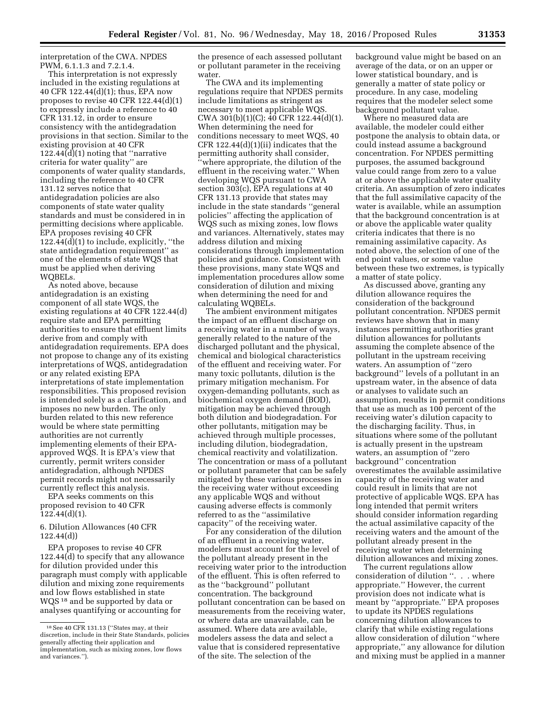interpretation of the CWA. NPDES PWM, 6.1.1.3 and 7.2.1.4.

This interpretation is not expressly included in the existing regulations at 40 CFR 122.44(d)(1); thus, EPA now proposes to revise 40 CFR 122.44(d)(1) to expressly include a reference to 40 CFR 131.12, in order to ensure consistency with the antidegradation provisions in that section. Similar to the existing provision at 40 CFR 122.44(d)(1) noting that ''narrative criteria for water quality'' are components of water quality standards, including the reference to 40 CFR 131.12 serves notice that antidegradation policies are also components of state water quality standards and must be considered in in permitting decisions where applicable. EPA proposes revising 40 CFR 122.44(d)(1) to include, explicitly, ''the state antidegradation requirement'' as one of the elements of state WQS that must be applied when deriving WQBELs.

As noted above, because antidegradation is an existing component of all state WQS, the existing regulations at 40 CFR 122.44(d) require state and EPA permitting authorities to ensure that effluent limits derive from and comply with antidegradation requirements. EPA does not propose to change any of its existing interpretations of WQS, antidegradation or any related existing EPA interpretations of state implementation responsibilities. This proposed revision is intended solely as a clarification, and imposes no new burden. The only burden related to this new reference would be where state permitting authorities are not currently implementing elements of their EPAapproved WQS. It is EPA's view that currently, permit writers consider antidegradation, although NPDES permit records might not necessarily currently reflect this analysis.

EPA seeks comments on this proposed revision to 40 CFR 122.44(d)(1).

6. Dilution Allowances (40 CFR 122.44(d))

EPA proposes to revise 40 CFR 122.44(d) to specify that any allowance for dilution provided under this paragraph must comply with applicable dilution and mixing zone requirements and low flows established in state WQS 18 and be supported by data or analyses quantifying or accounting for

the presence of each assessed pollutant or pollutant parameter in the receiving water.

The CWA and its implementing regulations require that NPDES permits include limitations as stringent as necessary to meet applicable WQS. CWA 301(b)(1)(C); 40 CFR 122.44(d)(1). When determining the need for conditions necessary to meet WQS, 40 CFR 122.44(d)(1)(ii) indicates that the permitting authority shall consider, ''where appropriate, the dilution of the effluent in the receiving water.'' When developing WQS pursuant to CWA section 303(c), EPA regulations at 40 CFR 131.13 provide that states may include in the state standards ''general policies'' affecting the application of WQS such as mixing zones, low flows and variances. Alternatively, states may address dilution and mixing considerations through implementation policies and guidance. Consistent with these provisions, many state WQS and implementation procedures allow some consideration of dilution and mixing when determining the need for and calculating WQBELs.

The ambient environment mitigates the impact of an effluent discharge on a receiving water in a number of ways, generally related to the nature of the discharged pollutant and the physical, chemical and biological characteristics of the effluent and receiving water. For many toxic pollutants, dilution is the primary mitigation mechanism. For oxygen-demanding pollutants, such as biochemical oxygen demand (BOD), mitigation may be achieved through both dilution and biodegradation. For other pollutants, mitigation may be achieved through multiple processes, including dilution, biodegradation, chemical reactivity and volatilization. The concentration or mass of a pollutant or pollutant parameter that can be safely mitigated by these various processes in the receiving water without exceeding any applicable WQS and without causing adverse effects is commonly referred to as the ''assimilative capacity'' of the receiving water.

For any consideration of the dilution of an effluent in a receiving water, modelers must account for the level of the pollutant already present in the receiving water prior to the introduction of the effluent. This is often referred to as the ''background'' pollutant concentration. The background pollutant concentration can be based on measurements from the receiving water, or where data are unavailable, can be assumed. Where data are available, modelers assess the data and select a value that is considered representative of the site. The selection of the

background value might be based on an average of the data, or on an upper or lower statistical boundary, and is generally a matter of state policy or procedure. In any case, modeling requires that the modeler select some background pollutant value.

Where no measured data are available, the modeler could either postpone the analysis to obtain data, or could instead assume a background concentration. For NPDES permitting purposes, the assumed background value could range from zero to a value at or above the applicable water quality criteria. An assumption of zero indicates that the full assimilative capacity of the water is available, while an assumption that the background concentration is at or above the applicable water quality criteria indicates that there is no remaining assimilative capacity. As noted above, the selection of one of the end point values, or some value between these two extremes, is typically a matter of state policy.

As discussed above, granting any dilution allowance requires the consideration of the background pollutant concentration. NPDES permit reviews have shown that in many instances permitting authorities grant dilution allowances for pollutants assuming the complete absence of the pollutant in the upstream receiving waters. An assumption of ''zero background'' levels of a pollutant in an upstream water, in the absence of data or analyses to validate such an assumption, results in permit conditions that use as much as 100 percent of the receiving water's dilution capacity to the discharging facility. Thus, in situations where some of the pollutant is actually present in the upstream waters, an assumption of ''zero background'' concentration overestimates the available assimilative capacity of the receiving water and could result in limits that are not protective of applicable WQS. EPA has long intended that permit writers should consider information regarding the actual assimilative capacity of the receiving waters and the amount of the pollutant already present in the receiving water when determining dilution allowances and mixing zones.

The current regulations allow consideration of dilution ''. . . where appropriate.'' However, the current provision does not indicate what is meant by ''appropriate.'' EPA proposes to update its NPDES regulations concerning dilution allowances to clarify that while existing regulations allow consideration of dilution ''where appropriate,'' any allowance for dilution and mixing must be applied in a manner

<sup>&</sup>lt;sup>18</sup> See 40 CFR 131.13 ("States may, at their discretion, include in their State Standards, policies generally affecting their application and implementation, such as mixing zones, low flows and variances.'').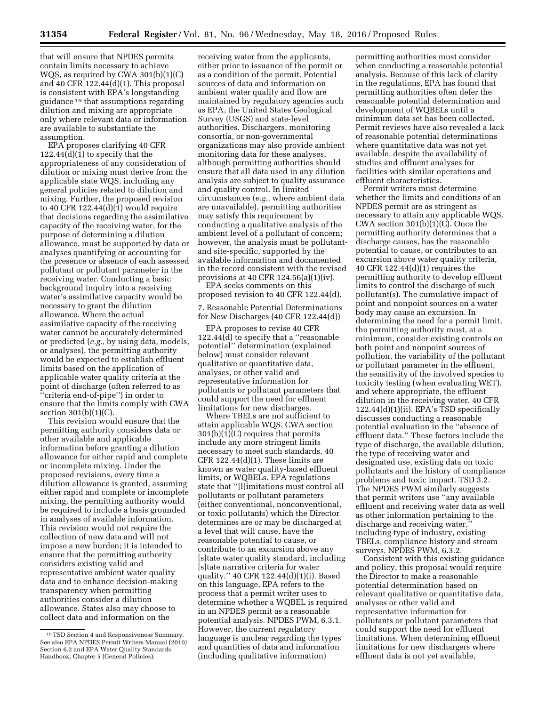that will ensure that NPDES permits contain limits necessary to achieve WQS, as required by CWA 301(b)(1)(C) and 40 CFR 122.44(d)(1). This proposal is consistent with EPA's longstanding guidance 19 that assumptions regarding dilution and mixing are appropriate only where relevant data or information are available to substantiate the assumption.

EPA proposes clarifying 40 CFR 122.44(d)(1) to specify that the appropriateness of any consideration of dilution or mixing must derive from the applicable state WQS, including any general policies related to dilution and mixing. Further, the proposed revision to 40 CFR 122.44(d)(1) would require that decisions regarding the assimilative capacity of the receiving water, for the purpose of determining a dilution allowance, must be supported by data or analyses quantifying or accounting for the presence or absence of each assessed pollutant or pollutant parameter in the receiving water. Conducting a basic background inquiry into a receiving water's assimilative capacity would be necessary to grant the dilution allowance. Where the actual assimilative capacity of the receiving water cannot be accurately determined or predicted (*e.g.,* by using data, models, or analyses), the permitting authority would be expected to establish effluent limits based on the application of applicable water quality criteria at the point of discharge (often referred to as ''criteria end-of-pipe'') in order to ensure that the limits comply with CWA section 301(b)(1)(C).

This revision would ensure that the permitting authority considers data or other available and applicable information before granting a dilution allowance for either rapid and complete or incomplete mixing. Under the proposed revisions, every time a dilution allowance is granted, assuming either rapid and complete or incomplete mixing, the permitting authority would be required to include a basis grounded in analyses of available information. This revision would not require the collection of new data and will not impose a new burden; it is intended to ensure that the permitting authority considers existing valid and representative ambient water quality data and to enhance decision-making transparency when permitting authorities consider a dilution allowance. States also may choose to collect data and information on the

receiving water from the applicants, either prior to issuance of the permit or as a condition of the permit. Potential sources of data and information on ambient water quality and flow are maintained by regulatory agencies such as EPA, the United States Geological Survey (USGS) and state-level authorities. Dischargers, monitoring consortia, or non-governmental organizations may also provide ambient monitoring data for these analyses, although permitting authorities should ensure that all data used in any dilution analysis are subject to quality assurance and quality control. In limited circumstances (*e.g.,* where ambient data are unavailable), permitting authorities may satisfy this requirement by conducting a qualitative analysis of the ambient level of a pollutant of concern; however, the analysis must be pollutantand site-specific, supported by the available information and documented in the record consistent with the revised provisions at 40 CFR 124.56(a)(1)(iv).

EPA seeks comments on this proposed revision to 40 CFR 122.44(d).

7. Reasonable Potential Determinations for New Discharges (40 CFR 122.44(d))

EPA proposes to revise 40 CFR  $122.44(d)$  to specify that a "reasonable potential'' determination (explained below) must consider relevant qualitative or quantitative data, analyses, or other valid and representative information for pollutants or pollutant parameters that could support the need for effluent limitations for new discharges.

Where TBELs are not sufficient to attain applicable WQS, CWA section 301(b)(1)(C) requires that permits include any more stringent limits necessary to meet such standards. 40 CFR  $122.44(d)(1)$ . These limits are known as water quality-based effluent limits, or WQBELs. EPA regulations state that ''[l]imitations must control all pollutants or pollutant parameters (either conventional, nonconventional, or toxic pollutants) which the Director determines are or may be discharged at a level that will cause, have the reasonable potential to cause, or contribute to an excursion above any [s]tate water quality standard, including [s]tate narrative criteria for water quality.'' 40 CFR 122.44(d)(1)(i). Based on this language, EPA refers to the process that a permit writer uses to determine whether a WQBEL is required in an NPDES permit as a reasonable potential analysis. NPDES PWM, 6.3.1. However, the current regulatory language is unclear regarding the types and quantities of data and information (including qualitative information)

permitting authorities must consider when conducting a reasonable potential analysis. Because of this lack of clarity in the regulations, EPA has found that permitting authorities often defer the reasonable potential determination and development of WQBELs until a minimum data set has been collected. Permit reviews have also revealed a lack of reasonable potential determinations where quantitative data was not yet available, despite the availability of studies and effluent analyses for facilities with similar operations and effluent characteristics.

Permit writers must determine whether the limits and conditions of an NPDES permit are as stringent as necessary to attain any applicable WQS. CWA section  $301(b)(1)(C)$ . Once the permitting authority determines that a discharge causes, has the reasonable potential to cause, or contributes to an excursion above water quality criteria, 40 CFR 122.44(d)(1) requires the permitting authority to develop effluent limits to control the discharge of such pollutant(s). The cumulative impact of point and nonpoint sources on a water body may cause an excursion. In determining the need for a permit limit, the permitting authority must, at a minimum, consider existing controls on both point and nonpoint sources of pollution, the variability of the pollutant or pollutant parameter in the effluent, the sensitivity of the involved species to toxicity testing (when evaluating WET), and where appropriate, the effluent dilution in the receiving water. 40 CFR 122.44(d)(1)(ii). EPA's TSD specifically discusses conducting a reasonable potential evaluation in the ''absence of effluent data.'' These factors include the type of discharge, the available dilution, the type of receiving water and designated use, existing data on toxic pollutants and the history of compliance problems and toxic impact. TSD 3.2. The NPDES PWM similarly suggests that permit writers use ''any available effluent and receiving water data as well as other information pertaining to the discharge and receiving water, including type of industry, existing TBELs, compliance history and stream surveys. NPDES PWM, 6.3.2.

Consistent with this existing guidance and policy, this proposal would require the Director to make a reasonable potential determination based on relevant qualitative or quantitative data, analyses or other valid and representative information for pollutants or pollutant parameters that could support the need for effluent limitations. When determining effluent limitations for new dischargers where effluent data is not yet available,

<sup>19</sup>TSD Section 4 and Responsiveness Summary. See also EPA NPDES Permit Writers Manual (2010) Section 6.2 and EPA Water Quality Standards Handbook, Chapter 5 (General Policies).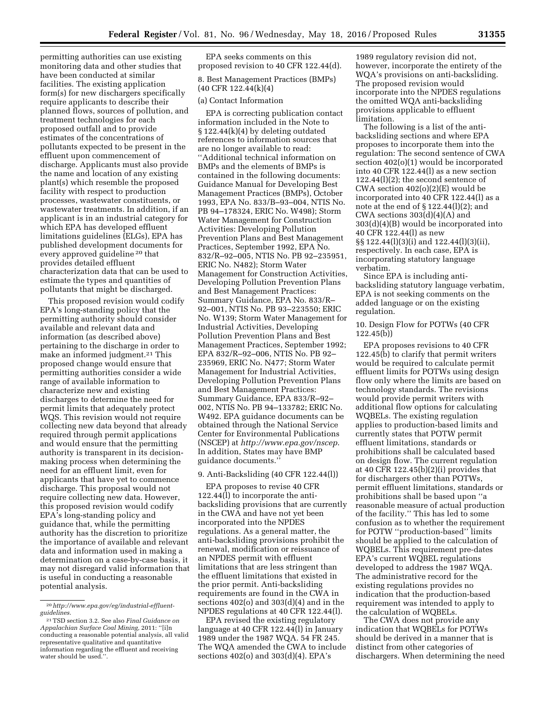permitting authorities can use existing monitoring data and other studies that have been conducted at similar facilities. The existing application form(s) for new dischargers specifically require applicants to describe their planned flows, sources of pollution, and treatment technologies for each proposed outfall and to provide estimates of the concentrations of pollutants expected to be present in the effluent upon commencement of discharge. Applicants must also provide the name and location of any existing plant(s) which resemble the proposed facility with respect to production processes, wastewater constituents, or wastewater treatments. In addition, if an applicant is in an industrial category for which EPA has developed effluent limitations guidelines (ELGs), EPA has published development documents for every approved guideline 20 that provides detailed effluent characterization data that can be used to estimate the types and quantities of pollutants that might be discharged.

This proposed revision would codify EPA's long-standing policy that the permitting authority should consider available and relevant data and information (as described above) pertaining to the discharge in order to make an informed judgment.<sup>21</sup> This proposed change would ensure that permitting authorities consider a wide range of available information to characterize new and existing discharges to determine the need for permit limits that adequately protect WQS. This revision would not require collecting new data beyond that already required through permit applications and would ensure that the permitting authority is transparent in its decisionmaking process when determining the need for an effluent limit, even for applicants that have yet to commence discharge. This proposal would not require collecting new data. However, this proposed revision would codify EPA's long-standing policy and guidance that, while the permitting authority has the discretion to prioritize the importance of available and relevant data and information used in making a determination on a case-by-case basis, it may not disregard valid information that is useful in conducting a reasonable potential analysis.

EPA seeks comments on this proposed revision to 40 CFR 122.44(d).

# 8. Best Management Practices (BMPs) (40 CFR 122.44(k)(4)

#### (a) Contact Information

EPA is correcting publication contact information included in the Note to § 122.44(k)(4) by deleting outdated references to information sources that are no longer available to read: ''Additional technical information on BMPs and the elements of BMPs is contained in the following documents: Guidance Manual for Developing Best Management Practices (BMPs), October 1993, EPA No. 833/B–93–004, NTIS No. PB 94–178324, ERIC No. W498); Storm Water Management for Construction Activities: Developing Pollution Prevention Plans and Best Management Practices, September 1992, EPA No. 832/R–92–005, NTIS No. PB 92–235951, ERIC No. N482); Storm Water Management for Construction Activities, Developing Pollution Prevention Plans and Best Management Practices: Summary Guidance, EPA No. 833/R– 92–001, NTIS No. PB 93–223550; ERIC No. W139; Storm Water Management for Industrial Activities, Developing Pollution Prevention Plans and Best Management Practices, September 1992; EPA 832/R–92–006, NTIS No. PB 92– 235969, ERIC No. N477; Storm Water Management for Industrial Activities, Developing Pollution Prevention Plans and Best Management Practices: Summary Guidance, EPA 833/R–92– 002, NTIS No. PB 94–133782; ERIC No. W492. EPA guidance documents can be obtained through the National Service Center for Environmental Publications (NSCEP) at *<http://www.epa.gov/nscep>*. In addition, States may have BMP guidance documents.''

#### 9. Anti-Backsliding (40 CFR 122.44(l))

EPA proposes to revise 40 CFR 122.44(l) to incorporate the antibacksliding provisions that are currently in the CWA and have not yet been incorporated into the NPDES regulations. As a general matter, the anti-backsliding provisions prohibit the renewal, modification or reissuance of an NPDES permit with effluent limitations that are less stringent than the effluent limitations that existed in the prior permit. Anti-backsliding requirements are found in the CWA in sections 402(o) and 303(d)(4) and in the NPDES regulations at 40 CFR 122.44(l).

EPA revised the existing regulatory language at 40 CFR 122.44(l) in January 1989 under the 1987 WQA. 54 FR 245. The WQA amended the CWA to include sections 402(o) and 303(d)(4). EPA's

1989 regulatory revision did not, however, incorporate the entirety of the WQA's provisions on anti-backsliding. The proposed revision would incorporate into the NPDES regulations the omitted WQA anti-backsliding provisions applicable to effluent limitation.

The following is a list of the antibacksliding sections and where EPA proposes to incorporate them into the regulation: The second sentence of CWA section 402(o)(1) would be incorporated into 40 CFR 122.44(l) as a new section 122.44(l)(2); the second sentence of CWA section 402(o)(2)(E) would be incorporated into 40 CFR 122.44(l) as a note at the end of  $\S 122.44(l)(2)$ ; and CWA sections 303(d)(4)(A) and 303(d)(4)(B) would be incorporated into 40 CFR 122.44(l) as new §§ 122.44(l)(3)(i) and 122.44(l)(3)(ii), respectively. In each case, EPA is incorporating statutory language verbatim.

Since EPA is including antibacksliding statutory language verbatim, EPA is not seeking comments on the added language or on the existing regulation.

10. Design Flow for POTWs (40 CFR 122.45(b))

EPA proposes revisions to 40 CFR 122.45(b) to clarify that permit writers would be required to calculate permit effluent limits for POTWs using design flow only where the limits are based on technology standards. The revisions would provide permit writers with additional flow options for calculating WQBELs. The existing regulation applies to production-based limits and currently states that POTW permit effluent limitations, standards or prohibitions shall be calculated based on design flow. The current regulation at 40 CFR 122.45(b)(2)(i) provides that for dischargers other than POTWs, permit effluent limitations, standards or prohibitions shall be based upon ''a reasonable measure of actual production of the facility.'' This has led to some confusion as to whether the requirement for POTW ''production-based'' limits should be applied to the calculation of WQBELs. This requirement pre-dates EPA's current WQBEL regulations developed to address the 1987 WQA. The administrative record for the existing regulations provides no indication that the production-based requirement was intended to apply to the calculation of WQBELs.

The CWA does not provide any indication that WQBELs for POTWs should be derived in a manner that is distinct from other categories of dischargers. When determining the need

<sup>20</sup>*[http://www.epa.gov/eg/industrial-effluent](http://www.epa.gov/eg/industrial-effluent-guidelines)[guidelines](http://www.epa.gov/eg/industrial-effluent-guidelines)*.

<sup>21</sup>TSD section 3.2. See also *Final Guidance on Appalachian Surface Coal Mining,* 2011: ''[i]n conducting a reasonable potential analysis, all valid representative qualitative and quantitative information regarding the effluent and receiving water should be used.''.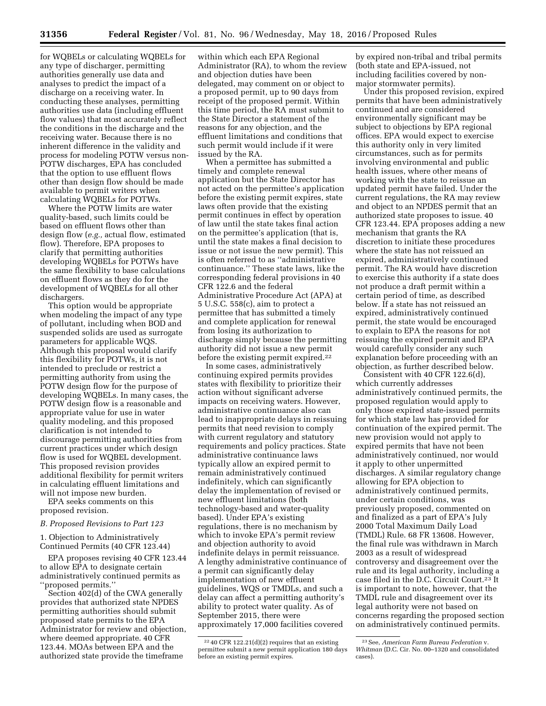for WQBELs or calculating WQBELs for any type of discharger, permitting authorities generally use data and analyses to predict the impact of a discharge on a receiving water. In conducting these analyses, permitting authorities use data (including effluent flow values) that most accurately reflect the conditions in the discharge and the receiving water. Because there is no inherent difference in the validity and process for modeling POTW versus non-POTW discharges, EPA has concluded that the option to use effluent flows other than design flow should be made available to permit writers when calculating WQBELs for POTWs.

Where the POTW limits are water quality-based, such limits could be based on effluent flows other than design flow (*e.g.,* actual flow, estimated flow). Therefore, EPA proposes to clarify that permitting authorities developing WQBELs for POTWs have the same flexibility to base calculations on effluent flows as they do for the development of WQBELs for all other dischargers.

This option would be appropriate when modeling the impact of any type of pollutant, including when BOD and suspended solids are used as surrogate parameters for applicable WQS. Although this proposal would clarify this flexibility for POTWs, it is not intended to preclude or restrict a permitting authority from using the POTW design flow for the purpose of developing WQBELs. In many cases, the POTW design flow is a reasonable and appropriate value for use in water quality modeling, and this proposed clarification is not intended to discourage permitting authorities from current practices under which design flow is used for WQBEL development. This proposed revision provides additional flexibility for permit writers in calculating effluent limitations and will not impose new burden.

EPA seeks comments on this proposed revision.

#### *B. Proposed Revisions to Part 123*

1. Objection to Administratively Continued Permits (40 CFR 123.44)

EPA proposes revising 40 CFR 123.44 to allow EPA to designate certain administratively continued permits as ''proposed permits.''

Section 402(d) of the CWA generally provides that authorized state NPDES permitting authorities should submit proposed state permits to the EPA Administrator for review and objection, where deemed appropriate. 40 CFR 123.44. MOAs between EPA and the authorized state provide the timeframe

within which each EPA Regional Administrator (RA), to whom the review and objection duties have been delegated, may comment on or object to a proposed permit, up to 90 days from receipt of the proposed permit. Within this time period, the RA must submit to the State Director a statement of the reasons for any objection, and the effluent limitations and conditions that such permit would include if it were issued by the RA.

When a permittee has submitted a timely and complete renewal application but the State Director has not acted on the permittee's application before the existing permit expires, state laws often provide that the existing permit continues in effect by operation of law until the state takes final action on the permittee's application (that is, until the state makes a final decision to issue or not issue the new permit). This is often referred to as ''administrative continuance.'' These state laws, like the corresponding federal provisions in 40 CFR 122.6 and the federal Administrative Procedure Act (APA) at 5 U.S.C. 558(c), aim to protect a permittee that has submitted a timely and complete application for renewal from losing its authorization to discharge simply because the permitting authority did not issue a new permit before the existing permit expired.<sup>22</sup>

In some cases, administratively continuing expired permits provides states with flexibility to prioritize their action without significant adverse impacts on receiving waters. However, administrative continuance also can lead to inappropriate delays in reissuing permits that need revision to comply with current regulatory and statutory requirements and policy practices. State administrative continuance laws typically allow an expired permit to remain administratively continued indefinitely, which can significantly delay the implementation of revised or new effluent limitations (both technology-based and water-quality based). Under EPA's existing regulations, there is no mechanism by which to invoke EPA's permit review and objection authority to avoid indefinite delays in permit reissuance. A lengthy administrative continuance of a permit can significantly delay implementation of new effluent guidelines, WQS or TMDLs, and such a delay can affect a permitting authority's ability to protect water quality. As of September 2015, there were approximately 17,000 facilities covered

by expired non-tribal and tribal permits (both state and EPA-issued, not including facilities covered by nonmajor stormwater permits).

Under this proposed revision, expired permits that have been administratively continued and are considered environmentally significant may be subject to objections by EPA regional offices. EPA would expect to exercise this authority only in very limited circumstances, such as for permits involving environmental and public health issues, where other means of working with the state to reissue an updated permit have failed. Under the current regulations, the RA may review and object to an NPDES permit that an authorized state proposes to issue. 40 CFR 123.44. EPA proposes adding a new mechanism that grants the RA discretion to initiate these procedures where the state has not reissued an expired, administratively continued permit. The RA would have discretion to exercise this authority if a state does not produce a draft permit within a certain period of time, as described below. If a state has not reissued an expired, administratively continued permit, the state would be encouraged to explain to EPA the reasons for not reissuing the expired permit and EPA would carefully consider any such explanation before proceeding with an objection, as further described below.

Consistent with 40 CFR 122.6(d), which currently addresses administratively continued permits, the proposed regulation would apply to only those expired state-issued permits for which state law has provided for continuation of the expired permit. The new provision would not apply to expired permits that have not been administratively continued, nor would it apply to other unpermitted discharges. A similar regulatory change allowing for EPA objection to administratively continued permits, under certain conditions, was previously proposed, commented on and finalized as a part of EPA's July 2000 Total Maximum Daily Load (TMDL) Rule. 68 FR 13608. However, the final rule was withdrawn in March 2003 as a result of widespread controversy and disagreement over the rule and its legal authority, including a case filed in the D.C. Circuit Court.23 It is important to note, however, that the TMDL rule and disagreement over its legal authority were not based on concerns regarding the proposed section on administratively continued permits.

 $2240$  CFR 122.21(d)(2) requires that an existing permittee submit a new permit application 180 days before an existing permit expires.

<sup>23</sup>See, *American Farm Bureau Federation* v. *Whitman* (D.C. Cir. No. 00–1320 and consolidated cases).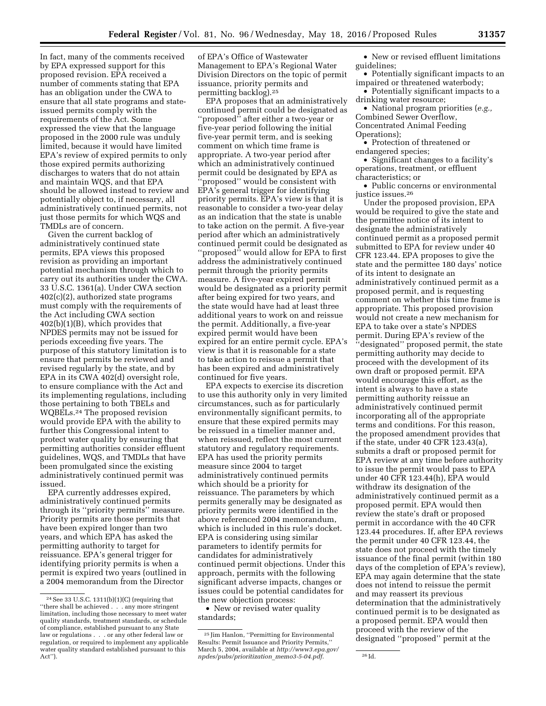In fact, many of the comments received by EPA expressed support for this proposed revision. EPA received a number of comments stating that EPA has an obligation under the CWA to ensure that all state programs and stateissued permits comply with the requirements of the Act. Some expressed the view that the language proposed in the 2000 rule was unduly limited, because it would have limited EPA's review of expired permits to only those expired permits authorizing discharges to waters that do not attain and maintain WQS, and that EPA should be allowed instead to review and potentially object to, if necessary, all administratively continued permits, not just those permits for which WQS and TMDLs are of concern.

Given the current backlog of administratively continued state permits, EPA views this proposed revision as providing an important potential mechanism through which to carry out its authorities under the CWA. 33 U.S.C. 1361(a). Under CWA section 402(c)(2), authorized state programs must comply with the requirements of the Act including CWA section 402(b)(1)(B), which provides that NPDES permits may not be issued for periods exceeding five years. The purpose of this statutory limitation is to ensure that permits be reviewed and revised regularly by the state, and by EPA in its CWA 402(d) oversight role, to ensure compliance with the Act and its implementing regulations, including those pertaining to both TBELs and WQBELs.24 The proposed revision would provide EPA with the ability to further this Congressional intent to protect water quality by ensuring that permitting authorities consider effluent guidelines, WQS, and TMDLs that have been promulgated since the existing administratively continued permit was issued.

EPA currently addresses expired, administratively continued permits through its ''priority permits'' measure. Priority permits are those permits that have been expired longer than two years, and which EPA has asked the permitting authority to target for reissuance. EPA's general trigger for identifying priority permits is when a permit is expired two years (outlined in a 2004 memorandum from the Director

of EPA's Office of Wastewater Management to EPA's Regional Water Division Directors on the topic of permit issuance, priority permits and permitting backlog).25

EPA proposes that an administratively continued permit could be designated as ''proposed'' after either a two-year or five-year period following the initial five-year permit term, and is seeking comment on which time frame is appropriate. A two-year period after which an administratively continued permit could be designated by EPA as 'proposed'' would be consistent with EPA's general trigger for identifying priority permits. EPA's view is that it is reasonable to consider a two-year delay as an indication that the state is unable to take action on the permit. A five-year period after which an administratively continued permit could be designated as "proposed $\bar{v}$ " would allow for EPA to first address the administratively continued permit through the priority permits measure. A five-year expired permit would be designated as a priority permit after being expired for two years, and the state would have had at least three additional years to work on and reissue the permit. Additionally, a five-year expired permit would have been expired for an entire permit cycle. EPA's view is that it is reasonable for a state to take action to reissue a permit that has been expired and administratively continued for five years.

EPA expects to exercise its discretion to use this authority only in very limited circumstances, such as for particularly environmentally significant permits, to ensure that these expired permits may be reissued in a timelier manner and, when reissued, reflect the most current statutory and regulatory requirements. EPA has used the priority permits measure since 2004 to target administratively continued permits which should be a priority for reissuance. The parameters by which permits generally may be designated as priority permits were identified in the above referenced 2004 memorandum, which is included in this rule's docket. EPA is considering using similar parameters to identify permits for candidates for administratively continued permit objections. Under this approach, permits with the following significant adverse impacts, changes or issues could be potential candidates for the new objection process:

• New or revised water quality standards;

• New or revised effluent limitations guidelines;

• Potentially significant impacts to an impaired or threatened waterbody;

• Potentially significant impacts to a drinking water resource;

• National program priorities (*e.g.,*  Combined Sewer Overflow, Concentrated Animal Feeding Operations);

• Protection of threatened or endangered species;

• Significant changes to a facility's operations, treatment, or effluent characteristics; or

• Public concerns or environmental justice issues.26

Under the proposed provision, EPA would be required to give the state and the permittee notice of its intent to designate the administratively continued permit as a proposed permit submitted to EPA for review under 40 CFR 123.44. EPA proposes to give the state and the permittee 180 days' notice of its intent to designate an administratively continued permit as a proposed permit, and is requesting comment on whether this time frame is appropriate. This proposed provision would not create a new mechanism for EPA to take over a state's NPDES permit. During EPA's review of the ''designated'' proposed permit, the state permitting authority may decide to proceed with the development of its own draft or proposed permit. EPA would encourage this effort, as the intent is always to have a state permitting authority reissue an administratively continued permit incorporating all of the appropriate terms and conditions. For this reason, the proposed amendment provides that if the state, under 40 CFR 123.43(a), submits a draft or proposed permit for EPA review at any time before authority to issue the permit would pass to EPA under 40 CFR 123.44(h), EPA would withdraw its designation of the administratively continued permit as a proposed permit. EPA would then review the state's draft or proposed permit in accordance with the 40 CFR 123.44 procedures. If, after EPA reviews the permit under 40 CFR 123.44, the state does not proceed with the timely issuance of the final permit (within 180 days of the completion of EPA's review), EPA may again determine that the state does not intend to reissue the permit and may reassert its previous determination that the administratively continued permit is to be designated as a proposed permit. EPA would then proceed with the review of the designated ''proposed'' permit at the

<sup>24</sup>See 33 U.S.C. 1311(b)(1)(C) (requiring that ''there shall be achieved . . . any more stringent limitation, including those necessary to meet water quality standards, treatment standards, or schedule of compliance, established pursuant to any State law or regulations . . . or any other federal law or regulation, or required to implement any applicable water quality standard established pursuant to this Act'').

<sup>25</sup> Jim Hanlon, ''Permitting for Environmental Results: Permit Issuance and Priority Permits,'' March 5, 2004, available at *[http://www3.epa.gov/](http://www3.epa.gov/npdes/pubs/prioritization_memo3-5-04.pdf) [npdes/pubs/prioritization](http://www3.epa.gov/npdes/pubs/prioritization_memo3-5-04.pdf)*\_*memo3-5-04.pdf*. 26 Id.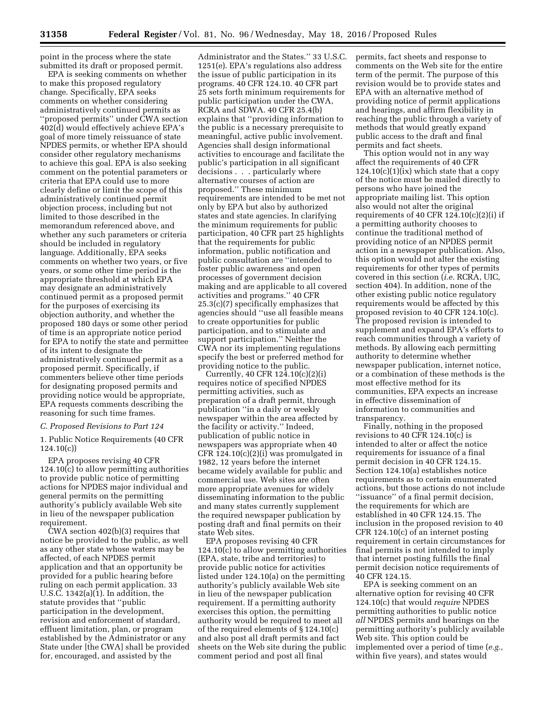point in the process where the state submitted its draft or proposed permit.

EPA is seeking comments on whether to make this proposed regulatory change. Specifically, EPA seeks comments on whether considering administratively continued permits as ''proposed permits'' under CWA section 402(d) would effectively achieve EPA's goal of more timely reissuance of state NPDES permits, or whether EPA should consider other regulatory mechanisms to achieve this goal. EPA is also seeking comment on the potential parameters or criteria that EPA could use to more clearly define or limit the scope of this administratively continued permit objection process, including but not limited to those described in the memorandum referenced above, and whether any such parameters or criteria should be included in regulatory language. Additionally, EPA seeks comments on whether two years, or five years, or some other time period is the appropriate threshold at which EPA may designate an administratively continued permit as a proposed permit for the purposes of exercising its objection authority, and whether the proposed 180 days or some other period of time is an appropriate notice period for EPA to notify the state and permittee of its intent to designate the administratively continued permit as a proposed permit. Specifically, if commenters believe other time periods for designating proposed permits and providing notice would be appropriate, EPA requests comments describing the reasoning for such time frames.

#### *C. Proposed Revisions to Part 124*

1. Public Notice Requirements (40 CFR 124.10(c))

EPA proposes revising 40 CFR 124.10(c) to allow permitting authorities to provide public notice of permitting actions for NPDES major individual and general permits on the permitting authority's publicly available Web site in lieu of the newspaper publication requirement.

CWA section 402(b)(3) requires that notice be provided to the public, as well as any other state whose waters may be affected, of each NPDES permit application and that an opportunity be provided for a public hearing before ruling on each permit application. 33 U.S.C. 1342(a)(1). In addition, the statute provides that ''public participation in the development, revision and enforcement of standard, effluent limitation, plan, or program established by the Administrator or any State under [the CWA] shall be provided for, encouraged, and assisted by the

Administrator and the States.'' 33 U.S.C. 1251(e). EPA's regulations also address the issue of public participation in its programs. 40 CFR 124.10. 40 CFR part 25 sets forth minimum requirements for public participation under the CWA, RCRA and SDWA. 40 CFR 25.4(b) explains that ''providing information to the public is a necessary prerequisite to meaningful, active public involvement. Agencies shall design informational activities to encourage and facilitate the public's participation in all significant decisions . . . particularly where alternative courses of action are proposed.'' These minimum requirements are intended to be met not only by EPA but also by authorized states and state agencies. In clarifying the minimum requirements for public participation, 40 CFR part 25 highlights that the requirements for public information, public notification and public consultation are ''intended to foster public awareness and open processes of government decision making and are applicable to all covered activities and programs.'' 40 CFR 25.3(c)(7) specifically emphasizes that agencies should ''use all feasible means to create opportunities for public participation, and to stimulate and support participation.'' Neither the CWA nor its implementing regulations specify the best or preferred method for providing notice to the public.

Currently, 40 CFR 124.10(c)(2)(i) requires notice of specified NPDES permitting activities, such as preparation of a draft permit, through publication ''in a daily or weekly newspaper within the area affected by the facility or activity.'' Indeed, publication of public notice in newspapers was appropriate when 40 CFR 124.10(c)(2)(i) was promulgated in 1982, 12 years before the internet became widely available for public and commercial use. Web sites are often more appropriate avenues for widely disseminating information to the public and many states currently supplement the required newspaper publication by posting draft and final permits on their state Web sites.

EPA proposes revising 40 CFR 124.10(c) to allow permitting authorities (EPA, state, tribe and territories) to provide public notice for activities listed under 124.10(a) on the permitting authority's publicly available Web site in lieu of the newspaper publication requirement. If a permitting authority exercises this option, the permitting authority would be required to meet all of the required elements of § 124.10(c) and also post all draft permits and fact sheets on the Web site during the public comment period and post all final

permits, fact sheets and response to comments on the Web site for the entire term of the permit. The purpose of this revision would be to provide states and EPA with an alternative method of providing notice of permit applications and hearings, and affirm flexibility in reaching the public through a variety of methods that would greatly expand public access to the draft and final permits and fact sheets.

This option would not in any way affect the requirements of 40 CFR  $124.10(c)(1)(ix)$  which state that a copy of the notice must be mailed directly to persons who have joined the appropriate mailing list. This option also would not alter the original requirements of 40 CFR  $124.10(c)(2)(i)$  if a permitting authority chooses to continue the traditional method of providing notice of an NPDES permit action in a newspaper publication. Also, this option would not alter the existing requirements for other types of permits covered in this section (*i.e.* RCRA, UIC, section 404). In addition, none of the other existing public notice regulatory requirements would be affected by this proposed revision to 40 CFR 124.10(c). The proposed revision is intended to supplement and expand EPA's efforts to reach communities through a variety of methods. By allowing each permitting authority to determine whether newspaper publication, internet notice, or a combination of these methods is the most effective method for its communities, EPA expects an increase in effective dissemination of information to communities and transparency.

Finally, nothing in the proposed revisions to 40 CFR  $124.10(c)$  is intended to alter or affect the notice requirements for issuance of a final permit decision in 40 CFR 124.15. Section 124.10(a) establishes notice requirements as to certain enumerated actions, but those actions do not include ''issuance'' of a final permit decision, the requirements for which are established in 40 CFR 124.15. The inclusion in the proposed revision to 40 CFR 124.10(c) of an internet posting requirement in certain circumstances for final permits is not intended to imply that internet posting fulfills the final permit decision notice requirements of 40 CFR 124.15.

EPA is seeking comment on an alternative option for revising 40 CFR 124.10(c) that would *require* NPDES permitting authorities to public notice *all* NPDES permits and hearings on the permitting authority's publicly available Web site. This option could be implemented over a period of time (*e.g.,*  within five years), and states would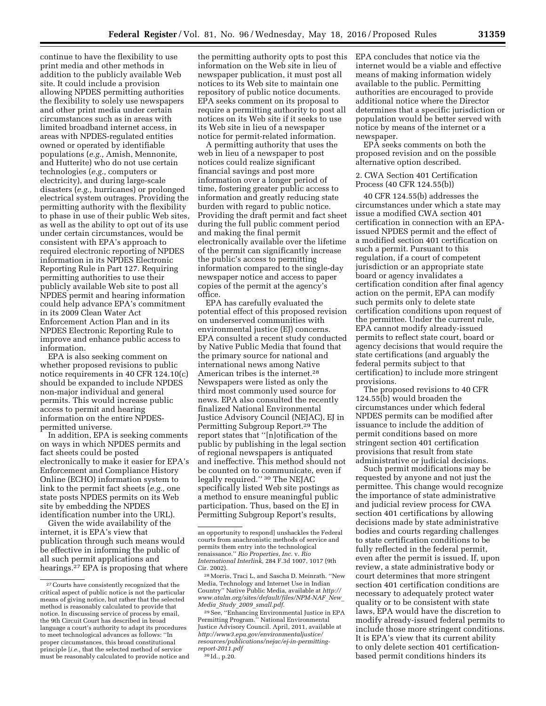continue to have the flexibility to use print media and other methods in addition to the publicly available Web site. It could include a provision allowing NPDES permitting authorities the flexibility to solely use newspapers and other print media under certain circumstances such as in areas with limited broadband internet access, in areas with NPDES-regulated entities owned or operated by identifiable populations (*e.g.,* Amish, Mennonite, and Hutterite) who do not use certain technologies (*e.g.,* computers or electricity), and during large-scale disasters (*e.g.,* hurricanes) or prolonged electrical system outrages. Providing the permitting authority with the flexibility to phase in use of their public Web sites, as well as the ability to opt out of its use under certain circumstances, would be consistent with EPA's approach to required electronic reporting of NPDES information in its NPDES Electronic Reporting Rule in Part 127. Requiring permitting authorities to use their publicly available Web site to post all NPDES permit and hearing information could help advance EPA's commitment in its 2009 Clean Water Act Enforcement Action Plan and in its NPDES Electronic Reporting Rule to improve and enhance public access to information.

EPA is also seeking comment on whether proposed revisions to public notice requirements in 40 CFR 124.10(c) should be expanded to include NPDES non-major individual and general permits. This would increase public access to permit and hearing information on the entire NPDESpermitted universe.

In addition, EPA is seeking comments on ways in which NPDES permits and fact sheets could be posted electronically to make it easier for EPA's Enforcement and Compliance History Online (ECHO) information system to link to the permit fact sheets (*e.g.,* one state posts NPDES permits on its Web site by embedding the NPDES identification number into the URL).

Given the wide availability of the internet, it is EPA's view that publication through such means would be effective in informing the public of all such permit applications and hearings.<sup>27</sup> EPA is proposing that where

the permitting authority opts to post this information on the Web site in lieu of newspaper publication, it must post all notices to its Web site to maintain one repository of public notice documents. EPA seeks comment on its proposal to require a permitting authority to post all notices on its Web site if it seeks to use its Web site in lieu of a newspaper notice for permit-related information.

A permitting authority that uses the web in lieu of a newspaper to post notices could realize significant financial savings and post more information over a longer period of time, fostering greater public access to information and greatly reducing state burden with regard to public notice. Providing the draft permit and fact sheet during the full public comment period and making the final permit electronically available over the lifetime of the permit can significantly increase the public's access to permitting information compared to the single-day newspaper notice and access to paper copies of the permit at the agency's office.

EPA has carefully evaluated the potential effect of this proposed revision on underserved communities with environmental justice (EJ) concerns. EPA consulted a recent study conducted by Native Public Media that found that the primary source for national and international news among Native American tribes is the internet.28 Newspapers were listed as only the third most commonly used source for news. EPA also consulted the recently finalized National Environmental Justice Advisory Council (NEJAC), EJ in Permitting Subgroup Report.29 The report states that ''[n]otification of the public by publishing in the legal section of regional newspapers is antiquated and ineffective. This method should not be counted on to communicate, even if legally required.'' 30 The NEJAC specifically listed Web site postings as a method to ensure meaningful public participation. Thus, based on the EJ in Permitting Subgroup Report's results,

30 Id., p.20.

EPA concludes that notice via the internet would be a viable and effective means of making information widely available to the public. Permitting authorities are encouraged to provide additional notice where the Director determines that a specific jurisdiction or population would be better served with notice by means of the internet or a newspaper.

EPA seeks comments on both the proposed revision and on the possible alternative option described.

2. CWA Section 401 Certification Process (40 CFR 124.55(b))

40 CFR 124.55(b) addresses the circumstances under which a state may issue a modified CWA section 401 certification in connection with an EPAissued NPDES permit and the effect of a modified section 401 certification on such a permit. Pursuant to this regulation, if a court of competent jurisdiction or an appropriate state board or agency invalidates a certification condition after final agency action on the permit, EPA can modify such permits only to delete state certification conditions upon request of the permittee. Under the current rule, EPA cannot modify already-issued permits to reflect state court, board or agency decisions that would require the state certifications (and arguably the federal permits subject to that certification) to include more stringent provisions.

The proposed revisions to 40 CFR 124.55(b) would broaden the circumstances under which federal NPDES permits can be modified after issuance to include the addition of permit conditions based on more stringent section 401 certification provisions that result from state administrative or judicial decisions.

Such permit modifications may be requested by anyone and not just the permittee. This change would recognize the importance of state administrative and judicial review process for CWA section 401 certifications by allowing decisions made by state administrative bodies and courts regarding challenges to state certification conditions to be fully reflected in the federal permit, even after the permit is issued. If, upon review, a state administrative body or court determines that more stringent section 401 certification conditions are necessary to adequately protect water quality or to be consistent with state laws, EPA would have the discretion to modify already-issued federal permits to include those more stringent conditions. It is EPA's view that its current ability to only delete section 401 certificationbased permit conditions hinders its

<sup>27</sup>Courts have consistently recognized that the critical aspect of public notice is not the particular means of giving notice, but rather that the selected method is reasonably calculated to provide that notice. In discussing service of process by email, the 9th Circuit Court has described in broad language a court's authority to adapt its procedures to meet technological advances as follows: ''In proper circumstances, this broad constitutional principle [*i.e.,* that the selected method of service must be reasonably calculated to provide notice and

an opportunity to respond] unshackles the Federal courts from anachronistic methods of service and permits them entry into the technological renaissance.'' *Rio Properties, Inc.* v. *Rio International Interlink,* 284 F.3d 1007, 1017 (9th Cir. 2002).

<sup>28</sup>Morris, Traci L, and Sascha D. Meinrath. ''New Media, Technology and Internet Use in Indian Country'' Native Public Media, available at *[http://](http://www.atalm.org/sites/default/files/NPM-NAF_New_Media_Study_2009_small.pdf) [www.atalm.org/sites/default/files/NPM-NAF](http://www.atalm.org/sites/default/files/NPM-NAF_New_Media_Study_2009_small.pdf)*\_*New*\_ *Media*\_*Study*\_*2009*\_*[small.pdf](http://www.atalm.org/sites/default/files/NPM-NAF_New_Media_Study_2009_small.pdf)*.

<sup>29</sup>See, ''Enhancing Environmental Justice in EPA Permitting Program.'' National Environmental Justice Advisory Council. April, 2011, available at *[http://www3.epa.gov/environmentaljustice/](http://www3.epa.gov/environmentaljustice/resources/publications/nejac/ej-in-permitting-report-2011.pdf) [resources/publications/nejac/ej-in-permitting](http://www3.epa.gov/environmentaljustice/resources/publications/nejac/ej-in-permitting-report-2011.pdf)[report-2011.pdf](http://www3.epa.gov/environmentaljustice/resources/publications/nejac/ej-in-permitting-report-2011.pdf)*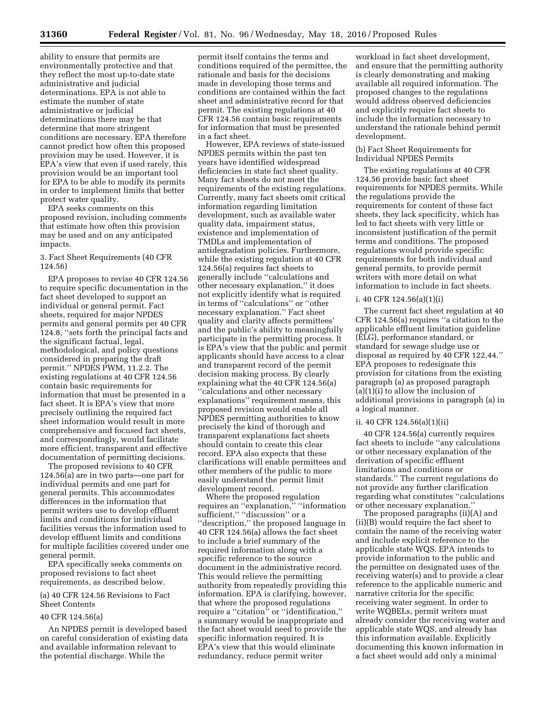ability to ensure that permits are environmentally protective and that they reflect the most up-to-date state administrative and judicial determinations. EPA is not able to estimate the number of state administrative or judicial determinations there may be that determine that more stringent conditions are necessary. EPA therefore cannot predict how often this proposed provision may be used. However, it is EPA's view that even if used rarely, this provision would be an important tool for EPA to be able to modify its permits in order to implement limits that better protect water quality.

EPA seeks comments on this proposed revision, including comments that estimate how often this provision may be used and on any anticipated impacts.

# 3. Fact Sheet Requirements (40 CFR 124.56)

EPA proposes to revise 40 CFR 124.56 to require specific documentation in the fact sheet developed to support an individual or general permit. Fact sheets, required for major NPDES permits and general permits per 40 CFR 124.8, ''sets forth the principal facts and the significant factual, legal, methodological, and policy questions considered in preparing the draft permit.'' NPDES PWM, 11.2.2. The existing regulations at 40 CFR 124.56 contain basic requirements for information that must be presented in a fact sheet. It is EPA's view that more precisely outlining the required fact sheet information would result in more comprehensive and focused fact sheets, and correspondingly, would facilitate more efficient, transparent and effective documentation of permitting decisions.

The proposed revisions to 40 CFR 124.56(a) are in two parts—one part for individual permits and one part for general permits. This accommodates differences in the information that permit writers use to develop effluent limits and conditions for individual facilities versus the information used to develop effluent limits and conditions for multiple facilities covered under one general permit.

EPA specifically seeks comments on proposed revisions to fact sheet requirements, as described below.

#### (a) 40 CFR 124.56 Revisions to Fact Sheet Contents

#### 40 CFR 124.56(a)

An NPDES permit is developed based on careful consideration of existing data and available information relevant to the potential discharge. While the

permit itself contains the terms and conditions required of the permittee, the rationale and basis for the decisions made in developing those terms and conditions are contained within the fact sheet and administrative record for that permit. The existing regulations at 40 CFR 124.56 contain basic requirements for information that must be presented in a fact sheet.

However, EPA reviews of state-issued NPDES permits within the past ten years have identified widespread deficiencies in state fact sheet quality. Many fact sheets do not meet the requirements of the existing regulations. Currently, many fact sheets omit critical information regarding limitation development, such as available water quality data, impairment status, existence and implementation of TMDLs and implementation of antidegradation policies. Furthermore, while the existing regulation at 40 CFR 124.56(a) requires fact sheets to generally include ''calculations and other necessary explanation,'' it does not explicitly identify what is required in terms of ''calculations'' or ''other necessary explanation.'' Fact sheet quality and clarity affects permittees' and the public's ability to meaningfully participate in the permitting process. It is EPA's view that the public and permit applicants should have access to a clear and transparent record of the permit decision making process. By clearly explaining what the 40 CFR 124.56(a) ''calculations and other necessary explanations'' requirement means, this proposed revision would enable all NPDES permitting authorities to know precisely the kind of thorough and transparent explanations fact sheets should contain to create this clear record. EPA also expects that these clarifications will enable permittees and other members of the public to more easily understand the permit limit development record.

Where the proposed regulation requires an ''explanation,'' ''information sufficient,'' ''discussion'' or a ''description,'' the proposed language in 40 CFR 124.56(a) allows the fact sheet to include a brief summary of the required information along with a specific reference to the source document in the administrative record. This would relieve the permitting authority from repeatedly providing this information. EPA is clarifying, however, that where the proposed regulations require a "citation" or "identification," a summary would be inappropriate and the fact sheet would need to provide the specific information required. It is EPA's view that this would eliminate redundancy, reduce permit writer

workload in fact sheet development, and ensure that the permitting authority is clearly demonstrating and making available all required information. The proposed changes to the regulations would address observed deficiencies and explicitly require fact sheets to include the information necessary to understand the rationale behind permit development.

#### (b) Fact Sheet Requirements for Individual NPDES Permits

The existing regulations at 40 CFR 124.56 provide basic fact sheet requirements for NPDES permits. While the regulations provide the requirements for content of these fact sheets, they lack specificity, which has led to fact sheets with very little or inconsistent justification of the permit terms and conditions. The proposed regulations would provide specific requirements for both individual and general permits, to provide permit writers with more detail on what information to include in fact sheets.

#### i. 40 CFR 124.56(a)(1)(i)

The current fact sheet regulation at 40 CFR 124.56(a) requires ''a citation to the applicable effluent limitation guideline (ELG), performance standard, or standard for sewage sludge use or disposal as required by 40 CFR 122.44.'' EPA proposes to redesignate this provision for citations from the existing paragraph (a) as proposed paragraph  $(a)(1)(i)$  to allow the inclusion of additional provisions in paragraph (a) in a logical manner.

#### ii. 40 CFR 124.56(a)(1)(ii)

40 CFR 124.56(a) currently requires fact sheets to include ''any calculations or other necessary explanation of the derivation of specific effluent limitations and conditions or standards.'' The current regulations do not provide any further clarification regarding what constitutes ''calculations or other necessary explanation.''

The proposed paragraphs (ii)(A) and (ii)(B) would require the fact sheet to contain the name of the receiving water and include explicit reference to the applicable state WQS. EPA intends to provide information to the public and the permittee on designated uses of the receiving water(s) and to provide a clear reference to the applicable numeric and narrative criteria for the specific receiving water segment. In order to write WQBELs, permit writers must already consider the receiving water and applicable state WQS, and already has this information available. Explicitly documenting this known information in a fact sheet would add only a minimal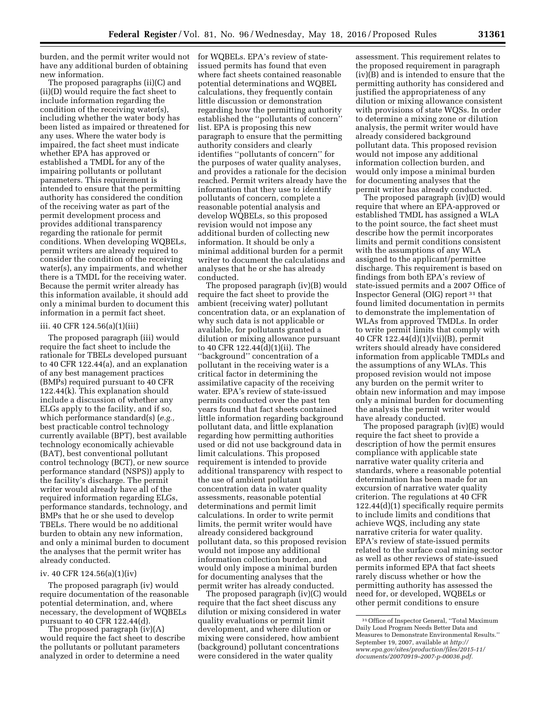burden, and the permit writer would not for WQBELs. EPA's review of statehave any additional burden of obtaining new information.

The proposed paragraphs (ii)(C) and (ii)(D) would require the fact sheet to include information regarding the condition of the receiving water(s), including whether the water body has been listed as impaired or threatened for any uses. Where the water body is impaired, the fact sheet must indicate whether EPA has approved or established a TMDL for any of the impairing pollutants or pollutant parameters. This requirement is intended to ensure that the permitting authority has considered the condition of the receiving water as part of the permit development process and provides additional transparency regarding the rationale for permit conditions. When developing WQBELs, permit writers are already required to consider the condition of the receiving water(s), any impairments, and whether there is a TMDL for the receiving water. Because the permit writer already has this information available, it should add only a minimal burden to document this information in a permit fact sheet.

#### iii. 40 CFR 124.56(a)(1)(iii)

The proposed paragraph (iii) would require the fact sheet to include the rationale for TBELs developed pursuant to 40 CFR 122.44(a), and an explanation of any best management practices (BMPs) required pursuant to 40 CFR 122.44(k). This explanation should include a discussion of whether any ELGs apply to the facility, and if so, which performance standard(s) (*e.g.,*  best practicable control technology currently available (BPT), best available technology economically achievable (BAT), best conventional pollutant control technology (BCT), or new source performance standard (NSPS)) apply to the facility's discharge. The permit writer would already have all of the required information regarding ELGs, performance standards, technology, and BMPs that he or she used to develop TBELs. There would be no additional burden to obtain any new information, and only a minimal burden to document the analyses that the permit writer has already conducted.

#### iv. 40 CFR 124.56(a)(1)(iv)

The proposed paragraph (iv) would require documentation of the reasonable potential determination, and, where necessary, the development of WQBELs pursuant to 40 CFR 122.44(d).

The proposed paragraph (iv)(A) would require the fact sheet to describe the pollutants or pollutant parameters analyzed in order to determine a need

issued permits has found that even where fact sheets contained reasonable potential determinations and WQBEL calculations, they frequently contain little discussion or demonstration regarding how the permitting authority established the ''pollutants of concern'' list. EPA is proposing this new paragraph to ensure that the permitting authority considers and clearly identifies ''pollutants of concern'' for the purposes of water quality analyses, and provides a rationale for the decision reached. Permit writers already have the information that they use to identify pollutants of concern, complete a reasonable potential analysis and develop WQBELs, so this proposed revision would not impose any additional burden of collecting new information. It should be only a minimal additional burden for a permit writer to document the calculations and analyses that he or she has already conducted.

The proposed paragraph (iv)(B) would require the fact sheet to provide the ambient (receiving water) pollutant concentration data, or an explanation of why such data is not applicable or available, for pollutants granted a dilution or mixing allowance pursuant to 40 CFR 122.44(d)(1)(ii). The ''background'' concentration of a pollutant in the receiving water is a critical factor in determining the assimilative capacity of the receiving water. EPA's review of state-issued permits conducted over the past ten years found that fact sheets contained little information regarding background pollutant data, and little explanation regarding how permitting authorities used or did not use background data in limit calculations. This proposed requirement is intended to provide additional transparency with respect to the use of ambient pollutant concentration data in water quality assessments, reasonable potential determinations and permit limit calculations. In order to write permit limits, the permit writer would have already considered background pollutant data, so this proposed revision would not impose any additional information collection burden, and would only impose a minimal burden for documenting analyses that the permit writer has already conducted.

The proposed paragraph (iv)(C) would require that the fact sheet discuss any dilution or mixing considered in water quality evaluations or permit limit development, and where dilution or mixing were considered, how ambient (background) pollutant concentrations were considered in the water quality

assessment. This requirement relates to the proposed requirement in paragraph (iv)(B) and is intended to ensure that the permitting authority has considered and justified the appropriateness of any dilution or mixing allowance consistent with provisions of state WQSs. In order to determine a mixing zone or dilution analysis, the permit writer would have already considered background pollutant data. This proposed revision would not impose any additional information collection burden, and would only impose a minimal burden for documenting analyses that the permit writer has already conducted.

The proposed paragraph (iv)(D) would require that where an EPA-approved or established TMDL has assigned a WLA to the point source, the fact sheet must describe how the permit incorporates limits and permit conditions consistent with the assumptions of any WLA assigned to the applicant/permittee discharge. This requirement is based on findings from both EPA's review of state-issued permits and a 2007 Office of Inspector General (OIG) report 31 that found limited documentation in permits to demonstrate the implementation of WLAs from approved TMDLs. In order to write permit limits that comply with 40 CFR 122.44(d)(1)(vii)(B), permit writers should already have considered information from applicable TMDLs and the assumptions of any WLAs. This proposed revision would not impose any burden on the permit writer to obtain new information and may impose only a minimal burden for documenting the analysis the permit writer would have already conducted.

The proposed paragraph (iv)(E) would require the fact sheet to provide a description of how the permit ensures compliance with applicable state narrative water quality criteria and standards, where a reasonable potential determination has been made for an excursion of narrative water quality criterion. The regulations at 40 CFR 122.44(d)(1) specifically require permits to include limits and conditions that achieve WQS, including any state narrative criteria for water quality. EPA's review of state-issued permits related to the surface coal mining sector as well as other reviews of state-issued permits informed EPA that fact sheets rarely discuss whether or how the permitting authority has assessed the need for, or developed, WQBELs or other permit conditions to ensure

<sup>31</sup>Office of Inspector General, ''Total Maximum Daily Load Program Needs Better Data and Measures to Demonstrate Environmental Results.'' September 19, 2007, available at *[http://](http://www.epa.gov/sites/production/files/2015-11/documents/20070919-2007-p-00036.pdf) [www.epa.gov/sites/production/files/2015-11/](http://www.epa.gov/sites/production/files/2015-11/documents/20070919-2007-p-00036.pdf) [documents/20070919–2007-p-00036.pdf.](http://www.epa.gov/sites/production/files/2015-11/documents/20070919-2007-p-00036.pdf)*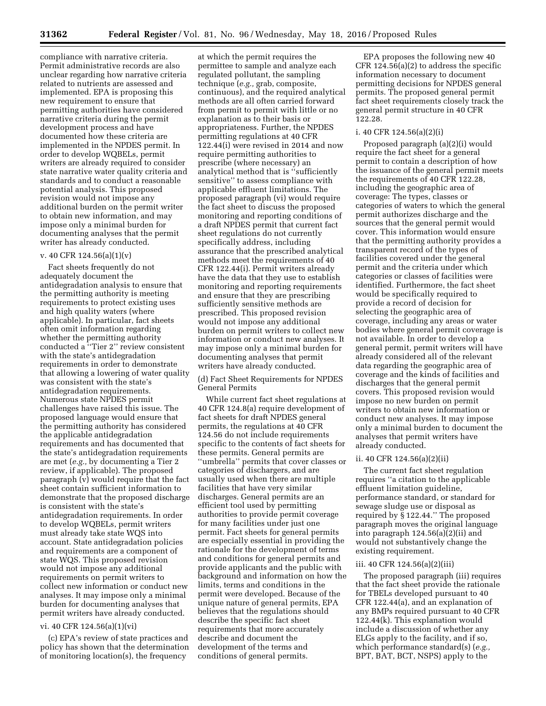compliance with narrative criteria. Permit administrative records are also unclear regarding how narrative criteria related to nutrients are assessed and implemented. EPA is proposing this new requirement to ensure that permitting authorities have considered narrative criteria during the permit development process and have documented how these criteria are implemented in the NPDES permit. In order to develop WQBELs, permit writers are already required to consider state narrative water quality criteria and standards and to conduct a reasonable potential analysis. This proposed revision would not impose any additional burden on the permit writer to obtain new information, and may impose only a minimal burden for documenting analyses that the permit writer has already conducted.

#### v. 40 CFR 124.56(a)(1)(v)

Fact sheets frequently do not adequately document the antidegradation analysis to ensure that the permitting authority is meeting requirements to protect existing uses and high quality waters (where applicable). In particular, fact sheets often omit information regarding whether the permitting authority conducted a ''Tier 2'' review consistent with the state's antidegradation requirements in order to demonstrate that allowing a lowering of water quality was consistent with the state's antidegradation requirements. Numerous state NPDES permit challenges have raised this issue. The proposed language would ensure that the permitting authority has considered the applicable antidegradation requirements and has documented that the state's antidegradation requirements are met (*e.g.,* by documenting a Tier 2 review, if applicable). The proposed paragraph (v) would require that the fact sheet contain sufficient information to demonstrate that the proposed discharge is consistent with the state's antidegradation requirements. In order to develop WQBELs, permit writers must already take state WQS into account. State antidegradation policies and requirements are a component of state WQS. This proposed revision would not impose any additional requirements on permit writers to collect new information or conduct new analyses. It may impose only a minimal burden for documenting analyses that permit writers have already conducted.

#### vi. 40 CFR 124.56(a)(1)(vi)

(c) EPA's review of state practices and policy has shown that the determination of monitoring location(s), the frequency

at which the permit requires the permittee to sample and analyze each regulated pollutant, the sampling technique (*e.g.,* grab, composite, continuous), and the required analytical methods are all often carried forward from permit to permit with little or no explanation as to their basis or appropriateness. Further, the NPDES permitting regulations at 40 CFR 122.44(i) were revised in 2014 and now require permitting authorities to prescribe (where necessary) an analytical method that is ''sufficiently sensitive'' to assess compliance with applicable effluent limitations. The proposed paragraph (vi) would require the fact sheet to discuss the proposed monitoring and reporting conditions of a draft NPDES permit that current fact sheet regulations do not currently specifically address, including assurance that the prescribed analytical methods meet the requirements of 40 CFR 122.44(i). Permit writers already have the data that they use to establish monitoring and reporting requirements and ensure that they are prescribing sufficiently sensitive methods are prescribed. This proposed revision would not impose any additional burden on permit writers to collect new information or conduct new analyses. It may impose only a minimal burden for documenting analyses that permit writers have already conducted.

(d) Fact Sheet Requirements for NPDES General Permits

While current fact sheet regulations at 40 CFR 124.8(a) require development of fact sheets for draft NPDES general permits, the regulations at 40 CFR 124.56 do not include requirements specific to the contents of fact sheets for these permits. General permits are ''umbrella'' permits that cover classes or categories of dischargers, and are usually used when there are multiple facilities that have very similar discharges. General permits are an efficient tool used by permitting authorities to provide permit coverage for many facilities under just one permit. Fact sheets for general permits are especially essential in providing the rationale for the development of terms and conditions for general permits and provide applicants and the public with background and information on how the limits, terms and conditions in the permit were developed. Because of the unique nature of general permits, EPA believes that the regulations should describe the specific fact sheet requirements that more accurately describe and document the development of the terms and conditions of general permits.

EPA proposes the following new 40 CFR 124.56(a)(2) to address the specific information necessary to document permitting decisions for NPDES general permits. The proposed general permit fact sheet requirements closely track the general permit structure in 40 CFR 122.28.

#### i. 40 CFR 124.56(a)(2)(i)

Proposed paragraph (a)(2)(i) would require the fact sheet for a general permit to contain a description of how the issuance of the general permit meets the requirements of 40 CFR 122.28, including the geographic area of coverage: The types, classes or categories of waters to which the general permit authorizes discharge and the sources that the general permit would cover. This information would ensure that the permitting authority provides a transparent record of the types of facilities covered under the general permit and the criteria under which categories or classes of facilities were identified. Furthermore, the fact sheet would be specifically required to provide a record of decision for selecting the geographic area of coverage, including any areas or water bodies where general permit coverage is not available. In order to develop a general permit, permit writers will have already considered all of the relevant data regarding the geographic area of coverage and the kinds of facilities and discharges that the general permit covers. This proposed revision would impose no new burden on permit writers to obtain new information or conduct new analyses. It may impose only a minimal burden to document the analyses that permit writers have already conducted.

#### ii. 40 CFR 124.56(a)(2)(ii)

The current fact sheet regulation requires ''a citation to the applicable effluent limitation guideline, performance standard, or standard for sewage sludge use or disposal as required by § 122.44.'' The proposed paragraph moves the original language into paragraph 124.56(a)(2)(ii) and would not substantively change the existing requirement.

#### iii. 40 CFR 124.56(a)(2)(iii)

The proposed paragraph (iii) requires that the fact sheet provide the rationale for TBELs developed pursuant to 40 CFR 122.44(a), and an explanation of any BMPs required pursuant to 40 CFR 122.44(k). This explanation would include a discussion of whether any ELGs apply to the facility, and if so, which performance standard(s) (*e.g.,*  BPT, BAT, BCT, NSPS) apply to the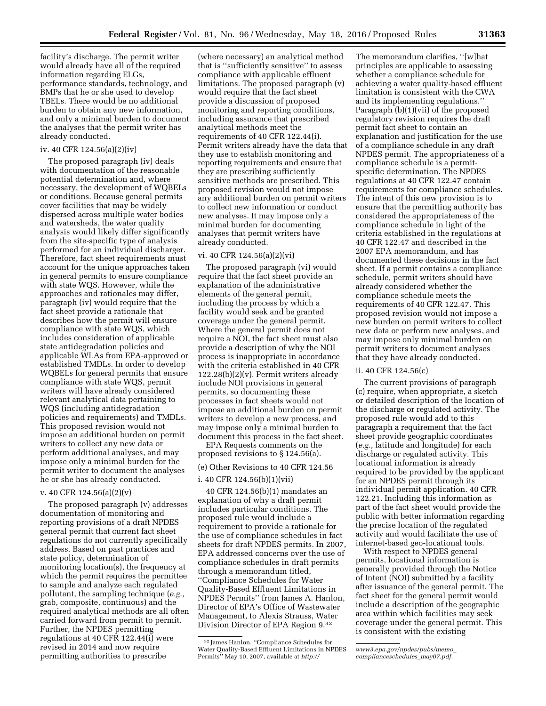facility's discharge. The permit writer would already have all of the required information regarding ELGs, performance standards, technology, and BMPs that he or she used to develop TBELs. There would be no additional burden to obtain any new information, and only a minimal burden to document the analyses that the permit writer has already conducted.

#### iv. 40 CFR 124.56(a)(2)(iv)

The proposed paragraph (iv) deals with documentation of the reasonable potential determination and, where necessary, the development of WQBELs or conditions. Because general permits cover facilities that may be widely dispersed across multiple water bodies and watersheds, the water quality analysis would likely differ significantly from the site-specific type of analysis performed for an individual discharger. Therefore, fact sheet requirements must account for the unique approaches taken in general permits to ensure compliance with state WQS. However, while the approaches and rationales may differ, paragraph (iv) would require that the fact sheet provide a rationale that describes how the permit will ensure compliance with state WQS, which includes consideration of applicable state antidegradation policies and applicable WLAs from EPA-approved or established TMDLs. In order to develop WQBELs for general permits that ensure compliance with state WQS, permit writers will have already considered relevant analytical data pertaining to WQS (including antidegradation policies and requirements) and TMDLs. This proposed revision would not impose an additional burden on permit writers to collect any new data or perform additional analyses, and may impose only a minimal burden for the permit writer to document the analyses he or she has already conducted.

#### v. 40 CFR 124.56(a)(2)(v)

The proposed paragraph (v) addresses documentation of monitoring and reporting provisions of a draft NPDES general permit that current fact sheet regulations do not currently specifically address. Based on past practices and state policy, determination of monitoring location(s), the frequency at which the permit requires the permittee to sample and analyze each regulated pollutant, the sampling technique (*e.g.,*  grab, composite, continuous) and the required analytical methods are all often carried forward from permit to permit. Further, the NPDES permitting regulations at 40 CFR 122.44(i) were revised in 2014 and now require permitting authorities to prescribe

(where necessary) an analytical method that is ''sufficiently sensitive'' to assess compliance with applicable effluent limitations. The proposed paragraph (v) would require that the fact sheet provide a discussion of proposed monitoring and reporting conditions, including assurance that prescribed analytical methods meet the requirements of 40 CFR 122.44(i). Permit writers already have the data that they use to establish monitoring and reporting requirements and ensure that they are prescribing sufficiently sensitive methods are prescribed. This proposed revision would not impose any additional burden on permit writers to collect new information or conduct new analyses. It may impose only a minimal burden for documenting analyses that permit writers have already conducted.

#### vi. 40 CFR 124.56(a)(2)(vi)

The proposed paragraph (vi) would require that the fact sheet provide an explanation of the administrative elements of the general permit, including the process by which a facility would seek and be granted coverage under the general permit. Where the general permit does not require a NOI, the fact sheet must also provide a description of why the NOI process is inappropriate in accordance with the criteria established in 40 CFR 122.28(b)(2)(v). Permit writers already include NOI provisions in general permits, so documenting these processes in fact sheets would not impose an additional burden on permit writers to develop a new process, and may impose only a minimal burden to document this process in the fact sheet.

EPA Requests comments on the proposed revisions to § 124.56(a).

#### (e) Other Revisions to 40 CFR 124.56

#### i. 40 CFR 124.56(b)(1)(vii)

40 CFR 124.56(b)(1) mandates an explanation of why a draft permit includes particular conditions. The proposed rule would include a requirement to provide a rationale for the use of compliance schedules in fact sheets for draft NPDES permits. In 2007, EPA addressed concerns over the use of compliance schedules in draft permits through a memorandum titled, ''Compliance Schedules for Water Quality-Based Effluent Limitations in NPDES Permits'' from James A. Hanlon, Director of EPA's Office of Wastewater Management, to Alexis Strauss, Water Division Director of EPA Region 9.32

The memorandum clarifies, ''[w]hat principles are applicable to assessing whether a compliance schedule for achieving a water quality-based effluent limitation is consistent with the CWA and its implementing regulations.'' Paragraph (b)(1)(vii) of the proposed regulatory revision requires the draft permit fact sheet to contain an explanation and justification for the use of a compliance schedule in any draft NPDES permit. The appropriateness of a compliance schedule is a permitspecific determination. The NPDES regulations at 40 CFR 122.47 contain requirements for compliance schedules. The intent of this new provision is to ensure that the permitting authority has considered the appropriateness of the compliance schedule in light of the criteria established in the regulations at 40 CFR 122.47 and described in the 2007 EPA memorandum, and has documented these decisions in the fact sheet. If a permit contains a compliance schedule, permit writers should have already considered whether the compliance schedule meets the requirements of 40 CFR 122.47. This proposed revision would not impose a new burden on permit writers to collect new data or perform new analyses, and may impose only minimal burden on permit writers to document analyses that they have already conducted.

#### ii. 40 CFR 124.56(c)

The current provisions of paragraph (c) require, when appropriate, a sketch or detailed description of the location of the discharge or regulated activity. The proposed rule would add to this paragraph a requirement that the fact sheet provide geographic coordinates (*e.g.,* latitude and longitude) for each discharge or regulated activity. This locational information is already required to be provided by the applicant for an NPDES permit through its individual permit application. 40 CFR 122.21. Including this information as part of the fact sheet would provide the public with better information regarding the precise location of the regulated activity and would facilitate the use of internet-based geo-locational tools.

With respect to NPDES general permits, locational information is generally provided through the Notice of Intent (NOI) submitted by a facility after issuance of the general permit. The fact sheet for the general permit would include a description of the geographic area within which facilities may seek coverage under the general permit. This is consistent with the existing

<sup>32</sup> James Hanlon. ''Compliance Schedules for Water Quality-Based Effluent Limitations in NPDES Permits'' May 10, 2007, available at *[http://](http://www3.epa.gov/npdes/pubs/memo_complianceschedules_may07.pdf)*

*[www3.epa.gov/npdes/pubs/memo](http://www3.epa.gov/npdes/pubs/memo_complianceschedules_may07.pdf)*\_ *[complianceschedules](http://www3.epa.gov/npdes/pubs/memo_complianceschedules_may07.pdf)*\_*may07.pdf.*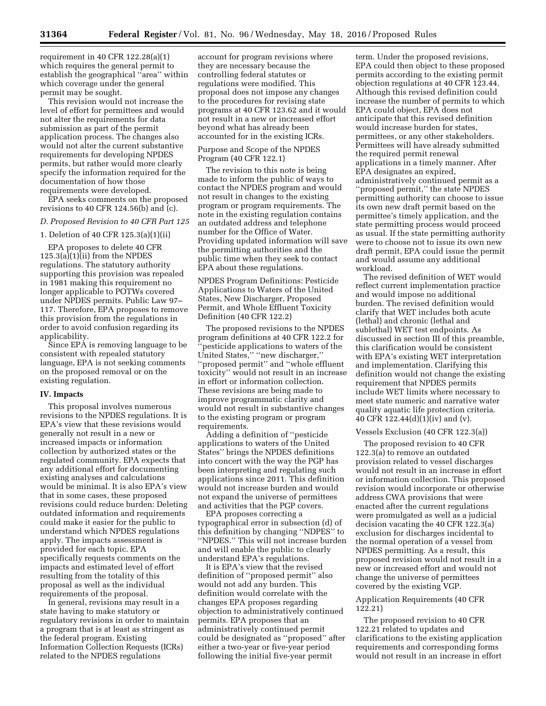requirement in 40 CFR 122.28(a)(1) which requires the general permit to establish the geographical ''area'' within which coverage under the general permit may be sought.

This revision would not increase the level of effort for permittees and would not alter the requirements for data submission as part of the permit application process. The changes also would not alter the current substantive requirements for developing NPDES permits, but rather would more clearly specify the information required for the documentation of how those requirements were developed.

EPA seeks comments on the proposed revisions to 40 CFR 124.56(b) and (c).

# *D. Proposed Revision to 40 CFR Part 125*

#### 1. Deletion of 40 CFR 125.3(a)(1)(ii)

EPA proposes to delete 40 CFR  $125.3(a)(1)(ii)$  from the NPDES regulations. The statutory authority supporting this provision was repealed in 1981 making this requirement no longer applicable to POTWs covered under NPDES permits. Public Law 97– 117. Therefore, EPA proposes to remove this provision from the regulations in order to avoid confusion regarding its applicability.

Since EPA is removing language to be consistent with repealed statutory language, EPA is not seeking comments on the proposed removal or on the existing regulation.

#### **IV. Impacts**

This proposal involves numerous revisions to the NPDES regulations. It is EPA's view that these revisions would generally not result in a new or increased impacts or information collection by authorized states or the regulated community. EPA expects that any additional effort for documenting existing analyses and calculations would be minimal. It is also EPA's view that in some cases, these proposed revisions could reduce burden: Deleting outdated information and requirements could make it easier for the public to understand which NPDES regulations apply. The impacts assessment is provided for each topic. EPA specifically requests comments on the impacts and estimated level of effort resulting from the totality of this proposal as well as the individual requirements of the proposal.

In general, revisions may result in a state having to make statutory or regulatory revisions in order to maintain a program that is at least as stringent as the federal program. Existing Information Collection Requests (ICRs) related to the NPDES regulations

account for program revisions where they are necessary because the controlling federal statutes or regulations were modified. This proposal does not impose any changes to the procedures for revising state programs at 40 CFR 123.62 and it would not result in a new or increased effort beyond what has already been accounted for in the existing ICRs.

#### Purpose and Scope of the NPDES Program (40 CFR 122.1)

The revision to this note is being made to inform the public of ways to contact the NPDES program and would not result in changes to the existing program or program requirements. The note in the existing regulation contains an outdated address and telephone number for the Office of Water. Providing updated information will save the permitting authorities and the public time when they seek to contact EPA about these regulations.

NPDES Program Definitions: Pesticide Applications to Waters of the United States, New Discharger, Proposed Permit, and Whole Effluent Toxicity Definition (40 CFR 122.2)

The proposed revisions to the NPDES program definitions at 40 CFR 122.2 for ''pesticide applications to waters of the United States,'' ''new discharger,'' ''proposed permit'' and ''whole effluent toxicity'' would not result in an increase in effort or information collection. These revisions are being made to improve programmatic clarity and would not result in substantive changes to the existing program or program requirements.

Adding a definition of ''pesticide applications to waters of the United States'' brings the NPDES definitions into concert with the way the PGP has been interpreting and regulating such applications since 2011. This definition would not increase burden and would not expand the universe of permittees and activities that the PGP covers.

EPA proposes correcting a typographical error in subsection (d) of this definition by changing ''NDPES'' to ''NPDES.'' This will not increase burden and will enable the public to clearly understand EPA's regulations.

It is EPA's view that the revised definition of ''proposed permit'' also would not add any burden. This definition would correlate with the changes EPA proposes regarding objection to administratively continued permits. EPA proposes that an administratively continued permit could be designated as ''proposed'' after either a two-year or five-year period following the initial five-year permit

term. Under the proposed revisions, EPA could then object to these proposed permits according to the existing permit objection regulations at 40 CFR 123.44. Although this revised definition could increase the number of permits to which EPA could object, EPA does not anticipate that this revised definition would increase burden for states, permittees, or any other stakeholders. Permittees will have already submitted the required permit renewal applications in a timely manner. After EPA designates an expired, administratively continued permit as a ''proposed permit,'' the state NPDES permitting authority can choose to issue its own new draft permit based on the permittee's timely application, and the state permitting process would proceed as usual. If the state permitting authority were to choose not to issue its own new draft permit, EPA could issue the permit and would assume any additional workload.

The revised definition of WET would reflect current implementation practice and would impose no additional burden. The revised definition would clarify that WET includes both acute (lethal) and chronic (lethal and sublethal) WET test endpoints. As discussed in section III of this preamble, this clarification would be consistent with EPA's existing WET interpretation and implementation. Clarifying this definition would not change the existing requirement that NPDES permits include WET limits where necessary to meet state numeric and narrative water quality aquatic life protection criteria. 40 CFR 122.44(d)(1)(iv) and (v).

#### Vessels Exclusion (40 CFR 122.3(a))

The proposed revision to 40 CFR 122.3(a) to remove an outdated provision related to vessel discharges would not result in an increase in effort or information collection. This proposed revision would incorporate or otherwise address CWA provisions that were enacted after the current regulations were promulgated as well as a judicial decision vacating the 40 CFR 122.3(a) exclusion for discharges incidental to the normal operation of a vessel from NPDES permitting. As a result, this proposed revision would not result in a new or increased effort and would not change the universe of permittees covered by the existing VGP.

#### Application Requirements (40 CFR 122.21)

The proposed revision to 40 CFR 122.21 related to updates and clarifications to the existing application requirements and corresponding forms would not result in an increase in effort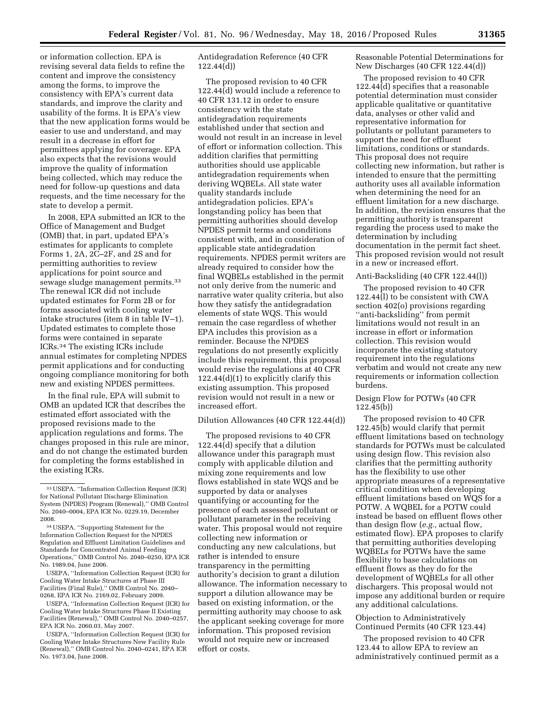or information collection. EPA is revising several data fields to refine the content and improve the consistency among the forms, to improve the consistency with EPA's current data standards, and improve the clarity and usability of the forms. It is EPA's view that the new application forms would be easier to use and understand, and may result in a decrease in effort for permittees applying for coverage. EPA also expects that the revisions would improve the quality of information being collected, which may reduce the need for follow-up questions and data requests, and the time necessary for the state to develop a permit.

In 2008, EPA submitted an ICR to the Office of Management and Budget (OMB) that, in part, updated EPA's estimates for applicants to complete Forms 1, 2A, 2C–2F, and 2S and for permitting authorities to review applications for point source and sewage sludge management permits.33 The renewal ICR did not include updated estimates for Form 2B or for forms associated with cooling water intake structures (item 8 in table IV–1). Updated estimates to complete those forms were contained in separate ICRs.34 The existing ICRs include annual estimates for completing NPDES permit applications and for conducting ongoing compliance monitoring for both new and existing NPDES permittees.

In the final rule, EPA will submit to OMB an updated ICR that describes the estimated effort associated with the proposed revisions made to the application regulations and forms. The changes proposed in this rule are minor, and do not change the estimated burden for completing the forms established in the existing ICRs.

USEPA, ''Information Collection Request (ICR) for Cooling Water Intake Structures at Phase III Facilities (Final Rule),'' OMB Control No. 2040– 0268, EPA ICR No. 2169.02, February 2009.

USEPA, ''Information Collection Request (ICR) for Cooling Water Intake Structures Phase II Existing Facilities (Renewal),'' OMB Control No. 2040–0257, EPA ICR No. 2060.03, May 2007.

USEPA, ''Information Collection Request (ICR) for Cooling Water Intake Structures New Facility Rule (Renewal),'' OMB Control No. 2040–0241, EPA ICR No. 1973.04, June 2008.

Antidegradation Reference (40 CFR 122.44(d))

The proposed revision to 40 CFR 122.44(d) would include a reference to 40 CFR 131.12 in order to ensure consistency with the state antidegradation requirements established under that section and would not result in an increase in level of effort or information collection. This addition clarifies that permitting authorities should use applicable antidegradation requirements when deriving WQBELs. All state water quality standards include antidegradation policies. EPA's longstanding policy has been that permitting authorities should develop NPDES permit terms and conditions consistent with, and in consideration of applicable state antidegradation requirements. NPDES permit writers are already required to consider how the final WQBELs established in the permit not only derive from the numeric and narrative water quality criteria, but also how they satisfy the antidegradation elements of state WQS. This would remain the case regardless of whether EPA includes this provision as a reminder. Because the NPDES regulations do not presently explicitly include this requirement, this proposal would revise the regulations at 40 CFR 122.44(d)(1) to explicitly clarify this existing assumption. This proposed revision would not result in a new or increased effort.

#### Dilution Allowances (40 CFR 122.44(d))

The proposed revisions to 40 CFR 122.44(d) specify that a dilution allowance under this paragraph must comply with applicable dilution and mixing zone requirements and low flows established in state WQS and be supported by data or analyses quantifying or accounting for the presence of each assessed pollutant or pollutant parameter in the receiving water. This proposal would not require collecting new information or conducting any new calculations, but rather is intended to ensure transparency in the permitting authority's decision to grant a dilution allowance. The information necessary to support a dilution allowance may be based on existing information, or the permitting authority may choose to ask the applicant seeking coverage for more information. This proposed revision would not require new or increased effort or costs.

Reasonable Potential Determinations for New Discharges (40 CFR 122.44(d))

The proposed revision to 40 CFR 122.44(d) specifies that a reasonable potential determination must consider applicable qualitative or quantitative data, analyses or other valid and representative information for pollutants or pollutant parameters to support the need for effluent limitations, conditions or standards. This proposal does not require collecting new information, but rather is intended to ensure that the permitting authority uses all available information when determining the need for an effluent limitation for a new discharge. In addition, the revision ensures that the permitting authority is transparent regarding the process used to make the determination by including documentation in the permit fact sheet. This proposed revision would not result in a new or increased effort.

# Anti-Backsliding (40 CFR 122.44(l))

The proposed revision to 40 CFR 122.44(l) to be consistent with CWA section 402(o) provisions regarding ''anti-backsliding'' from permit limitations would not result in an increase in effort or information collection. This revision would incorporate the existing statutory requirement into the regulations verbatim and would not create any new requirements or information collection burdens.

#### Design Flow for POTWs (40 CFR 122.45(b))

The proposed revision to 40 CFR 122.45(b) would clarify that permit effluent limitations based on technology standards for POTWs must be calculated using design flow. This revision also clarifies that the permitting authority has the flexibility to use other appropriate measures of a representative critical condition when developing effluent limitations based on WQS for a POTW. A WQBEL for a POTW could instead be based on effluent flows other than design flow (*e.g.,* actual flow, estimated flow). EPA proposes to clarify that permitting authorities developing WQBELs for POTWs have the same flexibility to base calculations on effluent flows as they do for the development of WQBELs for all other dischargers. This proposal would not impose any additional burden or require any additional calculations.

Objection to Administratively Continued Permits (40 CFR 123.44)

The proposed revision to 40 CFR 123.44 to allow EPA to review an administratively continued permit as a

<sup>33</sup>USEPA. ''Information Collection Request (ICR) for National Pollutant Discharge Elimination System (NPDES) Program (Renewal),'' OMB Control No. 2040–0004, EPA ICR No. 0229.19, December 2008.

<sup>34</sup>USEPA. ''Supporting Statement for the Information Collection Request for the NPDES Regulation and Effluent Limitation Guidelines and Standards for Concentrated Animal Feeding Operations,'' OMB Control No. 2040–0250, EPA ICR No. 1989.04, June 2006.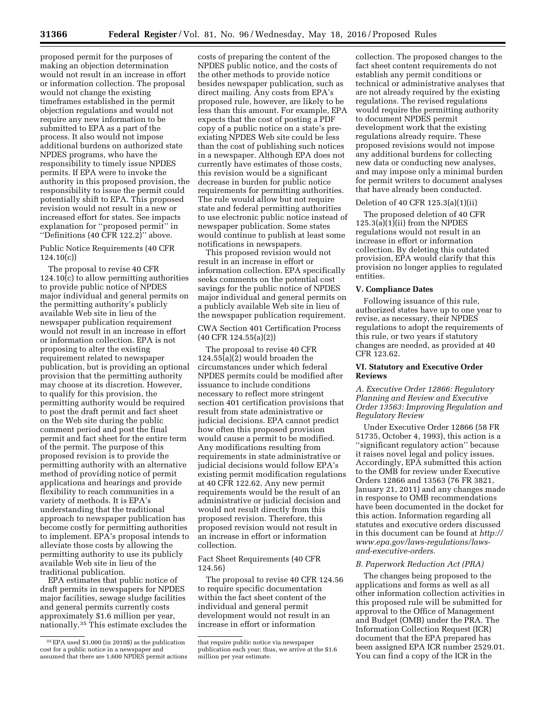proposed permit for the purposes of making an objection determination would not result in an increase in effort or information collection. The proposal would not change the existing timeframes established in the permit objection regulations and would not require any new information to be submitted to EPA as a part of the

process. It also would not impose additional burdens on authorized state NPDES programs, who have the responsibility to timely issue NPDES permits. If EPA were to invoke the authority in this proposed provision, the responsibility to issue the permit could potentially shift to EPA. This proposed revision would not result in a new or increased effort for states. See impacts explanation for ''proposed permit'' in ''Definitions (40 CFR 122.2)'' above.

# Public Notice Requirements (40 CFR 124.10(c))

The proposal to revise 40 CFR  $124.10(c)$  to allow permitting authorities to provide public notice of NPDES major individual and general permits on the permitting authority's publicly available Web site in lieu of the newspaper publication requirement would not result in an increase in effort or information collection. EPA is not proposing to alter the existing requirement related to newspaper publication, but is providing an optional provision that the permitting authority may choose at its discretion. However, to qualify for this provision, the permitting authority would be required to post the draft permit and fact sheet on the Web site during the public comment period and post the final permit and fact sheet for the entire term of the permit. The purpose of this proposed revision is to provide the permitting authority with an alternative method of providing notice of permit applications and hearings and provide flexibility to reach communities in a variety of methods. It is EPA's understanding that the traditional approach to newspaper publication has become costly for permitting authorities to implement. EPA's proposal intends to alleviate those costs by allowing the permitting authority to use its publicly available Web site in lieu of the traditional publication.

EPA estimates that public notice of draft permits in newspapers for NPDES major facilities, sewage sludge facilities and general permits currently costs approximately \$1.6 million per year, nationally.35 This estimate excludes the

costs of preparing the content of the NPDES public notice, and the costs of the other methods to provide notice besides newspaper publication, such as direct mailing. Any costs from EPA's proposed rule, however, are likely to be less than this amount. For example, EPA expects that the cost of posting a PDF copy of a public notice on a state's preexisting NPDES Web site could be less than the cost of publishing such notices in a newspaper. Although EPA does not currently have estimates of those costs, this revision would be a significant decrease in burden for public notice requirements for permitting authorities. The rule would allow but not require state and federal permitting authorities to use electronic public notice instead of newspaper publication. Some states would continue to publish at least some notifications in newspapers.

This proposed revision would not result in an increase in effort or information collection. EPA specifically seeks comments on the potential cost savings for the public notice of NPDES major individual and general permits on a publicly available Web site in lieu of the newspaper publication requirement.

# CWA Section 401 Certification Process (40 CFR 124.55(a)(2))

The proposal to revise 40 CFR  $124.55(a)(2)$  would broaden the circumstances under which federal NPDES permits could be modified after issuance to include conditions necessary to reflect more stringent section 401 certification provisions that result from state administrative or judicial decisions. EPA cannot predict how often this proposed provision would cause a permit to be modified. Any modifications resulting from requirements in state administrative or judicial decisions would follow EPA's existing permit modification regulations at 40 CFR 122.62. Any new permit requirements would be the result of an administrative or judicial decision and would not result directly from this proposed revision. Therefore, this proposed revision would not result in an increase in effort or information collection.

# Fact Sheet Requirements (40 CFR 124.56)

The proposal to revise 40 CFR 124.56 to require specific documentation within the fact sheet content of the individual and general permit development would not result in an increase in effort or information

collection. The proposed changes to the fact sheet content requirements do not establish any permit conditions or technical or administrative analyses that are not already required by the existing regulations. The revised regulations would require the permitting authority to document NPDES permit development work that the existing regulations already require. These proposed revisions would not impose any additional burdens for collecting new data or conducting new analyses, and may impose only a minimal burden for permit writers to document analyses that have already been conducted.

#### Deletion of 40 CFR 125.3(a)(1)(ii)

The proposed deletion of 40 CFR  $125.3(a)(1)(ii)$  from the NPDES regulations would not result in an increase in effort or information collection. By deleting this outdated provision, EPA would clarify that this provision no longer applies to regulated entities.

# **V. Compliance Dates**

Following issuance of this rule, authorized states have up to one year to revise, as necessary, their NPDES regulations to adopt the requirements of this rule, or two years if statutory changes are needed, as provided at 40 CFR 123.62.

#### **VI. Statutory and Executive Order Reviews**

# *A. Executive Order 12866: Regulatory Planning and Review and Executive Order 13563: Improving Regulation and Regulatory Review*

Under Executive Order 12866 (58 FR 51735, October 4, 1993), this action is a ''significant regulatory action'' because it raises novel legal and policy issues. Accordingly, EPA submitted this action to the OMB for review under Executive Orders 12866 and 13563 (76 FR 3821, January 21, 2011) and any changes made in response to OMB recommendations have been documented in the docket for this action. Information regarding all statutes and executive orders discussed in this document can be found at *[http://](http://www.epa.gov/laws-regulations/laws-and-executive-orders) [www.epa.gov/laws-regulations/laws](http://www.epa.gov/laws-regulations/laws-and-executive-orders)[and-executive-orders.](http://www.epa.gov/laws-regulations/laws-and-executive-orders)* 

#### *B. Paperwork Reduction Act (PRA)*

The changes being proposed to the applications and forms as well as all other information collection activities in this proposed rule will be submitted for approval to the Office of Management and Budget (OMB) under the PRA. The Information Collection Request (ICR) document that the EPA prepared has been assigned EPA ICR number 2529.01. You can find a copy of the ICR in the

<sup>35</sup>EPA used \$1,000 (in 2010\$) as the publication cost for a public notice in a newspaper and assumed that there are 1,600 NPDES permit actions

that require public notice via newspaper publication each year; thus, we arrive at the \$1.6 million per year estimate.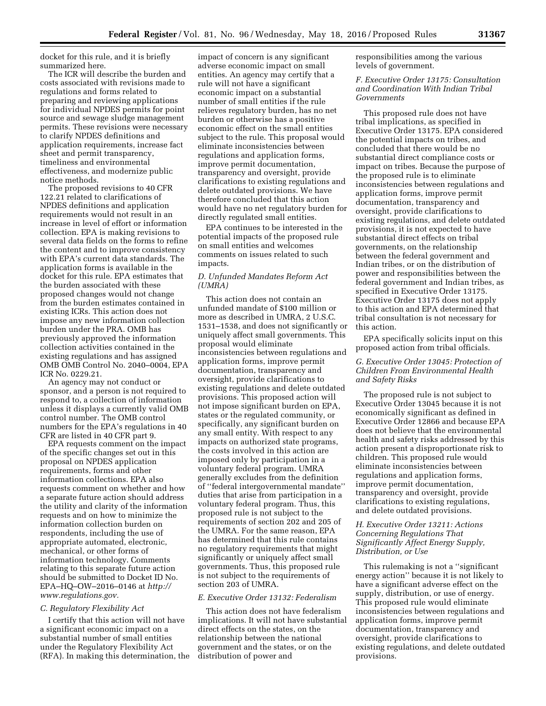docket for this rule, and it is briefly summarized here.

The ICR will describe the burden and costs associated with revisions made to regulations and forms related to preparing and reviewing applications for individual NPDES permits for point source and sewage sludge management permits. These revisions were necessary to clarify NPDES definitions and application requirements, increase fact sheet and permit transparency, timeliness and environmental effectiveness, and modernize public notice methods.

The proposed revisions to 40 CFR 122.21 related to clarifications of NPDES definitions and application requirements would not result in an increase in level of effort or information collection. EPA is making revisions to several data fields on the forms to refine the content and to improve consistency with EPA's current data standards. The application forms is available in the docket for this rule. EPA estimates that the burden associated with these proposed changes would not change from the burden estimates contained in existing ICRs. This action does not impose any new information collection burden under the PRA. OMB has previously approved the information collection activities contained in the existing regulations and has assigned OMB OMB Control No. 2040–0004, EPA ICR No. 0229.21.

An agency may not conduct or sponsor, and a person is not required to respond to, a collection of information unless it displays a currently valid OMB control number. The OMB control numbers for the EPA's regulations in 40 CFR are listed in 40 CFR part 9.

EPA requests comment on the impact of the specific changes set out in this proposal on NPDES application requirements, forms and other information collections. EPA also requests comment on whether and how a separate future action should address the utility and clarity of the information requests and on how to minimize the information collection burden on respondents, including the use of appropriate automated, electronic, mechanical, or other forms of information technology. Comments relating to this separate future action should be submitted to Docket ID No. EPA–HQ–OW–2016–0146 at *[http://](http://www.regulations.gov) [www.regulations.gov.](http://www.regulations.gov)* 

#### *C. Regulatory Flexibility Act*

I certify that this action will not have a significant economic impact on a substantial number of small entities under the Regulatory Flexibility Act (RFA). In making this determination, the

impact of concern is any significant adverse economic impact on small entities. An agency may certify that a rule will not have a significant economic impact on a substantial number of small entities if the rule relieves regulatory burden, has no net burden or otherwise has a positive economic effect on the small entities subject to the rule. This proposal would eliminate inconsistencies between regulations and application forms, improve permit documentation, transparency and oversight, provide clarifications to existing regulations and delete outdated provisions. We have therefore concluded that this action would have no net regulatory burden for directly regulated small entities.

EPA continues to be interested in the potential impacts of the proposed rule on small entities and welcomes comments on issues related to such impacts.

#### *D. Unfunded Mandates Reform Act (UMRA)*

This action does not contain an unfunded mandate of \$100 million or more as described in UMRA, 2 U.S.C. 1531–1538, and does not significantly or uniquely affect small governments. This proposal would eliminate inconsistencies between regulations and application forms, improve permit documentation, transparency and oversight, provide clarifications to existing regulations and delete outdated provisions. This proposed action will not impose significant burden on EPA, states or the regulated community, or specifically, any significant burden on any small entity. With respect to any impacts on authorized state programs, the costs involved in this action are imposed only by participation in a voluntary federal program. UMRA generally excludes from the definition of ''federal intergovernmental mandate'' duties that arise from participation in a voluntary federal program. Thus, this proposed rule is not subject to the requirements of section 202 and 205 of the UMRA. For the same reason, EPA has determined that this rule contains no regulatory requirements that might significantly or uniquely affect small governments. Thus, this proposed rule is not subject to the requirements of section 203 of UMRA.

#### *E. Executive Order 13132: Federalism*

This action does not have federalism implications. It will not have substantial direct effects on the states, on the relationship between the national government and the states, or on the distribution of power and

responsibilities among the various levels of government.

### *F. Executive Order 13175: Consultation and Coordination With Indian Tribal Governments*

This proposed rule does not have tribal implications, as specified in Executive Order 13175. EPA considered the potential impacts on tribes, and concluded that there would be no substantial direct compliance costs or impact on tribes. Because the purpose of the proposed rule is to eliminate inconsistencies between regulations and application forms, improve permit documentation, transparency and oversight, provide clarifications to existing regulations, and delete outdated provisions, it is not expected to have substantial direct effects on tribal governments, on the relationship between the federal government and Indian tribes, or on the distribution of power and responsibilities between the federal government and Indian tribes, as specified in Executive Order 13175. Executive Order 13175 does not apply to this action and EPA determined that tribal consultation is not necessary for this action.

EPA specifically solicits input on this proposed action from tribal officials.

# *G. Executive Order 13045: Protection of Children From Environmental Health and Safety Risks*

The proposed rule is not subject to Executive Order 13045 because it is not economically significant as defined in Executive Order 12866 and because EPA does not believe that the environmental health and safety risks addressed by this action present a disproportionate risk to children. This proposed rule would eliminate inconsistencies between regulations and application forms, improve permit documentation, transparency and oversight, provide clarifications to existing regulations, and delete outdated provisions.

# *H. Executive Order 13211: Actions Concerning Regulations That Significantly Affect Energy Supply, Distribution, or Use*

This rulemaking is not a ''significant energy action'' because it is not likely to have a significant adverse effect on the supply, distribution, or use of energy. This proposed rule would eliminate inconsistencies between regulations and application forms, improve permit documentation, transparency and oversight, provide clarifications to existing regulations, and delete outdated provisions.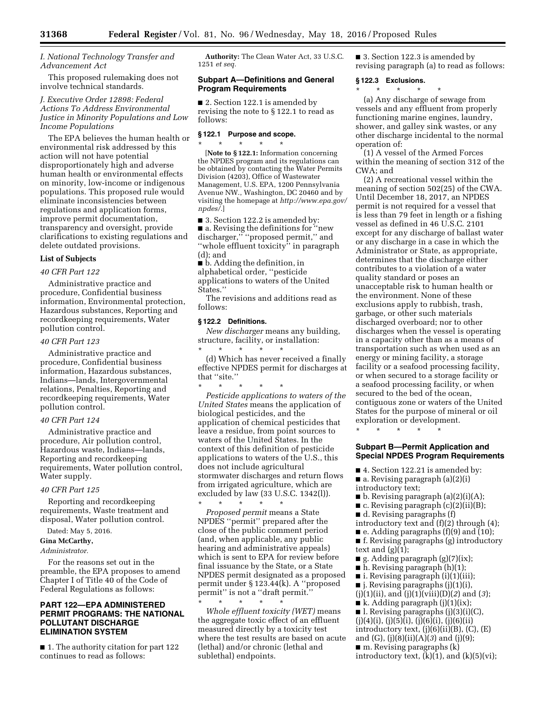# *I. National Technology Transfer and Advancement Act*

This proposed rulemaking does not involve technical standards.

# *J. Executive Order 12898: Federal Actions To Address Environmental Justice in Minority Populations and Low Income Populations*

The EPA believes the human health or environmental risk addressed by this action will not have potential disproportionately high and adverse human health or environmental effects on minority, low-income or indigenous populations. This proposed rule would eliminate inconsistencies between regulations and application forms, improve permit documentation, transparency and oversight, provide clarifications to existing regulations and delete outdated provisions.

# **List of Subjects**

#### *40 CFR Part 122*

Administrative practice and procedure, Confidential business information, Environmental protection, Hazardous substances, Reporting and recordkeeping requirements, Water pollution control.

# *40 CFR Part 123*

Administrative practice and procedure, Confidential business information, Hazardous substances, Indians—lands, Intergovernmental relations, Penalties, Reporting and recordkeeping requirements, Water pollution control.

# *40 CFR Part 124*

Administrative practice and procedure, Air pollution control, Hazardous waste, Indians—lands, Reporting and recordkeeping requirements, Water pollution control, Water supply.

# *40 CFR Part 125*

Reporting and recordkeeping requirements, Waste treatment and disposal, Water pollution control.

Dated: May 5, 2016.

# **Gina McCarthy,**

*Administrator.* 

For the reasons set out in the preamble, the EPA proposes to amend Chapter I of Title 40 of the Code of Federal Regulations as follows:

# **PART 122—EPA ADMINISTERED PERMIT PROGRAMS: THE NATIONAL POLLUTANT DISCHARGE ELIMINATION SYSTEM**

■ 1. The authority citation for part 122 continues to read as follows:

**Authority:** The Clean Water Act, 33 U.S.C. 1251 *et seq.* 

# **Subpart A—Definitions and General Program Requirements**

■ 2. Section 122.1 is amended by revising the note to § 122.1 to read as follows:

# **§ 122.1 Purpose and scope.**

\* \* \* \* \* [**Note to § 122.1:** Information concerning the NPDES program and its regulations can be obtained by contacting the Water Permits Division (4203), Office of Wastewater Management, U.S. EPA, 1200 Pennsylvania Avenue NW., Washington, DC 20460 and by visiting the homepage at *[http://www.epa.gov/](http://www.epa.gov/npdes/) [npdes/.](http://www.epa.gov/npdes/)*]

■ 3. Section 122.2 is amended by: ■ a. Revising the definitions for "new discharger,'' ''proposed permit,'' and ''whole effluent toxicity'' in paragraph (d); and

■ **b.** Adding the definition, in alphabetical order, ''pesticide applications to waters of the United States.''

The revisions and additions read as follows:

# **§ 122.2 Definitions.**

*New discharger* means any building, structure, facility, or installation:

\* \* \* \* \* (d) Which has never received a finally effective NPDES permit for discharges at that ''site.''

\* \* \* \* \* *Pesticide applications to waters of the United States* means the application of biological pesticides, and the application of chemical pesticides that leave a residue, from point sources to waters of the United States. In the context of this definition of pesticide applications to waters of the U.S., this does not include agricultural stormwater discharges and return flows from irrigated agriculture, which are excluded by law (33 U.S.C. 1342(l)).  $*$  \*

*Proposed permit* means a State NPDES ''permit'' prepared after the close of the public comment period (and, when applicable, any public hearing and administrative appeals) which is sent to EPA for review before final issuance by the State, or a State NPDES permit designated as a proposed permit under § 123.44(k). A ''proposed permit'' is not a ''draft permit.'' \* \* \* \* \*

*Whole effluent toxicity (WET)* means the aggregate toxic effect of an effluent measured directly by a toxicity test where the test results are based on acute (lethal) and/or chronic (lethal and sublethal) endpoints.

■ 3. Section 122.3 is amended by revising paragraph (a) to read as follows:

#### **§ 122.3 Exclusions.**

\* \* \* \* \* (a) Any discharge of sewage from vessels and any effluent from properly functioning marine engines, laundry, shower, and galley sink wastes, or any other discharge incidental to the normal operation of:

(1) A vessel of the Armed Forces within the meaning of section 312 of the CWA; and

(2) A recreational vessel within the meaning of section 502(25) of the CWA. Until December 18, 2017, an NPDES permit is not required for a vessel that is less than 79 feet in length or a fishing vessel as defined in 46 U.S.C. 2101 except for any discharge of ballast water or any discharge in a case in which the Administrator or State, as appropriate, determines that the discharge either contributes to a violation of a water quality standard or poses an unacceptable risk to human health or the environment. None of these exclusions apply to rubbish, trash, garbage, or other such materials discharged overboard; nor to other discharges when the vessel is operating in a capacity other than as a means of transportation such as when used as an energy or mining facility, a storage facility or a seafood processing facility, or when secured to a storage facility or a seafood processing facility, or when secured to the bed of the ocean, contiguous zone or waters of the United States for the purpose of mineral or oil exploration or development.

\* \* \* \* \*

# **Subpart B—Permit Application and Special NPDES Program Requirements**

- 4. Section 122.21 is amended by:
- $\blacksquare$  a. Revising paragraph (a)(2)(i)
- introductory text;
- $\blacksquare$  b. Revising paragraph (a)(2)(i)(A);
- $\blacksquare$  c. Revising paragraph (c)(2)(ii)(B);
- d. Revising paragraphs (f)
- introductory text and (f)(2) through (4);
- e. Adding paragraphs (f)(9) and (10);

■ f. Revising paragraphs (g) introductory text and  $(g)(1)$ ;

- $\blacksquare$  g. Adding paragraph (g)(7)(ix);
- h. Revising paragraph (h)(1);

■ i. Revising paragraph (i)(1)(iii);

■ j. Revising paragraphs (j)(1)(i),

(j)(1)(ii), and (j)(1)(viii)(D)(*2*) and (*3*);  $\blacksquare$  k. Adding paragraph (j)(1)(ix);

- l. Revising paragraphs (j)(3)(i)(C),
- $(j)(4)(i)$ ,  $(j)(5)(i)$ ,  $(j)(6)(i)$ ,  $(j)(6)(ii)$

introductory text,  $(j)(6)(ii)(B)$ ,  $(C)$ ,  $(E)$ 

and (G), (j)(8)(ii)(A)(*3*) and (j)(9);

■ m. Revising paragraphs (k)

introductory text,  $(k)(1)$ , and  $(k)(5)(vi)$ ;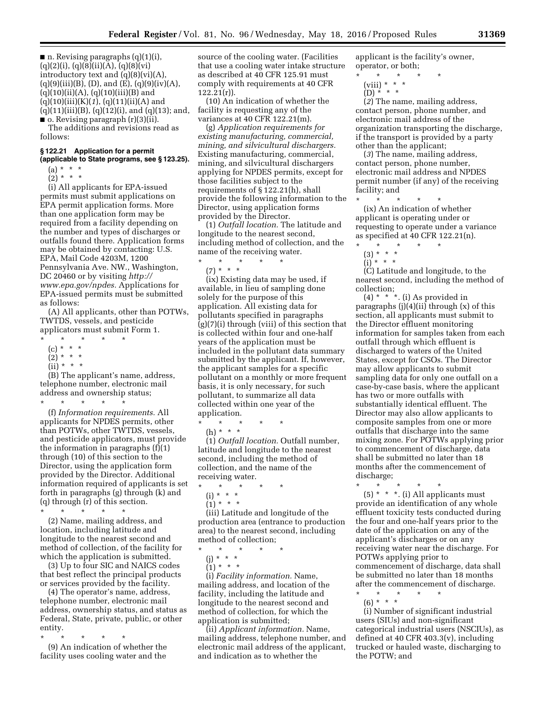$\blacksquare$  n. Revising paragraphs (q)(1)(i),  $(q)(2)(i)$ ,  $(q)(8)(ii)(A)$ ,  $(q)(8)(vi)$ introductory text and  $(q)(8)(vi)(A)$ ,  $(q)(9)(iii)(B), (D), and (E), (q)(9)(iv)(A),$  $(q)(10)(ii)(A), (q)(10)(iii)(B)$  and (q)(10)(iii)(K)(*1*), (q)(11)(ii)(A) and  $(q)(11)(iii)(B), (q)(12)(i), and (q)(13); and,$ ■ o. Revising paragraph (r)(3)(ii).

The additions and revisions read as follows:

# **§ 122.21 Application for a permit (applicable to State programs, see § 123.25).**

- $(a) * * * *$
- $(2) * * * *$

(i) All applicants for EPA-issued permits must submit applications on EPA permit application forms. More than one application form may be required from a facility depending on the number and types of discharges or outfalls found there. Application forms may be obtained by contacting: U.S. EPA, Mail Code 4203M, 1200 Pennsylvania Ave. NW., Washington, DC 20460 or by visiting *[http://](http://www.epa.gov/npdes) [www.epa.gov/npdes.](http://www.epa.gov/npdes)* Applications for EPA-issued permits must be submitted as follows:

(A) All applicants, other than POTWs, TWTDS, vessels, and pesticide applicators must submit Form 1.

- \* \* \* \* \*
- (c) \* \* \*
- $(2) * * * *$
- $(ii) * * * *$

(B) The applicant's name, address, telephone number, electronic mail address and ownership status;  $\star$   $\star$   $\star$   $\star$ 

(f) *Information requirements.* All applicants for NPDES permits, other than POTWs, other TWTDS, vessels, and pesticide applicators, must provide the information in paragraphs (f)(1) through (10) of this section to the Director, using the application form provided by the Director. Additional information required of applicants is set forth in paragraphs (g) through (k) and (q) through (r) of this section.

\* \* \* \* \*

(2) Name, mailing address, and location, including latitude and longitude to the nearest second and method of collection, of the facility for which the application is submitted.

(3) Up to four SIC and NAICS codes that best reflect the principal products or services provided by the facility.

(4) The operator's name, address, telephone number, electronic mail address, ownership status, and status as Federal, State, private, public, or other entity.

\* \* \* \* \*

(9) An indication of whether the facility uses cooling water and the source of the cooling water. (Facilities that use a cooling water intake structure as described at 40 CFR 125.91 must comply with requirements at 40 CFR 122.21(r)).

(10) An indication of whether the facility is requesting any of the variances at 40 CFR 122.21(m).

(g) *Application requirements for existing manufacturing, commercial, mining, and silvicultural dischargers.*  Existing manufacturing, commercial, mining, and silvicultural dischargers applying for NPDES permits, except for those facilities subject to the requirements of § 122.21(h), shall provide the following information to the Director, using application forms provided by the Director.

(1) *Outfall location.* The latitude and longitude to the nearest second, including method of collection, and the name of the receiving water.

\* \* \* \* \*

(7) \* \* \*

(ix) Existing data may be used, if available, in lieu of sampling done solely for the purpose of this application. All existing data for pollutants specified in paragraphs (g)(7)(i) through (viii) of this section that is collected within four and one-half years of the application must be included in the pollutant data summary submitted by the applicant. If, however, the applicant samples for a specific pollutant on a monthly or more frequent basis, it is only necessary, for such pollutant, to summarize all data collected within one year of the application.

 $\star$   $\qquad$   $\star$   $\qquad$   $\star$ (h) \* \* \* \* (1) *Outfall location.* Outfall number,

latitude and longitude to the nearest second, including the method of collection, and the name of the receiving water.

- \* \* \* \* \*
	- $(i) * * * *$
	- $(1) * * * *$

(iii) Latitude and longitude of the production area (entrance to production area) to the nearest second, including method of collection;

\* \* \* \* \*

(j) \* \* \*

 $(1) * * * *$ 

(i) *Facility information.* Name, mailing address, and location of the facility, including the latitude and longitude to the nearest second and method of collection, for which the application is submitted;

(ii) *Applicant information.* Name, mailing address, telephone number, and electronic mail address of the applicant, and indication as to whether the

applicant is the facility's owner, operator, or both;

- \* \* \* \* \*
	- (viii) \* \* \*
	- $(D) * * * *$

(*2*) The name, mailing address, contact person, phone number, and electronic mail address of the organization transporting the discharge, if the transport is provided by a party other than the applicant;

(*3*) The name, mailing address, contact person, phone number, electronic mail address and NPDES permit number (if any) of the receiving facility; and

\* \* \* \* \* (ix) An indication of whether applicant is operating under or requesting to operate under a variance as specified at 40 CFR 122.21(n).

- \* \* \* \* \*  $(3) * * * *$
- $\left(i\right)'$ \* \* \*

(C) Latitude and longitude, to the nearest second, including the method of collection;

 $(4)$  \* \* \*. (i) As provided in paragraphs  $(j)(4)(ii)$  through  $(x)$  of this section, all applicants must submit to the Director effluent monitoring information for samples taken from each outfall through which effluent is discharged to waters of the United States, except for CSOs. The Director may allow applicants to submit sampling data for only one outfall on a case-by-case basis, where the applicant has two or more outfalls with substantially identical effluent. The Director may also allow applicants to composite samples from one or more outfalls that discharge into the same mixing zone. For POTWs applying prior to commencement of discharge, data shall be submitted no later than 18 months after the commencement of discharge;

\* \* \* \* \*

 $(5)$  \* \* \*. (i) All applicants must provide an identification of any whole effluent toxicity tests conducted during the four and one-half years prior to the date of the application on any of the applicant's discharges or on any receiving water near the discharge. For POTWs applying prior to commencement of discharge, data shall be submitted no later than 18 months after the commencement of discharge.

\* \* \* \* \*  $(6) * * * *$ 

(i) Number of significant industrial users (SIUs) and non-significant categorical industrial users (NSCIUs), as defined at 40 CFR 403.3(v), including trucked or hauled waste, discharging to the POTW; and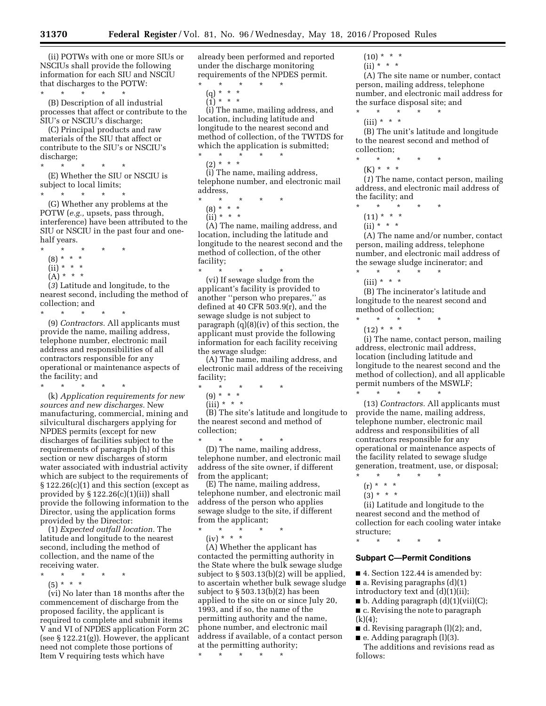(ii) POTWs with one or more SIUs or NSCIUs shall provide the following information for each SIU and NSCIU that discharges to the POTW:

\* \* \* \* \*

(B) Description of all industrial processes that affect or contribute to the SIU's or NSCIU's discharge;

(C) Principal products and raw materials of the SIU that affect or contribute to the SIU's or NSCIU's discharge;

\* \* \* \* \* (E) Whether the SIU or NSCIU is subject to local limits;

\* \* \* \* \*

(G) Whether any problems at the POTW (*e.g.,* upsets, pass through, interference) have been attributed to the SIU or NSCIU in the past four and onehalf years.

- \* \* \* \* \*
	- (8) \* \* \*
	- (ii) \* \* \*
	- $(A) * * * *$

(*3*) Latitude and longitude, to the nearest second, including the method of collection; and

\* \* \* \* \* (9) *Contractors.* All applicants must provide the name, mailing address, telephone number, electronic mail address and responsibilities of all contractors responsible for any operational or maintenance aspects of the facility; and

\* \* \* \* \*

(k) *Application requirements for new sources and new discharges.* New manufacturing, commercial, mining and silvicultural dischargers applying for NPDES permits (except for new discharges of facilities subject to the requirements of paragraph (h) of this section or new discharges of storm water associated with industrial activity which are subject to the requirements of § 122.26(c)(1) and this section (except as provided by  $\S 122.26(c)(1)(ii)$  shall provide the following information to the Director, using the application forms provided by the Director:

(1) *Expected outfall location.* The latitude and longitude to the nearest second, including the method of collection, and the name of the receiving water.

 $\star$   $\star$   $\star$ 

 $(5) * * * *$ 

(vi) No later than 18 months after the commencement of discharge from the proposed facility, the applicant is required to complete and submit items V and VI of NPDES application Form 2C (see § 122.21(g)). However, the applicant need not complete those portions of Item V requiring tests which have

already been performed and reported under the discharge monitoring requirements of the NPDES permit.

- $\star$   $\qquad$   $\star$   $\qquad$   $\star$
- (q) \* \* \* (1) \* \* \*

(i) The name, mailing address, and location, including latitude and longitude to the nearest second and method of collection, of the TWTDS for which the application is submitted; \* \* \* \* \*

 $(2) * * * *$ 

(i) The name, mailing address, telephone number, and electronic mail address,

\* \* \* \* \*

(8) \* \* \*  $(ii)* **$ 

(A) The name, mailing address, and location, including the latitude and longitude to the nearest second and the method of collection, of the other facility;

\* \* \* \* \* (vi) If sewage sludge from the applicant's facility is provided to another ''person who prepares,'' as defined at 40 CFR 503.9(r), and the sewage sludge is not subject to paragraph  $(q)(8)(iv)$  of this section, the applicant must provide the following information for each facility receiving the sewage sludge:

(A) The name, mailing address, and electronic mail address of the receiving facility;

- \* \* \* \* \*
	- (9) \* \* \*  $(iii) * * * *$

(B) The site's latitude and longitude to the nearest second and method of collection; \* \* \* \* \*

(D) The name, mailing address, telephone number, and electronic mail address of the site owner, if different from the applicant;

(E) The name, mailing address, telephone number, and electronic mail address of the person who applies sewage sludge to the site, if different from the applicant;

 $\star$   $\star$  $(iv) * * * *$ 

(A) Whether the applicant has contacted the permitting authority in the State where the bulk sewage sludge subject to § 503.13(b)(2) will be applied, to ascertain whether bulk sewage sludge subject to § 503.13(b)(2) has been applied to the site on or since July 20, 1993, and if so, the name of the permitting authority and the name, phone number, and electronic mail address if available, of a contact person at the permitting authority;

\* \* \* \* \*

 $(10) * * * *$ 

 $(ii) * * * *$ 

(A) The site name or number, contact person, mailing address, telephone number, and electronic mail address for the surface disposal site; and

\* \* \* \* \*

 $(iii) * * * *$ 

(B) The unit's latitude and longitude to the nearest second and method of collection;

- \* \* \* \* \*
	- (K) \* \* \*

(*1*) The name, contact person, mailing address, and electronic mail address of the facility; and

- \* \* \* \* \*
	- $(11) * * * *$
	- $(iii)$  \* \* \*

(A) The name and/or number, contact person, mailing address, telephone number, and electronic mail address of the sewage sludge incinerator; and

\* \* \* \* \*  $(iii) * * * *$ 

(B) The incinerator's latitude and longitude to the nearest second and method of collection;

- $\star$   $\star$   $\star$
- $(12) * * * *$

(i) The name, contact person, mailing address, electronic mail address, location (including latitude and longitude to the nearest second and the method of collection), and all applicable permit numbers of the MSWLF;

(13) *Contractors.* All applicants must provide the name, mailing address, telephone number, electronic mail address and responsibilities of all contractors responsible for any operational or maintenance aspects of the facility related to sewage sludge generation, treatment, use, or disposal; \* \* \* \* \*

\* \* \* \* \*

- (r) \* \* \*
- $(3) * * * *$

(ii) Latitude and longitude to the nearest second and the method of collection for each cooling water intake structure;

\* \* \* \* \*

# **Subpart C—Permit Conditions**

■ 4. Section 122.44 is amended by:  $\blacksquare$  a. Revising paragraphs  $(d)(1)$ introductory text and (d)(1)(ii);

- $\blacksquare$  b. Adding paragraph (d)(1)(vii)(C);
- c. Revising the note to paragraph  $(k)(4);$
- d. Revising paragraph (l)(2); and,
- e. Adding paragraph (l)(3).

The additions and revisions read as follows: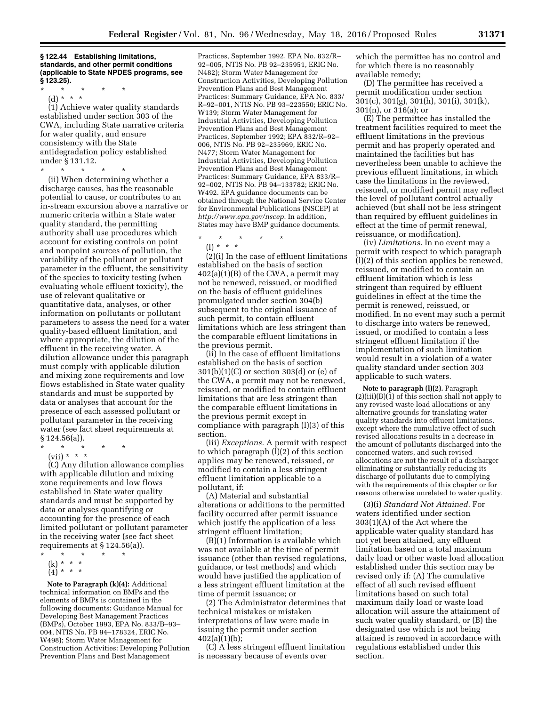**§ 122.44 Establishing limitations, standards, and other permit conditions (applicable to State NPDES programs, see § 123.25).** 

\* \* \* \* \*

(d) \* \* \*

(1) Achieve water quality standards established under section 303 of the CWA, including State narrative criteria for water quality, and ensure consistency with the State antidegradation policy established under § 131.12.

\* \* \* \* \*

(ii) When determining whether a discharge causes, has the reasonable potential to cause, or contributes to an in-stream excursion above a narrative or numeric criteria within a State water quality standard, the permitting authority shall use procedures which account for existing controls on point and nonpoint sources of pollution, the variability of the pollutant or pollutant parameter in the effluent, the sensitivity of the species to toxicity testing (when evaluating whole effluent toxicity), the use of relevant qualitative or quantitative data, analyses, or other information on pollutants or pollutant parameters to assess the need for a water quality-based effluent limitation, and where appropriate, the dilution of the effluent in the receiving water. A dilution allowance under this paragraph must comply with applicable dilution and mixing zone requirements and low flows established in State water quality standards and must be supported by data or analyses that account for the presence of each assessed pollutant or pollutant parameter in the receiving water (see fact sheet requirements at  $\frac{\$~124.56(a))}{*}$ .

- \* \* \* \* \*
	- (vii) \* \* \*

(C) Any dilution allowance complies with applicable dilution and mixing zone requirements and low flows established in State water quality standards and must be supported by data or analyses quantifying or accounting for the presence of each limited pollutant or pollutant parameter in the receiving water (see fact sheet requirements at § 124.56(a)).

- \* \* \* \* \*
- (k) \* \* \*
- (4) \* \* \*

**Note to Paragraph (k)(4):** Additional technical information on BMPs and the elements of BMPs is contained in the following documents: Guidance Manual for Developing Best Management Practices (BMPs), October 1993, EPA No. 833/B–93– 004, NTIS No. PB 94–178324, ERIC No. W498); Storm Water Management for Construction Activities: Developing Pollution Prevention Plans and Best Management

Practices, September 1992, EPA No. 832/R– 92–005, NTIS No. PB 92–235951, ERIC No. N482); Storm Water Management for Construction Activities, Developing Pollution Prevention Plans and Best Management Practices: Summary Guidance, EPA No. 833/ R–92–001, NTIS No. PB 93–223550; ERIC No. W139; Storm Water Management for Industrial Activities, Developing Pollution Prevention Plans and Best Management Practices, September 1992; EPA 832/R–92– 006, NTIS No. PB 92–235969, ERIC No. N477; Storm Water Management for Industrial Activities, Developing Pollution Prevention Plans and Best Management Practices: Summary Guidance, EPA 833/R– 92–002, NTIS No. PB 94–133782; ERIC No. W492. EPA guidance documents can be obtained through the National Service Center for Environmental Publications (NSCEP) at *[http://www.epa.gov/nscep.](http://www.epa.gov/nscep)* In addition, States may have BMP guidance documents.

\* \* \* \* \* (l) \* \* \*

(2)(i) In the case of effluent limitations established on the basis of section 402(a)(1)(B) of the CWA, a permit may not be renewed, reissued, or modified on the basis of effluent guidelines promulgated under section 304(b)

subsequent to the original issuance of such permit, to contain effluent limitations which are less stringent than the comparable effluent limitations in the previous permit.

(ii) In the case of effluent limitations established on the basis of section 301(b)(1)(C) or section 303(d) or (e) of the CWA, a permit may not be renewed, reissued, or modified to contain effluent limitations that are less stringent than the comparable effluent limitations in the previous permit except in compliance with paragraph (l)(3) of this section.

(iii) *Exceptions.* A permit with respect to which paragraph (l)(2) of this section applies may be renewed, reissued, or modified to contain a less stringent effluent limitation applicable to a pollutant, if:

(A) Material and substantial alterations or additions to the permitted facility occurred after permit issuance which justify the application of a less stringent effluent limitation;

(B)(1) Information is available which was not available at the time of permit issuance (other than revised regulations, guidance, or test methods) and which would have justified the application of a less stringent effluent limitation at the time of permit issuance; or

(2) The Administrator determines that technical mistakes or mistaken interpretations of law were made in issuing the permit under section  $402(a)(1)(b);$ 

(C) A less stringent effluent limitation is necessary because of events over

which the permittee has no control and for which there is no reasonably available remedy;

(D) The permittee has received a permit modification under section 301(c), 301(g), 301(h), 301(i), 301(k), 301(n), or 316(a); or

(E) The permittee has installed the treatment facilities required to meet the effluent limitations in the previous permit and has properly operated and maintained the facilities but has nevertheless been unable to achieve the previous effluent limitations, in which case the limitations in the reviewed, reissued, or modified permit may reflect the level of pollutant control actually achieved (but shall not be less stringent than required by effluent guidelines in effect at the time of permit renewal, reissuance, or modification).

(iv) *Limitations.* In no event may a permit with respect to which paragraph (l)(2) of this section applies be renewed, reissued, or modified to contain an effluent limitation which is less stringent than required by effluent guidelines in effect at the time the permit is renewed, reissued, or modified. In no event may such a permit to discharge into waters be renewed, issued, or modified to contain a less stringent effluent limitation if the implementation of such limitation would result in a violation of a water quality standard under section 303 applicable to such waters.

**Note to paragraph (l)(2).** Paragraph (2)(iii)(B)(1) of this section shall not apply to any revised waste load allocations or any alternative grounds for translating water quality standards into effluent limitations, except where the cumulative effect of such revised allocations results in a decrease in the amount of pollutants discharged into the concerned waters, and such revised allocations are not the result of a discharger eliminating or substantially reducing its discharge of pollutants due to complying with the requirements of this chapter or for reasons otherwise unrelated to water quality.

(3)(i) *Standard Not Attained.* For waters identified under section 303(1)(A) of the Act where the applicable water quality standard has not yet been attained, any effluent limitation based on a total maximum daily load or other waste load allocation established under this section may be revised only if: (A) The cumulative effect of all such revised effluent limitations based on such total maximum daily load or waste load allocation will assure the attainment of such water quality standard, or (B) the designated use which is not being attained is removed in accordance with regulations established under this section.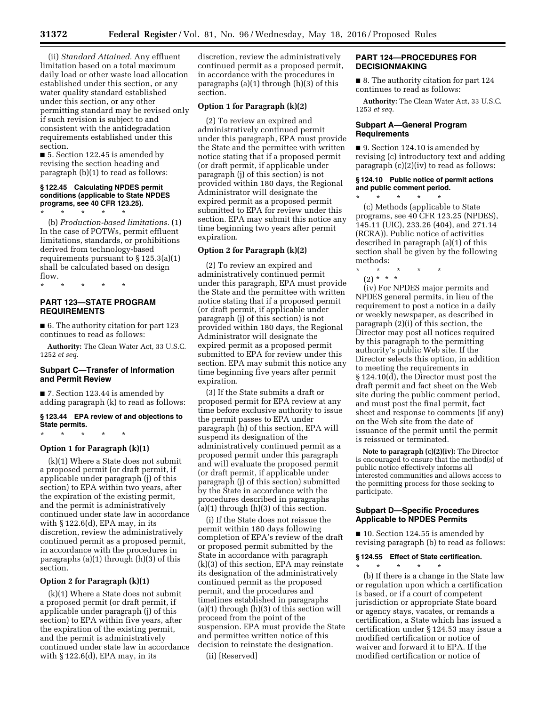(ii) *Standard Attained.* Any effluent limitation based on a total maximum daily load or other waste load allocation established under this section, or any water quality standard established under this section, or any other permitting standard may be revised only if such revision is subject to and consistent with the antidegradation requirements established under this section.

■ 5. Section 122.45 is amended by revising the section heading and paragraph (b)(1) to read as follows:

#### **§ 122.45 Calculating NPDES permit conditions (applicable to State NPDES programs, see 40 CFR 123.25).**

\* \* \* \* \* (b) *Production-based limitations.* (1) In the case of POTWs, permit effluent limitations, standards, or prohibitions derived from technology-based requirements pursuant to  $\S 125.3(a)(1)$ shall be calculated based on design flow.

\* \* \* \* \*

# **PART 123—STATE PROGRAM REQUIREMENTS**

■ 6. The authority citation for part 123 continues to read as follows:

**Authority:** The Clean Water Act, 33 U.S.C. 1252 *et seq.* 

# **Subpart C—Transfer of Information and Permit Review**

■ 7. Section 123.44 is amended by adding paragraph (k) to read as follows:

# **§ 123.44 EPA review of and objections to State permits.**

# **Option 1 for Paragraph (k)(1)**

\* \* \* \* \*

(k)(1) Where a State does not submit a proposed permit (or draft permit, if applicable under paragraph (j) of this section) to EPA within two years, after the expiration of the existing permit, and the permit is administratively continued under state law in accordance with  $\S 122.6(d)$ , EPA may, in its discretion, review the administratively continued permit as a proposed permit, in accordance with the procedures in paragraphs (a)(1) through (h)(3) of this section.

# **Option 2 for Paragraph (k)(1)**

(k)(1) Where a State does not submit a proposed permit (or draft permit, if applicable under paragraph (j) of this section) to EPA within five years, after the expiration of the existing permit, and the permit is administratively continued under state law in accordance with  $\S 122.6(d)$ , EPA may, in its

discretion, review the administratively continued permit as a proposed permit, in accordance with the procedures in paragraphs (a)(1) through (h)(3) of this section.

# **Option 1 for Paragraph (k)(2)**

(2) To review an expired and administratively continued permit under this paragraph, EPA must provide the State and the permittee with written notice stating that if a proposed permit (or draft permit, if applicable under paragraph (j) of this section) is not provided within 180 days, the Regional Administrator will designate the expired permit as a proposed permit submitted to EPA for review under this section. EPA may submit this notice any time beginning two years after permit expiration.

# **Option 2 for Paragraph (k)(2)**

(2) To review an expired and administratively continued permit under this paragraph, EPA must provide the State and the permittee with written notice stating that if a proposed permit (or draft permit, if applicable under paragraph (j) of this section) is not provided within 180 days, the Regional Administrator will designate the expired permit as a proposed permit submitted to EPA for review under this section. EPA may submit this notice any time beginning five years after permit expiration.

(3) If the State submits a draft or proposed permit for EPA review at any time before exclusive authority to issue the permit passes to EPA under paragraph (h) of this section, EPA will suspend its designation of the administratively continued permit as a proposed permit under this paragraph and will evaluate the proposed permit (or draft permit, if applicable under paragraph (j) of this section) submitted by the State in accordance with the procedures described in paragraphs  $(a)(1)$  through  $(h)(3)$  of this section.

(i) If the State does not reissue the permit within 180 days following completion of EPA's review of the draft or proposed permit submitted by the State in accordance with paragraph (k)(3) of this section, EPA may reinstate its designation of the administratively continued permit as the proposed permit, and the procedures and timelines established in paragraphs  $(a)(1)$  through  $(h)(3)$  of this section will proceed from the point of the suspension. EPA must provide the State and permittee written notice of this decision to reinstate the designation.

(ii) [Reserved]

# **PART 124—PROCEDURES FOR DECISIONMAKING**

■ 8. The authority citation for part 124 continues to read as follows:

**Authority:** The Clean Water Act, 33 U.S.C. 1253 *et seq.* 

# **Subpart A—General Program Requirements**

■ 9. Section 124.10 is amended by revising (c) introductory text and adding paragraph (c)(2)(iv) to read as follows:

#### **§ 124.10 Public notice of permit actions and public comment period.**

\* \* \* \* \* (c) Methods (applicable to State programs, see 40 CFR 123.25 (NPDES), 145.11 (UIC), 233.26 (404), and 271.14 (RCRA)). Public notice of activities described in paragraph (a)(1) of this section shall be given by the following methods:

\* \* \* \* \*

(2) \* \* \* (iv) For NPDES major permits and

NPDES general permits, in lieu of the requirement to post a notice in a daily or weekly newspaper, as described in paragraph (2)(i) of this section, the Director may post all notices required by this paragraph to the permitting authority's public Web site. If the Director selects this option, in addition to meeting the requirements in § 124.10(d), the Director must post the draft permit and fact sheet on the Web site during the public comment period, and must post the final permit, fact sheet and response to comments (if any) on the Web site from the date of issuance of the permit until the permit is reissued or terminated.

**Note to paragraph (c)(2)(iv):** The Director is encouraged to ensure that the method(s) of public notice effectively informs all interested communities and allows access to the permitting process for those seeking to participate.

# **Subpart D—Specific Procedures Applicable to NPDES Permits**

■ 10. Section 124.55 is amended by revising paragraph (b) to read as follows:

#### **§ 124.55 Effect of State certification.**

\* \* \* \* \*

(b) If there is a change in the State law or regulation upon which a certification is based, or if a court of competent jurisdiction or appropriate State board or agency stays, vacates, or remands a certification, a State which has issued a certification under § 124.53 may issue a modified certification or notice of waiver and forward it to EPA. If the modified certification or notice of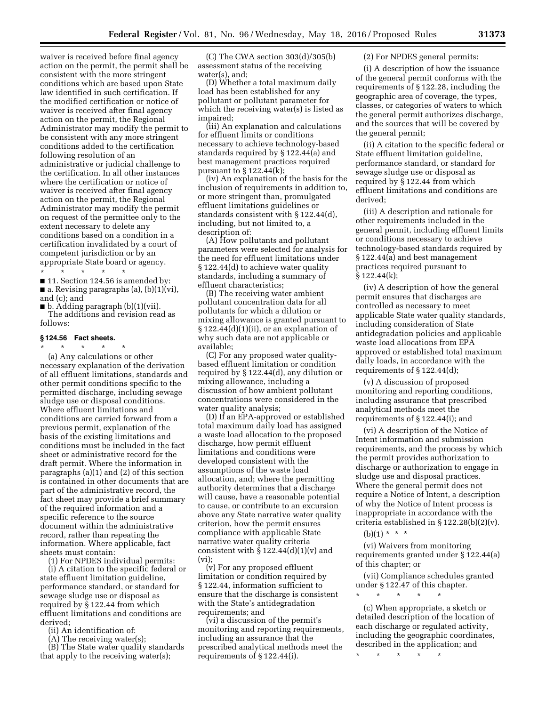waiver is received before final agency action on the permit, the permit shall be consistent with the more stringent conditions which are based upon State law identified in such certification. If the modified certification or notice of waiver is received after final agency action on the permit, the Regional Administrator may modify the permit to be consistent with any more stringent conditions added to the certification following resolution of an administrative or judicial challenge to the certification. In all other instances where the certification or notice of waiver is received after final agency action on the permit, the Regional Administrator may modify the permit on request of the permittee only to the extent necessary to delete any conditions based on a condition in a certification invalidated by a court of competent jurisdiction or by an appropriate State board or agency.

\* \* \* \* \* ■ 11. Section 124.56 is amended by:  $\blacksquare$  a. Revising paragraphs (a), (b)(1)(vi), and (c); and

■ b. Adding paragraph (b)(1)(vii).

The additions and revision read as follows:

#### **§ 124.56 Fact sheets.**

\* \* \* \* \* (a) Any calculations or other necessary explanation of the derivation of all effluent limitations, standards and other permit conditions specific to the permitted discharge, including sewage sludge use or disposal conditions. Where effluent limitations and conditions are carried forward from a previous permit, explanation of the basis of the existing limitations and conditions must be included in the fact sheet or administrative record for the draft permit. Where the information in paragraphs (a)(1) and (2) of this section is contained in other documents that are part of the administrative record, the fact sheet may provide a brief summary of the required information and a specific reference to the source document within the administrative record, rather than repeating the information. Where applicable, fact sheets must contain:

(1) For NPDES individual permits: (i) A citation to the specific federal or state effluent limitation guideline, performance standard, or standard for sewage sludge use or disposal as required by § 122.44 from which effluent limitations and conditions are derived;

(ii) An identification of:

(A) The receiving water(s);

(B) The State water quality standards that apply to the receiving water(s);

(C) The CWA section 303(d)/305(b) assessment status of the receiving water(s), and;

(D) Whether a total maximum daily load has been established for any pollutant or pollutant parameter for which the receiving water(s) is listed as impaired;

(iii) An explanation and calculations for effluent limits or conditions necessary to achieve technology-based standards required by § 122.44(a) and best management practices required pursuant to  $\S 122.44(k)$ ;

(iv) An explanation of the basis for the inclusion of requirements in addition to, or more stringent than, promulgated effluent limitations guidelines or standards consistent with § 122.44(d), including, but not limited to, a description of:

(A) How pollutants and pollutant parameters were selected for analysis for the need for effluent limitations under § 122.44(d) to achieve water quality standards, including a summary of effluent characteristics;

(B) The receiving water ambient pollutant concentration data for all pollutants for which a dilution or mixing allowance is granted pursuant to § 122.44(d)(1)(ii), or an explanation of why such data are not applicable or available;

(C) For any proposed water qualitybased effluent limitation or condition required by § 122.44(d), any dilution or mixing allowance, including a discussion of how ambient pollutant concentrations were considered in the water quality analysis;

(D) If an EPA-approved or established total maximum daily load has assigned a waste load allocation to the proposed discharge, how permit effluent limitations and conditions were developed consistent with the assumptions of the waste load allocation, and; where the permitting authority determines that a discharge will cause, have a reasonable potential to cause, or contribute to an excursion above any State narrative water quality criterion, how the permit ensures compliance with applicable State narrative water quality criteria consistent with  $\S 122.44(d)(1)(v)$  and  $(vi)$ 

(v) For any proposed effluent limitation or condition required by § 122.44, information sufficient to ensure that the discharge is consistent with the State's antidegradation requirements; and

(vi) a discussion of the permit's monitoring and reporting requirements, including an assurance that the prescribed analytical methods meet the requirements of § 122.44(i).

(2) For NPDES general permits:

(i) A description of how the issuance of the general permit conforms with the requirements of § 122.28, including the geographic area of coverage, the types, classes, or categories of waters to which the general permit authorizes discharge, and the sources that will be covered by the general permit;

(ii) A citation to the specific federal or State effluent limitation guideline, performance standard, or standard for sewage sludge use or disposal as required by § 122.44 from which effluent limitations and conditions are derived;

(iii) A description and rationale for other requirements included in the general permit, including effluent limits or conditions necessary to achieve technology-based standards required by § 122.44(a) and best management practices required pursuant to § 122.44(k);

(iv) A description of how the general permit ensures that discharges are controlled as necessary to meet applicable State water quality standards, including consideration of State antidegradation policies and applicable waste load allocations from EPA approved or established total maximum daily loads, in accordance with the requirements of § 122.44(d);

(v) A discussion of proposed monitoring and reporting conditions, including assurance that prescribed analytical methods meet the requirements of § 122.44(i); and

(vi) A description of the Notice of Intent information and submission requirements, and the process by which the permit provides authorization to discharge or authorization to engage in sludge use and disposal practices. Where the general permit does not require a Notice of Intent, a description of why the Notice of Intent process is inappropriate in accordance with the criteria established in § 122.28(b)(2)(v).

(vi) Waivers from monitoring requirements granted under § 122.44(a) of this chapter; or

(vii) Compliance schedules granted under § 122.47 of this chapter.

\* \* \* \* \*

(c) When appropriate, a sketch or detailed description of the location of each discharge or regulated activity, including the geographic coordinates, described in the application; and

\* \* \* \* \*

 $(b)(1) * * * *$